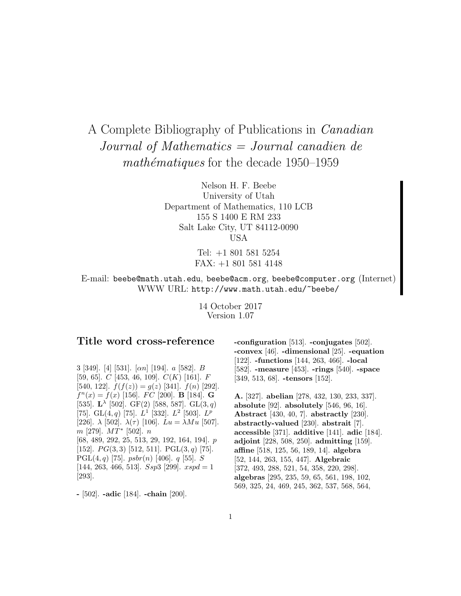# A Complete Bibliography of Publications in Canadian Journal of Mathematics = Journal canadien de  $mathématiques$  for the decade 1950–1959

Nelson H. F. Beebe University of Utah Department of Mathematics, 110 LCB 155 S 1400 E RM 233 Salt Lake City, UT 84112-0090 USA

> Tel: +1 801 581 5254 FAX: +1 801 581 4148

E-mail: beebe@math.utah.edu, beebe@acm.org, beebe@computer.org (Internet) WWW URL: http://www.math.utah.edu/~beebe/

> 14 October 2017 Version 1.07

# **Title word cross-reference**

3 [349]. [4] [531]. [αn] [194]. a [582]. B [59, 65].  $C$  [453, 46, 109].  $C(K)$  [161].  $F$ [540, 122].  $f(f(z)) = g(z)$  [341].  $f(n)$  [292].  $f^{n}(x) = f(x)$  [156]. *FC* [200]. **B** [184]. **G** [535].  $L^{\lambda}$  [502]. GF(2) [588, 587]. GL(3, q) [75]. GL $(4, q)$  [75].  $L^1$  [332].  $L^2$  [503].  $L^p$ [226].  $\lambda$  [502].  $\lambda(\tau)$  [106].  $Lu = \lambda Mu$  [507].  $m$  [279].  $MT^*$  [502].  $n$ [68, 489, 292, 25, 513, 29, 192, 164, 194]. p [152].  $PG(3,3)$  [512, 511].  $PGL(3,q)$  [75]. PGL $(4, q)$  [75]. psbr $(n)$  [406]. q [55]. S [144, 263, 466, 513]. Ssp3 [299].  $xspd = 1$ [293].

**-** [502]. **-adic** [184]. **-chain** [200].

**-configuration** [513]. **-conjugates** [502]. **-convex** [46]. **-dimensional** [25]. **-equation** [122]. **-functions** [144, 263, 466]. **-local** [582]. **-measure** [453]. **-rings** [540]. **-space** [349, 513, 68]. **-tensors** [152].

**A.** [327]. **abelian** [278, 432, 130, 233, 337]. **absolute** [92]. **absolutely** [546, 96, 16]. **Abstract** [430, 40, 7]. **abstractly** [230]. **abstractly-valued** [230]. **abstrait** [7]. **accessible** [371]. **additive** [141]. **adic** [184]. **adjoint** [228, 508, 250]. **admitting** [159]. **affine** [518, 125, 56, 189, 14]. **algebra** [52, 144, 263, 155, 447]. **Algebraic** [372, 493, 288, 521, 54, 358, 220, 298]. **algebras** [295, 235, 59, 65, 561, 198, 102, 569, 325, 24, 469, 245, 362, 537, 568, 564,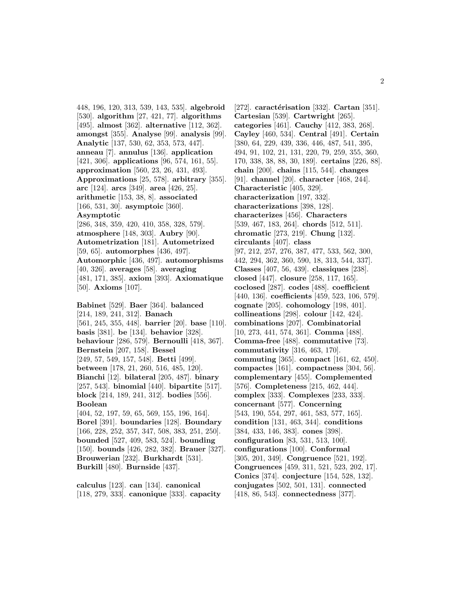448, 196, 120, 313, 539, 143, 535]. **algebroid** [530]. **algorithm** [27, 421, 77]. **algorithms** [495]. **almost** [362]. **alternative** [112, 362]. **amongst** [355]. **Analyse** [99]. **analysis** [99]. **Analytic** [137, 530, 62, 353, 573, 447]. **anneau** [7]. **annulus** [136]. **application** [421, 306]. **applications** [96, 574, 161, 55]. **approximation** [560, 23, 26, 431, 493]. **Approximations** [25, 578]. **arbitrary** [355]. **arc** [124]. **arcs** [349]. **area** [426, 25]. **arithmetic** [153, 38, 8]. **associated** [166, 531, 30]. **asymptoic** [360]. **Asymptotic** [286, 348, 359, 420, 410, 358, 328, 579]. **atmosphere** [148, 303]. **Aubry** [90]. **Autometrization** [181]. **Autometrized** [59, 65]. **automorphes** [436, 497]. **Automorphic** [436, 497]. **automorphisms** [40, 326]. **averages** [58]. **averaging** [481, 171, 385]. **axiom** [393]. **Axiomatique** [50]. **Axioms** [107].

**Babinet** [529]. **Baer** [364]. **balanced** [214, 189, 241, 312]. **Banach** [561, 245, 355, 448]. **barrier** [20]. **base** [110]. **basis** [381]. **be** [134]. **behavior** [328]. **behaviour** [286, 579]. **Bernoulli** [418, 367]. **Bernstein** [207, 158]. **Bessel** [249, 57, 549, 157, 548]. **Betti** [499]. **between** [178, 21, 260, 516, 485, 120]. **Bianchi** [12]. **bilateral** [205, 487]. **binary** [257, 543]. **binomial** [440]. **bipartite** [517]. **block** [214, 189, 241, 312]. **bodies** [556]. **Boolean** [404, 52, 197, 59, 65, 569, 155, 196, 164]. **Borel** [391]. **boundaries** [128]. **Boundary** [166, 228, 252, 357, 347, 508, 383, 251, 250]. **bounded** [527, 409, 583, 524]. **bounding** [150]. **bounds** [426, 282, 382]. **Brauer** [327].

**calculus** [123]. **can** [134]. **canonical** [118, 279, 333]. **canonique** [333]. **capacity**

**Brouwerian** [232]. **Burkhardt** [531]. **Burkill** [480]. **Burnside** [437].

[272]. **caractérisation** [332]. **Cartan** [351]. **Cartesian** [539]. **Cartwright** [265]. **categories** [461]. **Cauchy** [412, 383, 268]. **Cayley** [460, 534]. **Central** [491]. **Certain** [380, 64, 229, 439, 336, 446, 487, 541, 395, 494, 91, 102, 21, 131, 220, 79, 259, 355, 360, 170, 338, 38, 88, 30, 189]. **certains** [226, 88]. **chain** [200]. **chains** [115, 544]. **changes** [91]. **channel** [20]. **character** [468, 244]. **Characteristic** [405, 329]. **characterization** [197, 332]. **characterizations** [398, 128]. **characterizes** [456]. **Characters** [539, 467, 183, 264]. **chords** [512, 511]. **chromatic** [273, 219]. **Chung** [132]. **circulants** [407]. **class** [97, 212, 257, 276, 387, 477, 533, 562, 300, 442, 294, 362, 360, 590, 18, 313, 544, 337]. **Classes** [407, 56, 439]. **classiques** [238]. **closed** [447]. **closure** [258, 117, 165]. **coclosed** [287]. **codes** [488]. **coefficient** [440, 136]. **coefficients** [459, 523, 106, 579]. **cognate** [205]. **cohomology** [198, 401]. **collineations** [298]. **colour** [142, 424]. **combinations** [207]. **Combinatorial** [10, 273, 441, 574, 361]. **Comma** [488]. **Comma-free** [488]. **commutative** [73]. **commutativity** [316, 463, 170]. **commuting** [365]. **compact** [161, 62, 450]. **compactes** [161]. **compactness** [304, 56]. **complementary** [455]. **Complemented** [576]. **Completeness** [215, 462, 444]. **complex** [333]. **Complexes** [233, 333]. **concernant** [577]. **Concerning** [543, 190, 554, 297, 461, 583, 577, 165]. **condition** [131, 463, 344]. **conditions** [384, 433, 146, 383]. **cones** [398]. **configuration** [83, 531, 513, 100]. **configurations** [100]. **Conformal** [305, 201, 349]. **Congruence** [521, 192]. **Congruences** [459, 311, 521, 523, 202, 17]. **Conics** [374]. **conjecture** [154, 528, 132]. **conjugates** [502, 501, 131]. **connected** [418, 86, 543]. **connectedness** [377].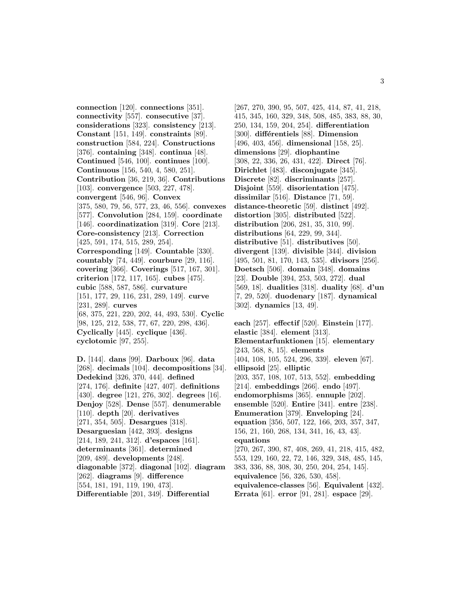**connection** [120]. **connections** [351]. **connectivity** [557]. **consecutive** [37]. **considerations** [323]. **consistency** [213]. **Constant** [151, 149]. **constraints** [89]. **construction** [584, 224]. **Constructions** [376]. **containing** [348]. **continua** [48]. **Continued** [546, 100]. **continues** [100]. **Continuous** [156, 540, 4, 580, 251]. **Contribution** [36, 219, 36]. **Contributions** [103]. **convergence** [503, 227, 478]. **convergent** [546, 96]. **Convex** [375, 580, 79, 56, 577, 23, 46, 556]. **convexes** [577]. **Convolution** [284, 159]. **coordinate** [146]. **coordinatization** [319]. **Core** [213]. **Core-consistency** [213]. **Correction** [425, 591, 174, 515, 289, 254]. **Corresponding** [149]. **Countable** [330]. **countably** [74, 449]. **courbure** [29, 116]. **covering** [366]. **Coverings** [517, 167, 301]. **criterion** [172, 117, 165]. **cubes** [475]. **cubic** [588, 587, 586]. **curvature** [151, 177, 29, 116, 231, 289, 149]. **curve** [231, 289]. **curves** [68, 375, 221, 220, 202, 44, 493, 530]. **Cyclic** [98, 125, 212, 538, 77, 67, 220, 298, 436]. **Cyclically** [445]. **cyclique** [436]. **cyclotomic** [97, 255].

**D.** [144]. **dans** [99]. **Darboux** [96]. **data** [268]. **decimals** [104]. **decompositions** [34]. **Dedekind** [326, 370, 444]. **defined** [274, 176]. **definite** [427, 407]. **definitions** [430]. **degree** [121, 276, 302]. **degrees** [16]. **Denjoy** [528]. **Dense** [557]. **denumerable** [110]. **depth** [20]. **derivatives** [271, 354, 505]. **Desargues** [318]. **Desarguesian** [442, 393]. **designs** [214, 189, 241, 312]. **d'espaces** [161]. **determinants** [361]. **determined** [209, 489]. **developments** [248]. **diagonable** [372]. **diagonal** [102]. **diagram** [262]. **diagrams** [9]. **difference** [554, 181, 191, 119, 190, 473]. **Differentiable** [201, 349]. **Differential**

[267, 270, 390, 95, 507, 425, 414, 87, 41, 218, 415, 345, 160, 329, 348, 508, 485, 383, 88, 30, 250, 134, 159, 204, 254]. **differentiation** [300]. **différentiels** [88]. **Dimension** [496, 403, 456]. **dimensional** [158, 25]. **dimensions** [29]. **diophantine** [308, 22, 336, 26, 431, 422]. **Direct** [76]. **Dirichlet** [483]. **disconjugate** [345]. **Discrete** [82]. **discriminants** [257]. **Disjoint** [559]. **disorientation** [475]. **dissimilar** [516]. **Distance** [71, 59]. **distance-theoretic** [59]. **distinct** [492]. **distortion** [305]. **distributed** [522]. **distribution** [206, 281, 35, 310, 99]. **distributions** [64, 229, 99, 344]. **distributive** [51]. **distributives** [50]. **divergent** [139]. **divisible** [344]. **division** [495, 501, 81, 170, 143, 535]. **divisors** [256]. **Doetsch** [506]. **domain** [348]. **domains** [23]. **Double** [394, 253, 503, 272]. **dual** [569, 18]. **dualities** [318]. **duality** [68]. **d'un** [7, 29, 520]. **duodenary** [187]. **dynamical** [302]. **dynamics** [13, 49].

**each** [257]. **effectif** [520]. **Einstein** [177]. **elastic** [384]. **element** [313]. **Elementarfunktionen** [15]. **elementary** [243, 568, 8, 15]. **elements** [404, 108, 105, 524, 296, 339]. **eleven** [67]. **ellipsoid** [25]. **elliptic** [203, 357, 108, 107, 513, 552]. **embedding** [214]. **embeddings** [266]. **endo** [497]. **endomorphisms** [365]. **ennuple** [202]. **ensemble** [520]. **Entire** [341]. **entre** [238]. **Enumeration** [379]. **Enveloping** [24]. **equation** [356, 507, 122, 166, 203, 357, 347, 156, 21, 160, 268, 134, 341, 16, 43, 43]. **equations** [270, 267, 390, 87, 408, 269, 41, 218, 415, 482, 553, 129, 160, 22, 72, 146, 329, 348, 485, 145, 383, 336, 88, 308, 30, 250, 204, 254, 145]. **equivalence** [56, 326, 530, 458]. **equivalence-classes** [56]. **Equivalent** [432]. **Errata** [61]. **error** [91, 281]. **espace** [29].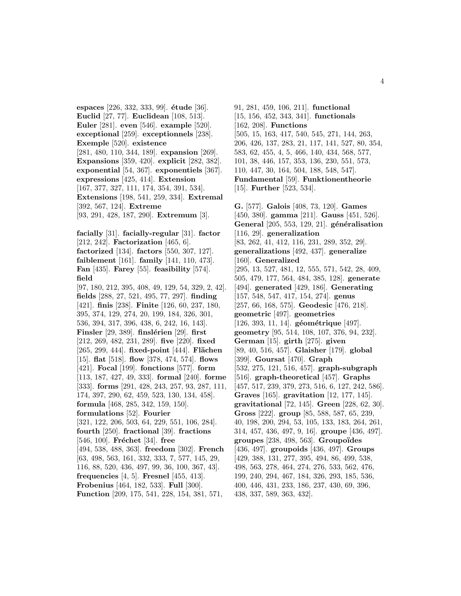**espaces** [226, 332, 333, 99]. **étude** [36]. **Euclid** [27, 77]. **Euclidean** [108, 513]. **Euler** [281]. **even** [546]. **example** [520]. **exceptional** [259]. **exceptionnels** [238]. **Exemple** [520]. **existence** [281, 480, 110, 344, 189]. **expansion** [269]. **Expansions** [359, 420]. **explicit** [282, 382]. **exponential** [54, 367]. **exponentiels** [367]. **expressions** [425, 414]. **Extension** [167, 377, 327, 111, 174, 354, 391, 534]. **Extensions** [198, 541, 259, 334]. **Extremal** [392, 567, 124]. **Extreme** [93, 291, 428, 187, 290]. **Extremum** [3]. **facially** [31]. **facially-regular** [31]. **factor** [212, 242]. **Factorization** [465, 6]. **factorized** [134]. **factors** [550, 307, 127]. **faiblement** [161]. **family** [141, 110, 473]. **Fan** [435]. **Farey** [55]. **feasibility** [574]. **field** [97, 180, 212, 395, 408, 49, 129, 54, 329, 2, 42]. **fields** [288, 27, 521, 495, 77, 297]. **finding** [421]. **finis** [238]. **Finite** [126, 60, 237, 180, 395, 374, 129, 274, 20, 199, 184, 326, 301, 536, 394, 317, 396, 438, 6, 242, 16, 143]. **Finsler** [29, 389]. **finslérien** [29]. **first** [212, 269, 482, 231, 289]. **five** [220]. **fixed** [265, 299, 444]. **fixed-point** [444]. **Flächen** [15]. **flat** [518]. **flow** [378, 474, 574]. **flows** [421]. **Focal** [199]. **fonctions** [577]. **form** [113, 187, 427, 49, 333]. **formal** [240]. **forme** [333]. **forms** [291, 428, 243, 257, 93, 287, 111, 174, 397, 290, 62, 459, 523, 130, 134, 458]. **formula** [468, 285, 342, 159, 150]. **formulations** [52]. **Fourier** [321, 122, 206, 503, 64, 229, 551, 106, 284]. **fourth** [250]. **fractional** [39]. **fractions** [546, 100]. **Fréchet** [34]. **free** [494, 538, 488, 363]. **freedom** [302]. **French** [63, 498, 563, 161, 332, 333, 7, 577, 145, 29, 116, 88, 520, 436, 497, 99, 36, 100, 367, 43]. **frequencies** [4, 5]. **Fresnel** [455, 413]. **Frobenius** [464, 182, 533]. **Full** [300]. **Function** [209, 175, 541, 228, 154, 381, 571,

91, 281, 459, 106, 211]. **functional** [15, 156, 452, 343, 341]. **functionals** [162, 208]. **Functions** [505, 15, 163, 417, 540, 545, 271, 144, 263, 206, 426, 137, 283, 21, 117, 141, 527, 80, 354, 583, 62, 455, 4, 5, 466, 140, 434, 568, 577, 101, 38, 446, 157, 353, 136, 230, 551, 573, 110, 447, 30, 164, 504, 188, 548, 547]. **Fundamental** [59]. **Funktionentheorie** [15]. **Further** [523, 534].

**G.** [577]. **Galois** [408, 73, 120]. **Games** [450, 380]. **gamma** [211]. **Gauss** [451, 526]. **General** [205, 553, 129, 21]. **généralisation** [116, 29]. **generalization** [83, 262, 41, 412, 116, 231, 289, 352, 29]. **generalizations** [492, 437]. **generalize** [160]. **Generalized** [295, 13, 527, 481, 12, 555, 571, 542, 28, 409, 505, 479, 177, 564, 484, 385, 128]. **generate** [494]. **generated** [429, 186]. **Generating** [157, 548, 547, 417, 154, 274]. **genus** [257, 66, 168, 575]. **Geodesic** [476, 218]. **geometric** [497]. **geometries** [126, 393, 11, 14]. **géométrique** [497]. **geometry** [95, 514, 108, 107, 376, 94, 232]. **German** [15]. **girth** [275]. **given** [89, 40, 516, 457]. **Glaisher** [179]. **global** [399]. **Goursat** [470]. **Graph** [532, 275, 121, 516, 457]. **graph-subgraph** [516]. **graph-theoretical** [457]. **Graphs** [457, 517, 239, 379, 273, 516, 6, 127, 242, 586]. **Graves** [165]. **gravitation** [12, 177, 145]. **gravitational** [72, 145]. **Green** [228, 62, 30]. **Gross** [222]. **group** [85, 588, 587, 65, 239, 40, 198, 200, 294, 53, 105, 133, 183, 264, 261, 314, 457, 436, 497, 9, 16]. **groupe** [436, 497]. **groupes** [238, 498, 563]. **Groupo¨ıdes** [436, 497]. **groupoids** [436, 497]. **Groups** [429, 388, 131, 277, 395, 494, 86, 499, 538, 498, 563, 278, 464, 274, 276, 533, 562, 476, 199, 240, 294, 467, 184, 326, 293, 185, 536, 400, 446, 431, 233, 186, 237, 430, 69, 396, 438, 337, 589, 363, 432].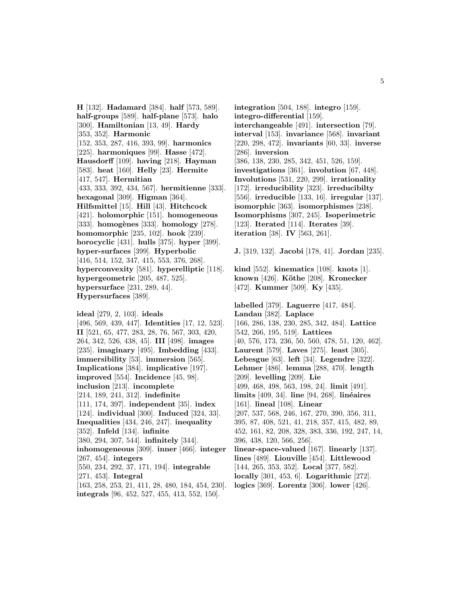**H** [132]. **Hadamard** [384]. **half** [573, 589]. **half-groups** [589]. **half-plane** [573]. **halo** [300]. **Hamiltonian** [13, 49]. **Hardy** [353, 352]. **Harmonic** [152, 353, 287, 416, 393, 99]. **harmonics** [225]. **harmoniques** [99]. **Hasse** [472]. **Hausdorff** [109]. **having** [218]. **Hayman** [583]. **heat** [160]. **Helly** [23]. **Hermite** [417, 547]. **Hermitian** [433, 333, 392, 434, 567]. **hermitienne** [333]. **hexagonal** [309]. **Higman** [364]. **Hilfsmittel** [15]. **Hill** [43]. **Hitchcock** [421]. **holomorphic** [151]. **homogeneous** [333]. **homog`enes** [333]. **homology** [278]. **homomorphic** [235, 102]. **hook** [239]. **horocyclic** [431]. **hulls** [375]. **hyper** [399]. **hyper-surfaces** [399]. **Hyperbolic** [416, 514, 152, 347, 415, 553, 376, 268]. **hyperconvexity** [581]. **hyperelliptic** [118]. **hypergeometric** [205, 487, 525]. **hypersurface** [231, 289, 44]. **Hypersurfaces** [389].

**ideal** [279, 2, 103]. **ideals** [496, 569, 439, 447]. **Identities** [17, 12, 523]. **II** [521, 65, 477, 283, 28, 76, 567, 303, 420, 264, 342, 526, 438, 45]. **III** [498]. **images** [235]. **imaginary** [495]. **Imbedding** [433]. **immersibility** [53]. **immersion** [565]. **Implications** [384]. **implicative** [197]. **improved** [554]. **Incidence** [45, 98]. **inclusion** [213]. **incomplete** [214, 189, 241, 312]. **indefinite** [111, 174, 397]. **independent** [35]. **index** [124]. **individual** [300]. **Induced** [324, 33]. **Inequalities** [434, 246, 247]. **inequality** [352]. **Infeld** [134]. **infinite** [380, 294, 307, 544]. **infinitely** [344]. **inhomogeneous** [309]. **inner** [466]. **integer** [267, 454]. **integers** [550, 234, 292, 37, 171, 194]. **integrable** [271, 453]. **Integral** [163, 258, 253, 21, 411, 28, 480, 184, 454, 230].

**integrals** [96, 452, 527, 455, 413, 552, 150].

**integration** [504, 188]. **integro** [159]. **integro-differential** [159]. **interchangeable** [491]. **intersection** [79]. **interval** [153]. **invariance** [568]. **invariant** [220, 298, 472]. **invariants** [60, 33]. **inverse** [286]. **inversion** [386, 138, 230, 285, 342, 451, 526, 159]. **investigations** [361]. **involution** [67, 448]. **Involutions** [531, 220, 299]. **irrationality** [172]. **irreducibility** [323]. **irreducibilty** [556]. **irreducible** [133, 16]. **irregular** [137]. **isomorphic** [363]. **isomorphismes** [238]. **Isomorphisms** [307, 245]. **Isoperimetric** [123]. **Iterated** [114]. **Iterates** [39]. **iteration** [38]. **IV** [563, 261].

**J.** [319, 132]. **Jacobi** [178, 41]. **Jordan** [235].

**kind** [552]. **kinematics** [108]. **knots** [1]. **known** [426]. **K¨othe** [208]. **Kronecker** [472]. **Kummer** [509]. **Ky** [435].

**labelled** [379]. **Laguerre** [417, 484]. **Landau** [382]. **Laplace** [166, 286, 138, 230, 285, 342, 484]. **Lattice** [542, 266, 195, 519]. **Lattices** [40, 576, 173, 236, 50, 560, 478, 51, 120, 462]. **Laurent** [579]. **Laves** [275]. **least** [305]. **Lebesgue** [63]. **left** [34]. **Legendre** [322]. **Lehmer** [486]. **lemma** [288, 470]. **length** [209]. **levelling** [209]. **Lie** [499, 468, 498, 563, 198, 24]. **limit** [491]. **limits** [409, 34]. **line** [94, 268]. **linéaires** [161]. **lineal** [108]. **Linear** [207, 537, 568, 246, 167, 270, 390, 356, 311, 395, 87, 408, 521, 41, 218, 357, 415, 482, 89, 452, 161, 82, 208, 328, 383, 336, 192, 247, 14, 396, 438, 120, 566, 256]. **linear-space-valued** [167]. **linearly** [137]. **lines** [489]. **Liouville** [454]. **Littlewood** [144, 265, 353, 352]. **Local** [377, 582]. **locally** [301, 453, 6]. **Logarithmic** [272]. **logics** [369]. **Lorentz** [306]. **lower** [426].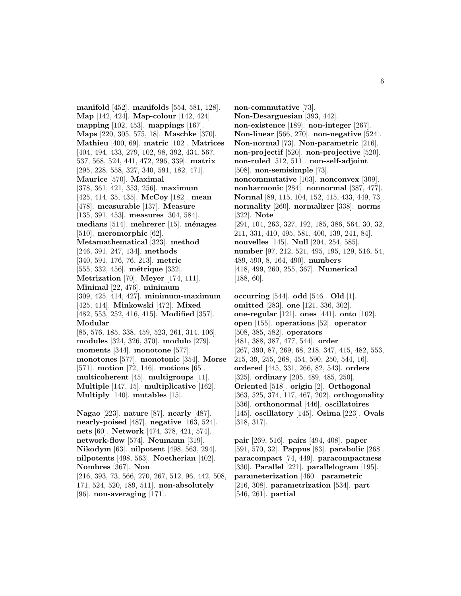**manifold** [452]. **manifolds** [554, 581, 128]. **Map** [142, 424]. **Map-colour** [142, 424]. **mapping** [102, 453]. **mappings** [167]. **Maps** [220, 305, 575, 18]. **Maschke** [370]. **Mathieu** [400, 69]. **matric** [102]. **Matrices** [404, 494, 433, 279, 102, 98, 392, 434, 567, 537, 568, 524, 441, 472, 296, 339]. **matrix** [295, 228, 558, 327, 340, 591, 182, 471]. **Maurice** [570]. **Maximal** [378, 361, 421, 353, 256]. **maximum** [425, 414, 35, 435]. **McCoy** [182]. **mean** [478]. **measurable** [137]. **Measure** [135, 391, 453]. **measures** [304, 584]. **medians** [514]. **mehrerer** [15]. **m´enages** [510]. **meromorphic** [62]. **Metamathematical** [323]. **method** [246, 391, 247, 134]. **methods** [340, 591, 176, 76, 213]. **metric** [555, 332, 456]. **métrique** [332]. **Metrization** [70]. **Meyer** [174, 111]. **Minimal** [22, 476]. **minimum** [309, 425, 414, 427]. **minimum-maximum** [425, 414]. **Minkowski** [472]. **Mixed** [482, 553, 252, 416, 415]. **Modified** [357]. **Modular** [85, 576, 185, 338, 459, 523, 261, 314, 106]. **modules** [324, 326, 370]. **modulo** [279]. **moments** [344]. **monotone** [577]. **monotones** [577]. **monotonic** [354]. **Morse** [571]. **motion** [72, 146]. **motions** [65]. **multicoherent** [45]. **multigroups** [11]. **Multiple** [147, 15]. **multiplicative** [162]. **Multiply** [140]. **mutables** [15]. **Nagao** [223]. **nature** [87]. **nearly** [487]. **nearly-poised** [487]. **negative** [163, 524]. **nets** [60]. **Network** [474, 378, 421, 574]. **network-flow** [574]. **Neumann** [319].

**Nikodym** [63]. **nilpotent** [498, 563, 294]. **nilpotents** [498, 563]. **Noetherian** [402]. **Nombres** [367]. **Non** [216, 393, 73, 566, 270, 267, 512, 96, 442, 508, 171, 524, 520, 189, 511]. **non-absolutely** [96]. **non-averaging** [171].

**non-commutative** [73]. **Non-Desarguesian** [393, 442]. **non-existence** [189]. **non-integer** [267]. **Non-linear** [566, 270]. **non-negative** [524]. **Non-normal** [73]. **Non-parametric** [216]. **non-projectif** [520]. **non-projective** [520]. **non-ruled** [512, 511]. **non-self-adjoint** [508]. **non-semisimple** [73]. **noncommutative** [103]. **nonconvex** [309]. **nonharmonic** [284]. **nonnormal** [387, 477]. **Normal** [89, 115, 104, 152, 415, 433, 449, 73]. **normality** [260]. **normalizer** [338]. **norms** [322]. **Note** [291, 104, 263, 327, 192, 185, 386, 564, 30, 32, 211, 331, 410, 495, 581, 400, 139, 241, 84]. **nouvelles** [145]. **Null** [204, 254, 585]. **number** [97, 212, 521, 495, 195, 129, 516, 54, 489, 590, 8, 164, 490]. **numbers** [418, 499, 260, 255, 367]. **Numerical** [188, 60].

**occurring** [544]. **odd** [546]. **Old** [1]. **omitted** [283]. **one** [121, 336, 302]. **one-regular** [121]. **ones** [441]. **onto** [102]. **open** [155]. **operations** [52]. **operator** [508, 385, 582]. **operators** [481, 388, 387, 477, 544]. **order** [267, 390, 87, 269, 68, 218, 347, 415, 482, 553, 215, 39, 255, 268, 454, 590, 250, 544, 16]. **ordered** [445, 331, 266, 82, 543]. **orders** [325]. **ordinary** [205, 489, 485, 250]. **Oriented** [518]. **origin** [2]. **Orthogonal** [363, 525, 374, 117, 467, 202]. **orthogonality** [536]. **orthonormal** [446]. **oscillatoires** [145]. **oscillatory** [145]. **Osima** [223]. **Ovals** [318, 317].

**pair** [269, 516]. **pairs** [494, 408]. **paper** [591, 570, 32]. **Pappus** [83]. **parabolic** [268]. **paracompact** [74, 449]. **paracompactness** [330]. **Parallel** [221]. **parallelogram** [195]. **parameterization** [460]. **parametric** [216, 308]. **parametrization** [534]. **part** [546, 261]. **partial**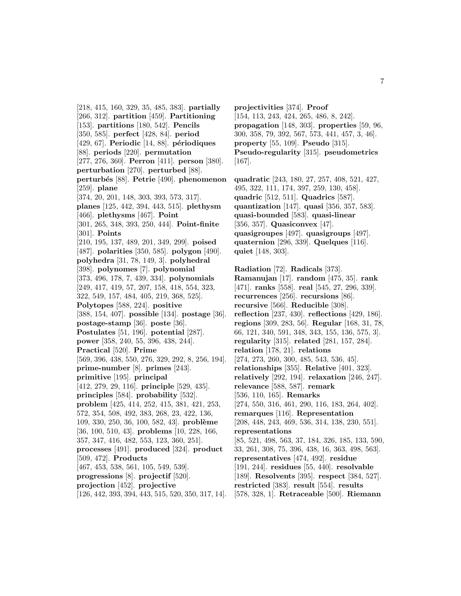[218, 415, 160, 329, 35, 485, 383]. **partially** [266, 312]. **partition** [459]. **Partitioning** [153]. **partitions** [180, 542]. **Pencils** [350, 585]. **perfect** [428, 84]. **period** [429, 67]. **Periodic** [14, 88]. **p´eriodiques** [88]. **periods** [220]. **permutation** [277, 276, 360]. **Perron** [411]. **person** [380]. **perturbation** [270]. **perturbed** [88]. **perturb´es** [88]. **Petrie** [490]. **phenomenon** [259]. **plane** [374, 20, 201, 148, 303, 393, 573, 317]. **planes** [125, 442, 394, 443, 515]. **plethysm** [466]. **plethysms** [467]. **Point** [301, 265, 348, 393, 250, 444]. **Point-finite** [301]. **Points** [210, 195, 137, 489, 201, 349, 299]. **poised** [487]. **polarities** [350, 585]. **polygon** [490]. **polyhedra** [31, 78, 149, 3]. **polyhedral** [398]. **polynomes** [7]. **polynomial** [373, 496, 178, 7, 439, 334]. **polynomials** [249, 417, 419, 57, 207, 158, 418, 554, 323, 322, 549, 157, 484, 405, 219, 368, 525]. **Polytopes** [588, 224]. **positive** [388, 154, 407]. **possible** [134]. **postage** [36]. **postage-stamp** [36]. **poste** [36]. **Postulates** [51, 196]. **potential** [287]. **power** [358, 240, 55, 396, 438, 244]. **Practical** [520]. **Prime** [569, 396, 438, 550, 276, 329, 292, 8, 256, 194]. **prime-number** [8]. **primes** [243]. **primitive** [195]. **principal** [412, 279, 29, 116]. **principle** [529, 435]. **principles** [584]. **probability** [532]. **problem** [425, 414, 252, 415, 381, 421, 253, 572, 354, 508, 492, 383, 268, 23, 422, 136, 109, 330, 250, 36, 100, 582, 43]. **problème** [36, 100, 510, 43]. **problems** [10, 228, 166, 357, 347, 416, 482, 553, 123, 360, 251]. **processes** [491]. **produced** [324]. **product** [509, 472]. **Products** [467, 453, 538, 561, 105, 549, 539]. **progressions** [8]. **projectif** [520]. **projection** [452]. **projective** [126, 442, 393, 394, 443, 515, 520, 350, 317, 14].

**projectivities** [374]. **Proof** [154, 113, 243, 424, 265, 486, 8, 242]. **propagation** [148, 303]. **properties** [59, 96, 300, 358, 79, 392, 567, 573, 441, 457, 3, 46]. **property** [55, 109]. **Pseudo** [315]. **Pseudo-regularity** [315]. **pseudometrics** [167].

**quadratic** [243, 180, 27, 257, 408, 521, 427, 495, 322, 111, 174, 397, 259, 130, 458]. **quadric** [512, 511]. **Quadrics** [587]. **quantization** [147]. **quasi** [356, 357, 583]. **quasi-bounded** [583]. **quasi-linear** [356, 357]. **Quasiconvex** [47]. **quasigroupes** [497]. **quasigroups** [497]. **quaternion** [296, 339]. **Quelques** [116]. **quiet** [148, 303].

**Radiation** [72]. **Radicals** [373]. **Ramanujan** [17]. **random** [475, 35]. **rank** [471]. **ranks** [558]. **real** [545, 27, 296, 339]. **recurrences** [256]. **recursions** [86]. **recursive** [566]. **Reducible** [308]. **reflection** [237, 430]. **reflections** [429, 186]. **regions** [309, 283, 56]. **Regular** [168, 31, 78, 66, 121, 340, 591, 348, 343, 155, 136, 575, 3]. **regularity** [315]. **related** [281, 157, 284]. **relation** [178, 21]. **relations** [274, 273, 260, 300, 485, 543, 536, 45]. **relationships** [355]. **Relative** [401, 323]. **relatively** [292, 194]. **relaxation** [246, 247]. **relevance** [588, 587]. **remark** [536, 110, 165]. **Remarks** [274, 550, 316, 461, 290, 116, 183, 264, 402]. **remarques** [116]. **Representation** [208, 448, 243, 469, 536, 314, 138, 230, 551]. **representations** [85, 521, 498, 563, 37, 184, 326, 185, 133, 590, 33, 261, 308, 75, 396, 438, 16, 363, 498, 563]. **representatives** [474, 492]. **residue** [191, 244]. **residues** [55, 440]. **resolvable** [189]. **Resolvents** [395]. **respect** [384, 527]. **restricted** [383]. **result** [554]. **results** [578, 328, 1]. **Retraceable** [500]. **Riemann**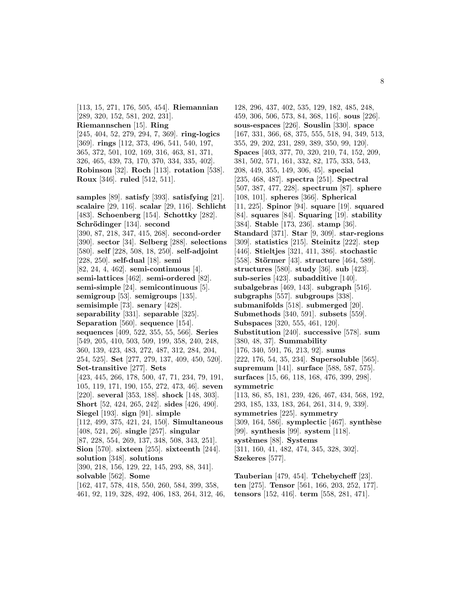[113, 15, 271, 176, 505, 454]. **Riemannian** [289, 320, 152, 581, 202, 231]. **Riemannschen** [15]. **Ring** [245, 404, 52, 279, 294, 7, 369]. **ring-logics** [369]. **rings** [112, 373, 496, 541, 540, 197, 365, 372, 501, 102, 169, 316, 463, 81, 371, 326, 465, 439, 73, 170, 370, 334, 335, 402]. **Robinson** [32]. **Roch** [113]. **rotation** [538]. **Roux** [346]. **ruled** [512, 511].

**samples** [89]. **satisfy** [393]. **satisfying** [21]. **scalaire** [29, 116]. **scalar** [29, 116]. **Schlicht** [483]. **Schoenberg** [154]. **Schottky** [282]. **Schrödinger** [134]. **second** [390, 87, 218, 347, 415, 268]. **second-order** [390]. **sector** [34]. **Selberg** [288]. **selections** [580]. **self** [228, 508, 18, 250]. **self-adjoint** [228, 250]. **self-dual** [18]. **semi** [82, 24, 4, 462]. **semi-continuous** [4]. **semi-lattices** [462]. **semi-ordered** [82]. **semi-simple** [24]. **semicontinuous** [5]. **semigroup** [53]. **semigroups** [135]. **semisimple** [73]. **senary** [428]. **separability** [331]. **separable** [325]. **Separation** [560]. **sequence** [154]. **sequences** [409, 522, 355, 55, 566]. **Series** [549, 205, 410, 503, 509, 199, 358, 240, 248, 360, 139, 423, 483, 272, 487, 312, 284, 204, 254, 525]. **Set** [277, 279, 137, 409, 450, 520]. **Set-transitive** [277]. **Sets** [423, 445, 266, 178, 500, 47, 71, 234, 79, 191, 105, 119, 171, 190, 155, 272, 473, 46]. **seven** [220]. **several** [353, 188]. **shock** [148, 303]. **Short** [52, 424, 265, 242]. **sides** [426, 490]. **Siegel** [193]. **sign** [91]. **simple** [112, 499, 375, 421, 24, 150]. **Simultaneous** [408, 521, 26]. **single** [257]. **singular** [87, 228, 554, 269, 137, 348, 508, 343, 251]. **Sion** [570]. **sixteen** [255]. **sixteenth** [244]. **solution** [348]. **solutions** [390, 218, 156, 129, 22, 145, 293, 88, 341]. **solvable** [562]. **Some** [162, 417, 578, 418, 550, 260, 584, 399, 358, 461, 92, 119, 328, 492, 406, 183, 264, 312, 46,

128, 296, 437, 402, 535, 129, 182, 485, 248, 459, 306, 506, 573, 84, 368, 116]. **sous** [226]. **sous-espaces** [226]. **Souslin** [330]. **space** [167, 331, 366, 68, 375, 555, 518, 94, 349, 513, 355, 29, 202, 231, 289, 389, 350, 99, 120]. **Spaces** [403, 377, 70, 320, 210, 74, 152, 209, 381, 502, 571, 161, 332, 82, 175, 333, 543, 208, 449, 355, 149, 306, 45]. **special** [235, 468, 487]. **spectra** [251]. **Spectral** [507, 387, 477, 228]. **spectrum** [87]. **sphere** [108, 101]. **spheres** [366]. **Spherical** [11, 225]. **Spinor** [94]. **square** [19]. **squared** [84]. **squares** [84]. **Squaring** [19]. **stability** [384]. **Stable** [173, 236]. **stamp** [36]. **Standard** [371]. **Star** [9, 309]. **star-regions** [309]. **statistics** [215]. **Steinitz** [222]. **step** [446]. **Stieltjes** [321, 411, 386]. **stochastic** [558]. **Störmer** [43]. **structure** [464, 589]. **structures** [580]. **study** [36]. **sub** [423]. **sub-series** [423]. **subadditive** [140]. **subalgebras** [469, 143]. **subgraph** [516]. **subgraphs** [557]. **subgroups** [338]. **submanifolds** [518]. **submerged** [20]. **Submethods** [340, 591]. **subsets** [559]. **Subspaces** [320, 555, 461, 120]. **Substitution** [240]. **successive** [578]. **sum** [380, 48, 37]. **Summability** [176, 340, 591, 76, 213, 92]. **sums** [222, 176, 54, 35, 234]. **Supersoluble** [565]. **supremum** [141]. **surface** [588, 587, 575]. **surfaces** [15, 66, 118, 168, 476, 399, 298]. **symmetric** [113, 86, 85, 181, 239, 426, 467, 434, 568, 192, 293, 185, 133, 183, 264, 261, 314, 9, 339]. **symmetries** [225]. **symmetry** [309, 164, 586]. **symplectic** [467]. **synthèse** [99]. **synthesis** [99]. **system** [118]. **syst`emes** [88]. **Systems** [311, 160, 41, 482, 474, 345, 328, 302]. **Szekeres** [577].

**Tauberian** [479, 454]. **Tchebycheff** [23]. **ten** [275]. **Tensor** [561, 166, 203, 252, 177]. **tensors** [152, 416]. **term** [558, 281, 471].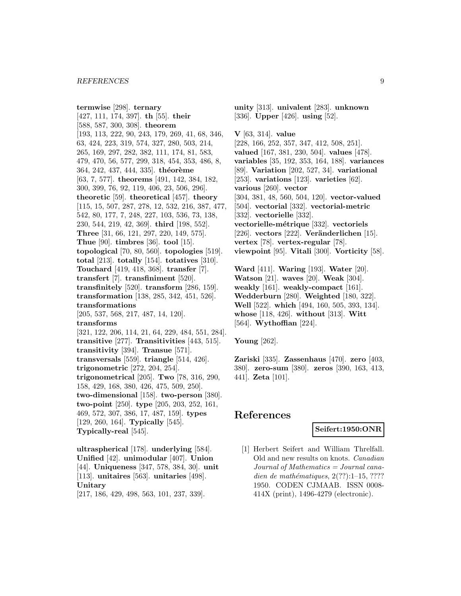**termwise** [298]. **ternary** [427, 111, 174, 397]. **th** [55]. **their** [588, 587, 300, 308]. **theorem** [193, 113, 222, 90, 243, 179, 269, 41, 68, 346, 63, 424, 223, 319, 574, 327, 280, 503, 214, 265, 169, 297, 282, 382, 111, 174, 81, 583, 479, 470, 56, 577, 299, 318, 454, 353, 486, 8, 364, 242, 437, 444, 335]. **théorème** [63, 7, 577]. **theorems** [491, 142, 384, 182, 300, 399, 76, 92, 119, 406, 23, 506, 296]. **theoretic** [59]. **theoretical** [457]. **theory** [115, 15, 507, 287, 278, 12, 532, 216, 387, 477, 542, 80, 177, 7, 248, 227, 103, 536, 73, 138, 230, 544, 219, 42, 369]. **third** [198, 552]. **Three** [31, 66, 121, 297, 220, 149, 575]. **Thue** [90]. **timbres** [36]. **tool** [15]. **topological** [70, 80, 560]. **topologies** [519]. **total** [213]. **totally** [154]. **totatives** [310]. **Touchard** [419, 418, 368]. **transfer** [7]. **transfert** [7]. **transfiniment** [520]. **transfinitely** [520]. **transform** [286, 159]. **transformation** [138, 285, 342, 451, 526]. **transformations** [205, 537, 568, 217, 487, 14, 120]. **transforms** [321, 122, 206, 114, 21, 64, 229, 484, 551, 284]. **transitive** [277]. **Transitivities** [443, 515]. **transitivity** [394]. **Transue** [571]. **transversals** [559]. **triangle** [514, 426]. **trigonometric** [272, 204, 254]. **trigonometrical** [205]. **Two** [78, 316, 290, 158, 429, 168, 380, 426, 475, 509, 250]. **two-dimensional** [158]. **two-person** [380]. **two-point** [250]. **type** [205, 203, 252, 161, 469, 572, 307, 386, 17, 487, 159]. **types** [129, 260, 164]. **Typically** [545]. **Typically-real** [545]. **ultraspherical** [178]. **underlying** [584].

**Unified** [42]. **unimodular** [407]. **Union** [44]. **Uniqueness** [347, 578, 384, 30]. **unit** [113]. **unitaires** [563]. **unitaries** [498]. **Unitary**

[217, 186, 429, 498, 563, 101, 237, 339].

**unity** [313]. **univalent** [283]. **unknown** [336]. **Upper** [426]. **using** [52].

**V** [63, 314]. **value** [228, 166, 252, 357, 347, 412, 508, 251]. **valued** [167, 381, 230, 504]. **values** [478]. **variables** [35, 192, 353, 164, 188]. **variances** [89]. **Variation** [202, 527, 34]. **variational** [253]. **variations** [123]. **varieties** [62]. **various** [260]. **vector** [304, 381, 48, 560, 504, 120]. **vector-valued** [504]. **vectorial** [332]. **vectorial-metric** [332]. **vectorielle** [332]. **vectorielle-m´etrique** [332]. **vectoriels** [226]. **vectors** [222]. **Veränderlichen** [15]. **vertex** [78]. **vertex-regular** [78]. **viewpoint** [95]. **Vitali** [300]. **Vorticity** [58].

**Ward** [411]. **Waring** [193]. **Water** [20]. **Watson** [21]. **waves** [20]. **Weak** [304]. **weakly** [161]. **weakly-compact** [161]. **Wedderburn** [280]. **Weighted** [180, 322]. **Well** [522]. **which** [494, 160, 505, 393, 134]. **whose** [118, 426]. **without** [313]. **Witt** [564]. **Wythoffian** [224].

**Young** [262].

**Zariski** [335]. **Zassenhaus** [470]. **zero** [403, 380]. **zero-sum** [380]. **zeros** [390, 163, 413, 441]. **Zeta** [101].

# **References**

#### **Seifert:1950:ONR**

[1] Herbert Seifert and William Threlfall. Old and new results on knots. Canadian Journal of Mathematics = Journal canadien de mathématiques,  $2(??):1-15$ , ???? 1950. CODEN CJMAAB. ISSN 0008- 414X (print), 1496-4279 (electronic).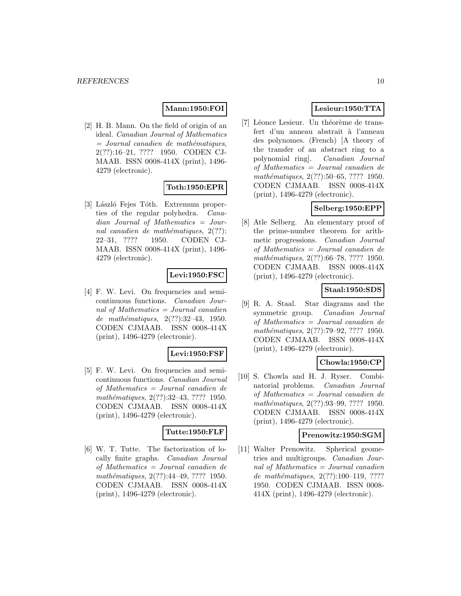#### **Mann:1950:FOI**

[2] H. B. Mann. On the field of origin of an ideal. Canadian Journal of Mathematics  $=$  Journal canadien de mathématiques, 2(??):16–21, ???? 1950. CODEN CJ-MAAB. ISSN 0008-414X (print), 1496- 4279 (electronic).

### **Toth:1950:EPR**

[3] László Fejes Tóth. Extremum properties of the regular polyhedra. Canadian Journal of Mathematics = Journal canadien de mathématiques,  $2(??)$ : 22–31, ???? 1950. CODEN CJ-MAAB. ISSN 0008-414X (print), 1496- 4279 (electronic).

### **Levi:1950:FSC**

[4] F. W. Levi. On frequencies and semicontinuous functions. Canadian Journal of Mathematics  $=$  Journal canadien de mathématiques,  $2(??):32-43, 1950.$ CODEN CJMAAB. ISSN 0008-414X (print), 1496-4279 (electronic).

#### **Levi:1950:FSF**

[5] F. W. Levi. On frequencies and semicontinuous functions. Canadian Journal of Mathematics = Journal canadien de mathématiques, 2(??):32–43, ???? 1950. CODEN CJMAAB. ISSN 0008-414X (print), 1496-4279 (electronic).

#### **Tutte:1950:FLF**

[6] W. T. Tutte. The factorization of locally finite graphs. Canadian Journal of Mathematics = Journal canadien de mathématiques, 2(??):44-49, ???? 1950. CODEN CJMAAB. ISSN 0008-414X (print), 1496-4279 (electronic).

# **Lesieur:1950:TTA**

[7] Léonce Lesieur. Un théorème de transfert d'un anneau abstrait à l'anneau des polynomes. (French) [A theory of the transfer of an abstract ring to a polynomial ring]. Canadian Journal of Mathematics = Journal canadien de mathématiques,  $2(??)$ :50–65, ???? 1950. CODEN CJMAAB. ISSN 0008-414X (print), 1496-4279 (electronic).

# **Selberg:1950:EPP**

[8] Atle Selberg. An elementary proof of the prime-number theorem for arithmetic progressions. Canadian Journal of Mathematics = Journal canadien de mathématiques, 2(??):66–78, ???? 1950. CODEN CJMAAB. ISSN 0008-414X (print), 1496-4279 (electronic).

### **Staal:1950:SDS**

[9] R. A. Staal. Star diagrams and the symmetric group. Canadian Journal of Mathematics = Journal canadien de mathématiques, 2(??):79–92, ???? 1950. CODEN CJMAAB. ISSN 0008-414X (print), 1496-4279 (electronic).

### **Chowla:1950:CP**

[10] S. Chowla and H. J. Ryser. Combinatorial problems. Canadian Journal of Mathematics = Journal canadien de mathématiques, 2(??):93–99, ???? 1950. CODEN CJMAAB. ISSN 0008-414X (print), 1496-4279 (electronic).

#### **Prenowitz:1950:SGM**

[11] Walter Prenowitz. Spherical geometries and multigroups. Canadian Journal of Mathematics = Journal canadien de mathématiques,  $2(??):100-119$ , ???? 1950. CODEN CJMAAB. ISSN 0008- 414X (print), 1496-4279 (electronic).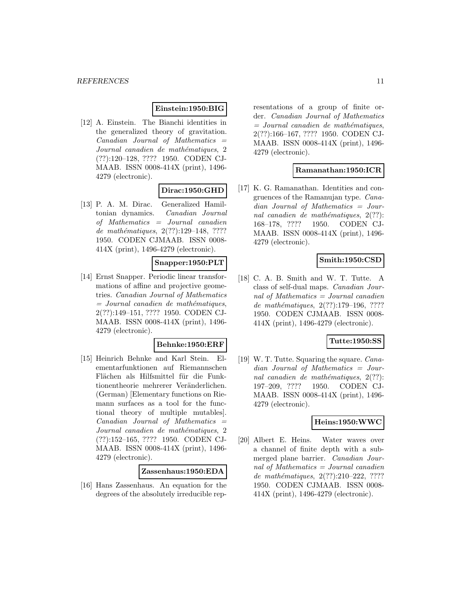#### **Einstein:1950:BIG**

[12] A. Einstein. The Bianchi identities in the generalized theory of gravitation.  $Canadian$  Journal of Mathematics  $=$ Journal canadien de mathématiques, 2 (??):120–128, ???? 1950. CODEN CJ-MAAB. ISSN 0008-414X (print), 1496- 4279 (electronic).

### **Dirac:1950:GHD**

[13] P. A. M. Dirac. Generalized Hamiltonian dynamics. Canadian Journal of Mathematics = Journal canadien de mathématiques, 2(??):129-148, ???? 1950. CODEN CJMAAB. ISSN 0008- 414X (print), 1496-4279 (electronic).

### **Snapper:1950:PLT**

[14] Ernst Snapper. Periodic linear transformations of affine and projective geometries. Canadian Journal of Mathematics  $=$  Journal canadien de mathématiques, 2(??):149–151, ???? 1950. CODEN CJ-MAAB. ISSN 0008-414X (print), 1496- 4279 (electronic).

#### **Behnke:1950:ERF**

[15] Heinrich Behnke and Karl Stein. Elementarfunktionen auf Riemannschen Flächen als Hilfsmittel für die Funktionentheorie mehrerer Veränderlichen. (German) [Elementary functions on Riemann surfaces as a tool for the functional theory of multiple mutables].  $Canadian$  Journal of Mathematics  $=$ Journal canadien de mathématiques, 2 (??):152–165, ???? 1950. CODEN CJ-MAAB. ISSN 0008-414X (print), 1496- 4279 (electronic).

### **Zassenhaus:1950:EDA**

[16] Hans Zassenhaus. An equation for the degrees of the absolutely irreducible representations of a group of finite order. Canadian Journal of Mathematics  $=$  Journal canadien de mathématiques, 2(??):166–167, ???? 1950. CODEN CJ-MAAB. ISSN 0008-414X (print), 1496- 4279 (electronic).

### **Ramanathan:1950:ICR**

[17] K. G. Ramanathan. Identities and congruences of the Ramanujan type. Canadian Journal of Mathematics = Journal canadien de mathématiques,  $2(??)$ : 168–178, ???? 1950. CODEN CJ-MAAB. ISSN 0008-414X (print), 1496- 4279 (electronic).

# **Smith:1950:CSD**

[18] C. A. B. Smith and W. T. Tutte. A class of self-dual maps. Canadian Journal of Mathematics  $=$  Journal canadien de mathématiques, 2(??):179-196, ???? 1950. CODEN CJMAAB. ISSN 0008- 414X (print), 1496-4279 (electronic).

#### **Tutte:1950:SS**

[19] W. T. Tutte. Squaring the square. Canadian Journal of Mathematics = Journal canadien de mathématiques,  $2(??)$ : 197–209, ???? 1950. CODEN CJ-MAAB. ISSN 0008-414X (print), 1496- 4279 (electronic).

### **Heins:1950:WWC**

[20] Albert E. Heins. Water waves over a channel of finite depth with a submerged plane barrier. Canadian Journal of Mathematics  $=$  Journal canadien de mathématiques,  $2(??):210-222, ????$ 1950. CODEN CJMAAB. ISSN 0008- 414X (print), 1496-4279 (electronic).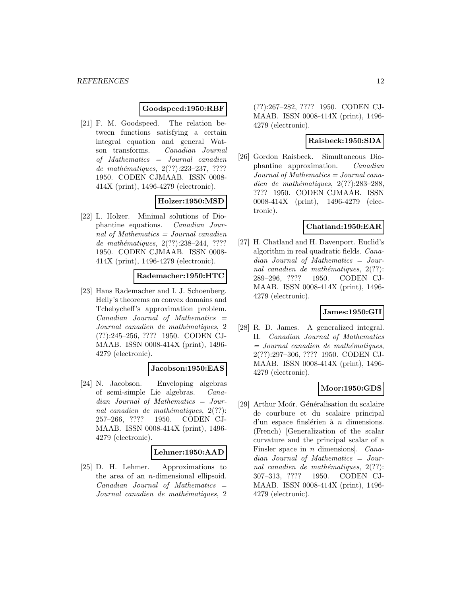### **Goodspeed:1950:RBF**

[21] F. M. Goodspeed. The relation between functions satisfying a certain integral equation and general Watson transforms. Canadian Journal of Mathematics = Journal canadien de mathématiques,  $2(??):223-237, ????$ 1950. CODEN CJMAAB. ISSN 0008- 414X (print), 1496-4279 (electronic).

# **Holzer:1950:MSD**

[22] L. Holzer. Minimal solutions of Diophantine equations. Canadian Journal of Mathematics = Journal canadien de mathématiques, 2(??):238-244, ???? 1950. CODEN CJMAAB. ISSN 0008- 414X (print), 1496-4279 (electronic).

#### **Rademacher:1950:HTC**

[23] Hans Rademacher and I. J. Schoenberg. Helly's theorems on convex domains and Tchebycheff's approximation problem.  $Canadian$  Journal of Mathematics  $=$ Journal canadien de mathématiques, 2 (??):245–256, ???? 1950. CODEN CJ-MAAB. ISSN 0008-414X (print), 1496- 4279 (electronic).

#### **Jacobson:1950:EAS**

[24] N. Jacobson. Enveloping algebras of semi-simple Lie algebras. Canadian Journal of Mathematics = Journal canadien de mathématiques,  $2(??)$ : 257–266, ???? 1950. CODEN CJ-MAAB. ISSN 0008-414X (print), 1496- 4279 (electronic).

#### **Lehmer:1950:AAD**

[25] D. H. Lehmer. Approximations to the area of an n-dimensional ellipsoid.  $Canadian$  Journal of Mathematics  $=$ Journal canadien de mathématiques, 2 (??):267–282, ???? 1950. CODEN CJ-MAAB. ISSN 0008-414X (print), 1496- 4279 (electronic).

#### **Raisbeck:1950:SDA**

[26] Gordon Raisbeck. Simultaneous Diophantine approximation. Canadian Journal of Mathematics = Journal canadien de mathématiques,  $2(??):283-288$ , ???? 1950. CODEN CJMAAB. ISSN 0008-414X (print), 1496-4279 (electronic).

### **Chatland:1950:EAR**

[27] H. Chatland and H. Davenport. Euclid's algorithm in real quadratic fields. Canadian Journal of Mathematics = Journal canadien de mathématiques,  $2(??)$ : 289–296, ???? 1950. CODEN CJ-MAAB. ISSN 0008-414X (print), 1496- 4279 (electronic).

### **James:1950:GII**

[28] R. D. James. A generalized integral. II. Canadian Journal of Mathematics  $=$  Journal canadien de mathématiques, 2(??):297–306, ???? 1950. CODEN CJ-MAAB. ISSN 0008-414X (print), 1496- 4279 (electronic).

#### **Moor:1950:GDS**

[29] Arthur Moór. Généralisation du scalaire de courbure et du scalaire principal d'un espace finslérien à  $n$  dimensions. (French) [Generalization of the scalar curvature and the principal scalar of a Finsler space in  $n$  dimensions]. *Cana*dian Journal of Mathematics = Journal canadien de mathématiques,  $2(??)$ : 307–313, ???? 1950. CODEN CJ-MAAB. ISSN 0008-414X (print), 1496- 4279 (electronic).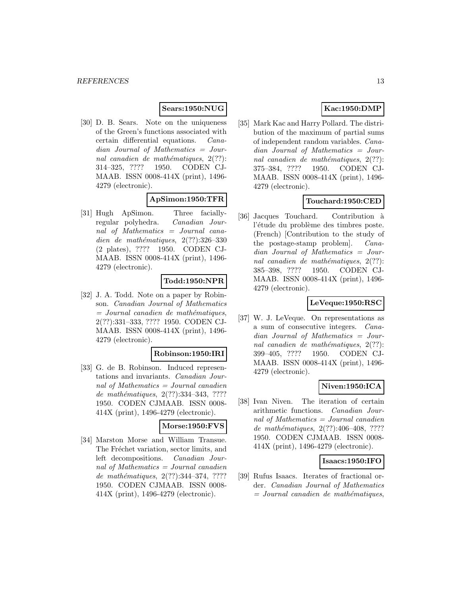### **Sears:1950:NUG**

[30] D. B. Sears. Note on the uniqueness of the Green's functions associated with certain differential equations. Canadian Journal of Mathematics = Journal canadien de mathématiques,  $2(??)$ : 314–325, ???? 1950. CODEN CJ-MAAB. ISSN 0008-414X (print), 1496- 4279 (electronic).

# **ApSimon:1950:TFR**

[31] Hugh ApSimon. Three faciallyregular polyhedra. Canadian Journal of Mathematics = Journal canadien de mathématiques,  $2(??):326-330$ (2 plates), ???? 1950. CODEN CJ-MAAB. ISSN 0008-414X (print), 1496- 4279 (electronic).

### **Todd:1950:NPR**

[32] J. A. Todd. Note on a paper by Robinson. Canadian Journal of Mathematics  $=$  Journal canadien de mathématiques, 2(??):331–333, ???? 1950. CODEN CJ-MAAB. ISSN 0008-414X (print), 1496- 4279 (electronic).

#### **Robinson:1950:IRI**

[33] G. de B. Robinson. Induced representations and invariants. Canadian Journal of Mathematics  $=$  Journal canadien de mathématiques, 2(??):334-343, ???? 1950. CODEN CJMAAB. ISSN 0008- 414X (print), 1496-4279 (electronic).

#### **Morse:1950:FVS**

[34] Marston Morse and William Transue. The Fréchet variation, sector limits, and left decompositions. Canadian Journal of Mathematics = Journal canadien de mathématiques, 2(??):344-374, ???? 1950. CODEN CJMAAB. ISSN 0008- 414X (print), 1496-4279 (electronic).

# **Kac:1950:DMP**

[35] Mark Kac and Harry Pollard. The distribution of the maximum of partial sums of independent random variables. Canadian Journal of Mathematics = Journal canadien de mathématiques,  $2(??)$ : 375–384, ???? 1950. CODEN CJ-MAAB. ISSN 0008-414X (print), 1496- 4279 (electronic).

### **Touchard:1950:CED**

[36] Jacques Touchard. Contribution à l'étude du problème des timbres poste. (French) [Contribution to the study of the postage-stamp problem]. Canadian Journal of Mathematics = Journal canadien de mathématiques,  $2(??)$ : 385–398, ???? 1950. CODEN CJ-MAAB. ISSN 0008-414X (print), 1496- 4279 (electronic).

### **LeVeque:1950:RSC**

[37] W. J. LeVeque. On representations as a sum of consecutive integers. Canadian Journal of Mathematics = Journal canadien de mathématiques,  $2(??)$ : 399–405, ???? 1950. CODEN CJ-MAAB. ISSN 0008-414X (print), 1496- 4279 (electronic).

### **Niven:1950:ICA**

[38] Ivan Niven. The iteration of certain arithmetic functions. Canadian Journal of Mathematics = Journal canadien de mathématiques,  $2(??):406-408$ , ???? 1950. CODEN CJMAAB. ISSN 0008- 414X (print), 1496-4279 (electronic).

### **Isaacs:1950:IFO**

[39] Rufus Isaacs. Iterates of fractional order. Canadian Journal of Mathematics  $=$  Journal canadien de mathématiques,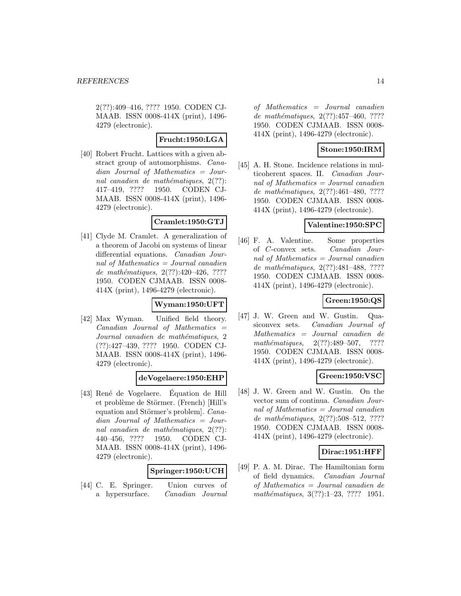2(??):409–416, ???? 1950. CODEN CJ-MAAB. ISSN 0008-414X (print), 1496- 4279 (electronic).

### **Frucht:1950:LGA**

[40] Robert Frucht. Lattices with a given abstract group of automorphisms. Canadian Journal of Mathematics = Journal canadien de mathématiques,  $2(??)$ : 417–419, ???? 1950. CODEN CJ-MAAB. ISSN 0008-414X (print), 1496- 4279 (electronic).

#### **Cramlet:1950:GTJ**

[41] Clyde M. Cramlet. A generalization of a theorem of Jacobi on systems of linear differential equations. Canadian Journal of Mathematics = Journal canadien de mathématiques,  $2(??):420-426, ????$ 1950. CODEN CJMAAB. ISSN 0008- 414X (print), 1496-4279 (electronic).

### **Wyman:1950:UFT**

[42] Max Wyman. Unified field theory.  $Canadian$  Journal of Mathematics  $=$ Journal canadien de mathématiques, 2 (??):427–439, ???? 1950. CODEN CJ-MAAB. ISSN 0008-414X (print), 1496- 4279 (electronic).

#### **deVogelaere:1950:EHP**

[43] René de Vogelaere. Equation de Hill et problème de Störmer. (French) [Hill's equation and Störmer's problem]. Canadian Journal of Mathematics = Journal canadien de mathématiques,  $2(??)$ : 440–456, ???? 1950. CODEN CJ-MAAB. ISSN 0008-414X (print), 1496- 4279 (electronic).

#### **Springer:1950:UCH**

[44] C. E. Springer. Union curves of a hypersurface. Canadian Journal

of Mathematics = Journal canadien de mathématiques, 2(??):457-460, ???? 1950. CODEN CJMAAB. ISSN 0008- 414X (print), 1496-4279 (electronic).

### **Stone:1950:IRM**

[45] A. H. Stone. Incidence relations in multicoherent spaces. II. Canadian Journal of Mathematics = Journal canadien de mathématiques,  $2(??):461-480, ????$ 1950. CODEN CJMAAB. ISSN 0008- 414X (print), 1496-4279 (electronic).

### **Valentine:1950:SPC**

[46] F. A. Valentine. Some properties of C-convex sets. Canadian Journal of Mathematics = Journal canadien de mathématiques, 2(??):481-488, ???? 1950. CODEN CJMAAB. ISSN 0008- 414X (print), 1496-4279 (electronic).

### **Green:1950:QS**

[47] J. W. Green and W. Gustin. Quasiconvex sets. Canadian Journal of Mathematics = Journal canadien de mathématiques,  $2(??):489-507$ , ???? 1950. CODEN CJMAAB. ISSN 0008- 414X (print), 1496-4279 (electronic).

### **Green:1950:VSC**

[48] J. W. Green and W. Gustin. On the vector sum of continua. Canadian Journal of Mathematics = Journal canadien de mathématiques, 2(??):508-512, ???? 1950. CODEN CJMAAB. ISSN 0008- 414X (print), 1496-4279 (electronic).

### **Dirac:1951:HFF**

[49] P. A. M. Dirac. The Hamiltonian form of field dynamics. Canadian Journal of Mathematics = Journal canadien de mathématiques,  $3(??):1-23$ ,  $????$  1951.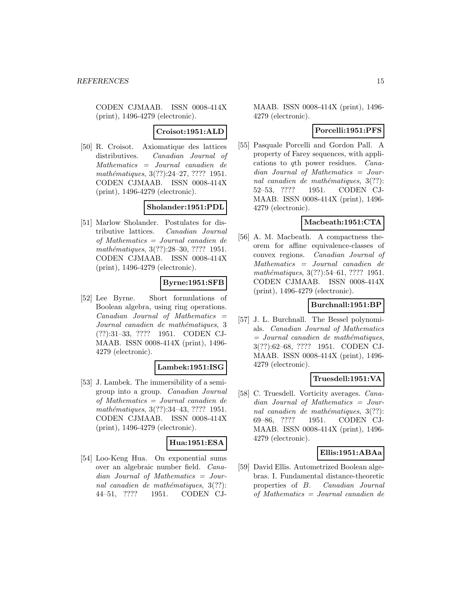#### **Croisot:1951:ALD**

[50] R. Croisot. Axiomatique des lattices distributives. Canadian Journal of Mathematics = Journal canadien de mathématiques, 3(??):24–27, ???? 1951. CODEN CJMAAB. ISSN 0008-414X (print), 1496-4279 (electronic).

# **Sholander:1951:PDL**

[51] Marlow Sholander. Postulates for distributive lattices. Canadian Journal of Mathematics = Journal canadien de mathématiques, 3(??):28–30, ???? 1951. CODEN CJMAAB. ISSN 0008-414X (print), 1496-4279 (electronic).

### **Byrne:1951:SFB**

[52] Lee Byrne. Short formulations of Boolean algebra, using ring operations.  $Canadian$  Journal of Mathematics  $=$ Journal canadien de mathématiques, 3 (??):31–33, ???? 1951. CODEN CJ-MAAB. ISSN 0008-414X (print), 1496- 4279 (electronic).

#### **Lambek:1951:ISG**

[53] J. Lambek. The immersibility of a semigroup into a group. Canadian Journal of Mathematics = Journal canadien de mathématiques, 3(??):34-43, ???? 1951. CODEN CJMAAB. ISSN 0008-414X (print), 1496-4279 (electronic).

#### **Hua:1951:ESA**

[54] Loo-Keng Hua. On exponential sums over an algebraic number field. Canadian Journal of Mathematics = Journal canadien de mathématiques,  $3(??)$ : 44–51, ???? 1951. CODEN CJ-

MAAB. ISSN 0008-414X (print), 1496- 4279 (electronic).

### **Porcelli:1951:PFS**

[55] Pasquale Porcelli and Gordon Pall. A property of Farey sequences, with applications to qth power residues. Canadian Journal of Mathematics = Journal canadien de mathématiques,  $3(??)$ : 52–53, ???? 1951. CODEN CJ-MAAB. ISSN 0008-414X (print), 1496- 4279 (electronic).

### **Macbeath:1951:CTA**

[56] A. M. Macbeath. A compactness theorem for affine equivalence-classes of convex regions. Canadian Journal of Mathematics = Journal canadien de mathématiques, 3(??):54–61, ???? 1951. CODEN CJMAAB. ISSN 0008-414X (print), 1496-4279 (electronic).

### **Burchnall:1951:BP**

[57] J. L. Burchnall. The Bessel polynomials. Canadian Journal of Mathematics  $=$  Journal canadien de mathématiques, 3(??):62–68, ???? 1951. CODEN CJ-MAAB. ISSN 0008-414X (print), 1496- 4279 (electronic).

### **Truesdell:1951:VA**

[58] C. Truesdell. Vorticity averages. Canadian Journal of Mathematics = Journal canadien de mathématiques,  $3(??)$ : 69–86, ???? 1951. CODEN CJ-MAAB. ISSN 0008-414X (print), 1496- 4279 (electronic).

#### **Ellis:1951:ABAa**

[59] David Ellis. Autometrized Boolean algebras. I. Fundamental distance-theoretic properties of B. Canadian Journal of Mathematics = Journal canadien de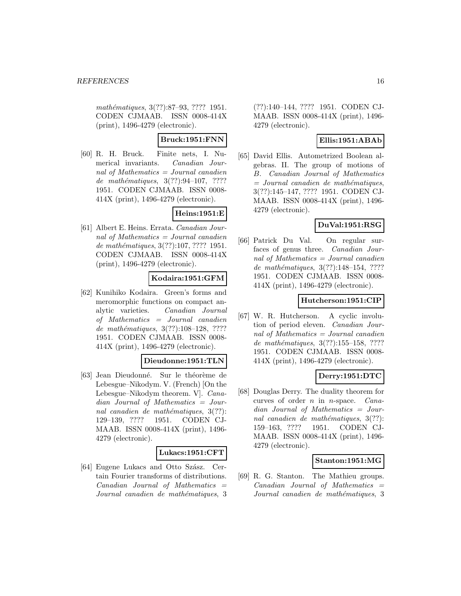mathématiques, 3(??):87–93, ???? 1951. CODEN CJMAAB. ISSN 0008-414X (print), 1496-4279 (electronic).

**Bruck:1951:FNN**

[60] R. H. Bruck. Finite nets, I. Numerical invariants. Canadian Journal of Mathematics = Journal canadien de mathématiques,  $3(??):94-107, ????$ 1951. CODEN CJMAAB. ISSN 0008- 414X (print), 1496-4279 (electronic).

# **Heins:1951:E**

[61] Albert E. Heins. Errata. Canadian Journal of Mathematics  $=$  Journal canadien de mathématiques, 3(??):107, ???? 1951. CODEN CJMAAB. ISSN 0008-414X (print), 1496-4279 (electronic).

# **Kodaira:1951:GFM**

[62] Kunihiko Kodaira. Green's forms and meromorphic functions on compact analytic varieties. Canadian Journal of Mathematics = Journal canadien de mathématiques, 3(??):108-128, ???? 1951. CODEN CJMAAB. ISSN 0008- 414X (print), 1496-4279 (electronic).

### **Dieudonne:1951:TLN**

[63] Jean Dieudonné. Sur le théorème de Lebesgue–Nikodym. V. (French) [On the Lebesgue–Nikodym theorem. V]. Canadian Journal of Mathematics = Journal canadien de mathématiques,  $3(??)$ : 129–139, ???? 1951. CODEN CJ-MAAB. ISSN 0008-414X (print), 1496- 4279 (electronic).

#### **Lukacs:1951:CFT**

[64] Eugene Lukacs and Otto Szász. Certain Fourier transforms of distributions.  $Canadian$  Journal of Mathematics  $=$ Journal canadien de mathématiques, 3

(??):140–144, ???? 1951. CODEN CJ-MAAB. ISSN 0008-414X (print), 1496- 4279 (electronic).

# **Ellis:1951:ABAb**

[65] David Ellis. Autometrized Boolean algebras. II. The group of motions of B. Canadian Journal of Mathematics  $=$  Journal canadien de mathématiques, 3(??):145–147, ???? 1951. CODEN CJ-MAAB. ISSN 0008-414X (print), 1496- 4279 (electronic).

### **DuVal:1951:RSG**

[66] Patrick Du Val. On regular surfaces of genus three. Canadian Journal of Mathematics = Journal canadien de mathématiques,  $3(??):148-154, ????$ 1951. CODEN CJMAAB. ISSN 0008- 414X (print), 1496-4279 (electronic).

# **Hutcherson:1951:CIP**

[67] W. R. Hutcherson. A cyclic involution of period eleven. Canadian Journal of Mathematics = Journal canadien de mathématiques, 3(??):155–158, ???? 1951. CODEN CJMAAB. ISSN 0008- 414X (print), 1496-4279 (electronic).

### **Derry:1951:DTC**

[68] Douglas Derry. The duality theorem for curves of order n in n-space. Canadian Journal of Mathematics = Journal canadien de mathématiques,  $3(??)$ : 159–163, ???? 1951. CODEN CJ-MAAB. ISSN 0008-414X (print), 1496- 4279 (electronic).

### **Stanton:1951:MG**

[69] R. G. Stanton. The Mathieu groups.  $Canadian$  Journal of Mathematics  $=$ Journal canadien de mathématiques, 3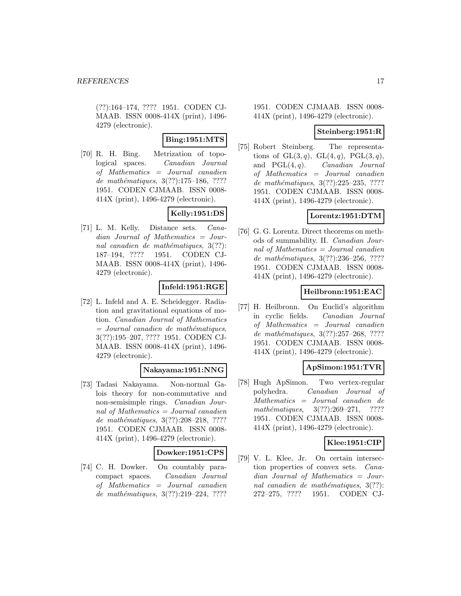(??):164–174, ???? 1951. CODEN CJ-MAAB. ISSN 0008-414X (print), 1496- 4279 (electronic).

# **Bing:1951:MTS**

[70] R. H. Bing. Metrization of topological spaces. Canadian Journal of Mathematics = Journal canadien de mathématiques, 3(??):175–186, ???? 1951. CODEN CJMAAB. ISSN 0008- 414X (print), 1496-4279 (electronic).

# **Kelly:1951:DS**

[71] L. M. Kelly. Distance sets. Canadian Journal of Mathematics = Journal canadien de mathématiques,  $3(??)$ : 187–194, ???? 1951. CODEN CJ-MAAB. ISSN 0008-414X (print), 1496- 4279 (electronic).

# **Infeld:1951:RGE**

[72] L. Infeld and A. E. Scheidegger. Radiation and gravitational equations of motion. Canadian Journal of Mathematics  $=$  Journal canadien de mathématiques, 3(??):195–207, ???? 1951. CODEN CJ-MAAB. ISSN 0008-414X (print), 1496- 4279 (electronic).

# **Nakayama:1951:NNG**

[73] Tadasi Nakayama. Non-normal Galois theory for non-commutative and non-semisimple rings. Canadian Journal of Mathematics = Journal canadien de mathématiques,  $3(??):208-218$ , ???? 1951. CODEN CJMAAB. ISSN 0008- 414X (print), 1496-4279 (electronic).

### **Dowker:1951:CPS**

[74] C. H. Dowker. On countably paracompact spaces. Canadian Journal of Mathematics = Journal canadien de mathématiques,  $3(??):219-224$ , ????

1951. CODEN CJMAAB. ISSN 0008- 414X (print), 1496-4279 (electronic).

### **Steinberg:1951:R**

[75] Robert Steinberg. The representations of  $GL(3,q)$ ,  $GL(4,q)$ ,  $PGL(3,q)$ , and  $PGL(4, q)$ . *Canadian Journal* of Mathematics = Journal canadien de mathématiques,  $3(??):225-235, ????$ 1951. CODEN CJMAAB. ISSN 0008- 414X (print), 1496-4279 (electronic).

# **Lorentz:1951:DTM**

[76] G. G. Lorentz. Direct theorems on methods of summability. II. Canadian Journal of Mathematics = Journal canadien de mathématiques, 3(??):236-256, ???? 1951. CODEN CJMAAB. ISSN 0008- 414X (print), 1496-4279 (electronic).

# **Heilbronn:1951:EAC**

[77] H. Heilbronn. On Euclid's algorithm in cyclic fields. Canadian Journal of Mathematics = Journal canadien de mathématiques, 3(??):257-268, ???? 1951. CODEN CJMAAB. ISSN 0008- 414X (print), 1496-4279 (electronic).

### **ApSimon:1951:TVR**

[78] Hugh ApSimon. Two vertex-regular polyhedra. Canadian Journal of Mathematics = Journal canadien de  $mathématiques, 3(??):269-271, ????$ 1951. CODEN CJMAAB. ISSN 0008- 414X (print), 1496-4279 (electronic).

# **Klee:1951:CIP**

[79] V. L. Klee, Jr. On certain intersection properties of convex sets. Canadian Journal of Mathematics = Journal canadien de mathématiques,  $3(??)$ : 272–275, ???? 1951. CODEN CJ-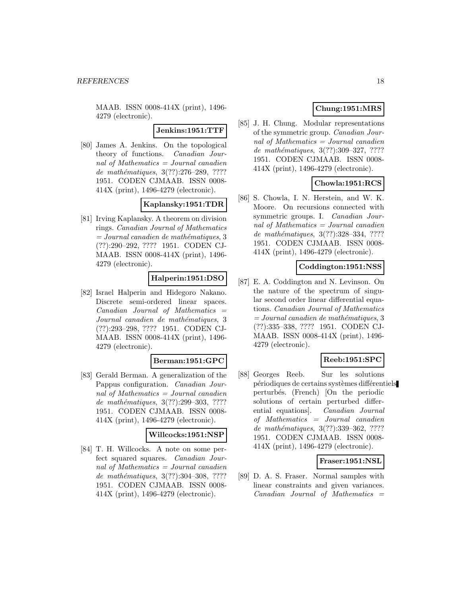**Jenkins:1951:TTF**

[80] James A. Jenkins. On the topological theory of functions. Canadian Journal of Mathematics = Journal canadien de mathématiques,  $3(??):276-289, ????$ 1951. CODEN CJMAAB. ISSN 0008- 414X (print), 1496-4279 (electronic).

### **Kaplansky:1951:TDR**

[81] Irving Kaplansky. A theorem on division rings. Canadian Journal of Mathematics  $= Journal\,c$  canadien de mathématiques, 3 (??):290–292, ???? 1951. CODEN CJ-MAAB. ISSN 0008-414X (print), 1496- 4279 (electronic).

# **Halperin:1951:DSO**

[82] Israel Halperin and Hidegoro Nakano. Discrete semi-ordered linear spaces. Canadian Journal of Mathematics = Journal canadien de mathématiques, 3 (??):293–298, ???? 1951. CODEN CJ-MAAB. ISSN 0008-414X (print), 1496- 4279 (electronic).

# **Berman:1951:GPC**

[83] Gerald Berman. A generalization of the Pappus configuration. Canadian Journal of Mathematics  $=$  Journal canadien de mathématiques,  $3(??):299-303$ , ???? 1951. CODEN CJMAAB. ISSN 0008- 414X (print), 1496-4279 (electronic).

### **Willcocks:1951:NSP**

[84] T. H. Willcocks. A note on some perfect squared squares. Canadian Journal of Mathematics = Journal canadien de mathématiques, 3(??):304-308, ???? 1951. CODEN CJMAAB. ISSN 0008- 414X (print), 1496-4279 (electronic).

# **Chung:1951:MRS**

[85] J. H. Chung. Modular representations of the symmetric group. Canadian Journal of Mathematics = Journal canadien de mathématiques, 3(??):309–327, ????? 1951. CODEN CJMAAB. ISSN 0008- 414X (print), 1496-4279 (electronic).

# **Chowla:1951:RCS**

[86] S. Chowla, I. N. Herstein, and W. K. Moore. On recursions connected with symmetric groups. I. Canadian Journal of Mathematics  $=$  Journal canadien de mathématiques, 3(??):328-334, ???? 1951. CODEN CJMAAB. ISSN 0008- 414X (print), 1496-4279 (electronic).

#### **Coddington:1951:NSS**

[87] E. A. Coddington and N. Levinson. On the nature of the spectrum of singular second order linear differential equations. Canadian Journal of Mathematics  $= Journal\,c$  canadien de mathématiques, 3 (??):335–338, ???? 1951. CODEN CJ-MAAB. ISSN 0008-414X (print), 1496- 4279 (electronic).

# **Reeb:1951:SPC**

[88] Georges Reeb. Sur les solutions périodiques de certains systèmes différentiels perturb´es. (French) [On the periodic solutions of certain perturbed differential equations]. Canadian Journal of Mathematics = Journal canadien de mathématiques, 3(??):339-362, ???? 1951. CODEN CJMAAB. ISSN 0008- 414X (print), 1496-4279 (electronic).

### **Fraser:1951:NSL**

[89] D. A. S. Fraser. Normal samples with linear constraints and given variances.  $Canadian$  Journal of Mathematics  $=$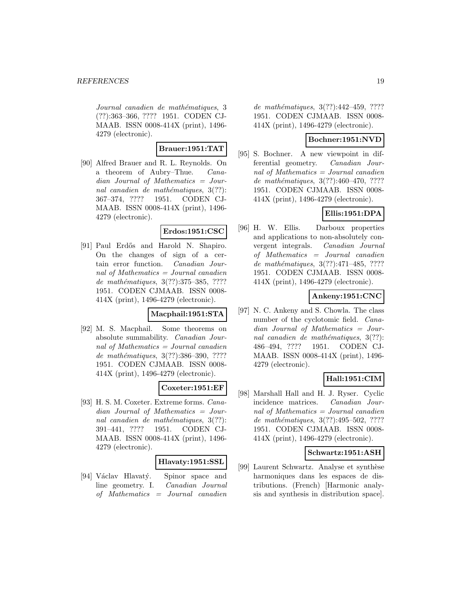Journal canadien de mathématiques, 3 (??):363–366, ???? 1951. CODEN CJ-MAAB. ISSN 0008-414X (print), 1496- 4279 (electronic).

### **Brauer:1951:TAT**

[90] Alfred Brauer and R. L. Reynolds. On a theorem of Aubry–Thue. Canadian Journal of Mathematics = Journal canadien de mathématiques,  $3(??)$ : 367–374, ???? 1951. CODEN CJ-MAAB. ISSN 0008-414X (print), 1496- 4279 (electronic).

### **Erdos:1951:CSC**

[91] Paul Erdős and Harold N. Shapiro. On the changes of sign of a certain error function. Canadian Journal of Mathematics = Journal canadien de mathématiques,  $3(??)$ :375-385, ???? 1951. CODEN CJMAAB. ISSN 0008- 414X (print), 1496-4279 (electronic).

#### **Macphail:1951:STA**

[92] M. S. Macphail. Some theorems on absolute summability. Canadian Journal of Mathematics  $=$  Journal canadien de mathématiques, 3(??):386-390, ???? 1951. CODEN CJMAAB. ISSN 0008- 414X (print), 1496-4279 (electronic).

### **Coxeter:1951:EF**

[93] H. S. M. Coxeter. Extreme forms. Canadian Journal of Mathematics = Journal canadien de mathématiques,  $3(??)$ : 391–441, ???? 1951. CODEN CJ-MAAB. ISSN 0008-414X (print), 1496- 4279 (electronic).

### **Hlavaty:1951:SSL**

[94] Václav Hlavatý. Spinor space and line geometry. I. Canadian Journal of Mathematics = Journal canadien

de mathématiques, 3(??):442-459, ???? 1951. CODEN CJMAAB. ISSN 0008- 414X (print), 1496-4279 (electronic).

### **Bochner:1951:NVD**

[95] S. Bochner. A new viewpoint in differential geometry. Canadian Journal of Mathematics = Journal canadien de mathématiques,  $3(??):460-470, ????$ 1951. CODEN CJMAAB. ISSN 0008- 414X (print), 1496-4279 (electronic).

# **Ellis:1951:DPA**

[96] H. W. Ellis. Darboux properties and applications to non-absolutely convergent integrals. Canadian Journal of Mathematics = Journal canadien de mathématiques, 3(??):471-485, ???? 1951. CODEN CJMAAB. ISSN 0008- 414X (print), 1496-4279 (electronic).

# **Ankeny:1951:CNC**

[97] N. C. Ankeny and S. Chowla. The class number of the cyclotomic field. *Cana*dian Journal of Mathematics = Journal canadien de mathématiques,  $3(??)$ : 486–494, ???? 1951. CODEN CJ-MAAB. ISSN 0008-414X (print), 1496- 4279 (electronic).

### **Hall:1951:CIM**

[98] Marshall Hall and H. J. Ryser. Cyclic incidence matrices. Canadian Journal of Mathematics = Journal canadien de mathématiques,  $3(??):495-502$ , ???? 1951. CODEN CJMAAB. ISSN 0008- 414X (print), 1496-4279 (electronic).

#### **Schwartz:1951:ASH**

[99] Laurent Schwartz. Analyse et synthèse harmoniques dans les espaces de distributions. (French) [Harmonic analysis and synthesis in distribution space].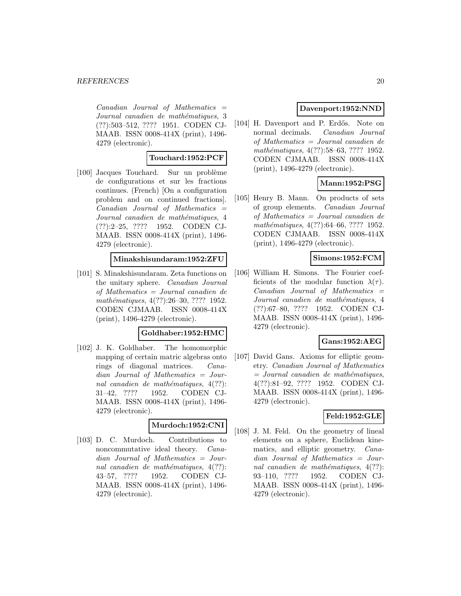$Canadian$  Journal of Mathematics  $=$ Journal canadien de mathématiques, 3 (??):503–512, ???? 1951. CODEN CJ-MAAB. ISSN 0008-414X (print), 1496- 4279 (electronic).

### **Touchard:1952:PCF**

[100] Jacques Touchard. Sur un problème de configurations et sur les fractions continues. (French) [On a configuration problem and on continued fractions].  $Canadian$  Journal of Mathematics  $=$ Journal canadien de mathématiques, 4 (??):2–25, ???? 1952. CODEN CJ-MAAB. ISSN 0008-414X (print), 1496- 4279 (electronic).

### **Minakshisundaram:1952:ZFU**

[101] S. Minakshisundaram. Zeta functions on the unitary sphere. Canadian Journal of Mathematics = Journal canadien de mathématiques, 4(??):26–30, ???? 1952. CODEN CJMAAB. ISSN 0008-414X (print), 1496-4279 (electronic).

#### **Goldhaber:1952:HMC**

[102] J. K. Goldhaber. The homomorphic mapping of certain matric algebras onto rings of diagonal matrices. Canadian Journal of Mathematics = Journal canadien de mathématiques,  $4(??)$ : 31–42, ???? 1952. CODEN CJ-MAAB. ISSN 0008-414X (print), 1496- 4279 (electronic).

#### **Murdoch:1952:CNI**

[103] D. C. Murdoch. Contributions to noncommutative ideal theory. Canadian Journal of Mathematics = Journal canadien de mathématiques,  $4(??)$ : 43–57, ???? 1952. CODEN CJ-MAAB. ISSN 0008-414X (print), 1496- 4279 (electronic).

#### **Davenport:1952:NND**

[104] H. Davenport and P. Erdős. Note on normal decimals. Canadian Journal of Mathematics = Journal canadien de mathématiques, 4(??):58–63, ???? 1952. CODEN CJMAAB. ISSN 0008-414X (print), 1496-4279 (electronic).

# **Mann:1952:PSG**

[105] Henry B. Mann. On products of sets of group elements. Canadian Journal of Mathematics = Journal canadien de mathématiques, 4(??):64–66, ???? 1952. CODEN CJMAAB. ISSN 0008-414X (print), 1496-4279 (electronic).

#### **Simons:1952:FCM**

[106] William H. Simons. The Fourier coefficients of the modular function  $\lambda(\tau)$ .  $Canadian$  Journal of Mathematics  $=$ Journal canadien de mathématiques, 4 (??):67–80, ???? 1952. CODEN CJ-MAAB. ISSN 0008-414X (print), 1496- 4279 (electronic).

### **Gans:1952:AEG**

[107] David Gans. Axioms for elliptic geometry. Canadian Journal of Mathematics  $=$  Journal canadien de mathématiques, 4(??):81–92, ???? 1952. CODEN CJ-MAAB. ISSN 0008-414X (print), 1496- 4279 (electronic).

### **Feld:1952:GLE**

[108] J. M. Feld. On the geometry of lineal elements on a sphere, Euclidean kinematics, and elliptic geometry. Canadian Journal of Mathematics = Journal canadien de mathématiques,  $4(??)$ : 93–110, ???? 1952. CODEN CJ-MAAB. ISSN 0008-414X (print), 1496- 4279 (electronic).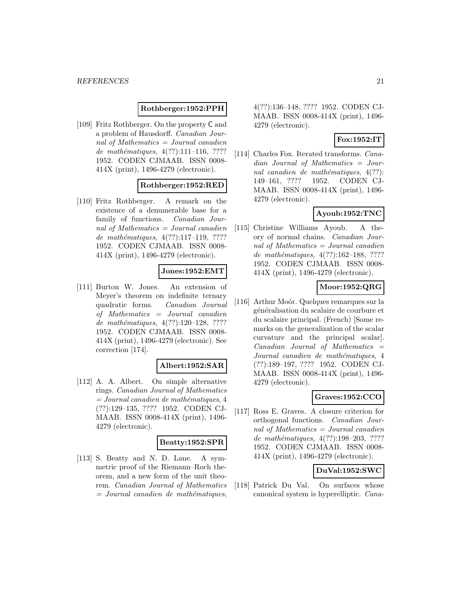### **Rothberger:1952:PPH**

[109] Fritz Rothberger. On the property C and a problem of Hausdorff. Canadian Journal of Mathematics = Journal canadien de mathématiques,  $4(??):111-116$ , ???? 1952. CODEN CJMAAB. ISSN 0008- 414X (print), 1496-4279 (electronic).

### **Rothberger:1952:RED**

[110] Fritz Rothberger. A remark on the existence of a denumerable base for a family of functions. Canadian Journal of Mathematics  $=$  Journal canadien de mathématiques,  $4(??):117-119$ , ???? 1952. CODEN CJMAAB. ISSN 0008- 414X (print), 1496-4279 (electronic).

### **Jones:1952:EMT**

[111] Burton W. Jones. An extension of Meyer's theorem on indefinite ternary quadratic forms. Canadian Journal of Mathematics = Journal canadien de mathématiques,  $4(??):120-128$ , ???? 1952. CODEN CJMAAB. ISSN 0008- 414X (print), 1496-4279 (electronic). See correction [174].

#### **Albert:1952:SAR**

[112] A. A. Albert. On simple alternative rings. Canadian Journal of Mathematics  $= Journal\,canadien\,de\,math>$ (??):129–135, ???? 1952. CODEN CJ-MAAB. ISSN 0008-414X (print), 1496- 4279 (electronic).

#### **Beatty:1952:SPR**

[113] S. Beatty and N. D. Lane. A symmetric proof of the Riemann–Roch theorem, and a new form of the unit theorem. Canadian Journal of Mathematics  $=$  Journal canadien de mathématiques,

4(??):136–148, ???? 1952. CODEN CJ-MAAB. ISSN 0008-414X (print), 1496- 4279 (electronic).

#### **Fox:1952:IT**

[114] Charles Fox. Iterated transforms. *Cana*dian Journal of Mathematics = Journal canadien de mathématiques,  $4(??)$ : 149–161, ???? 1952. CODEN CJ-MAAB. ISSN 0008-414X (print), 1496- 4279 (electronic).

# **Ayoub:1952:TNC**

[115] Christine Williams Ayoub. A theory of normal chains. Canadian Journal of Mathematics = Journal canadien de mathématiques, 4(??):162-188, ???? 1952. CODEN CJMAAB. ISSN 0008- 414X (print), 1496-4279 (electronic).

### **Moor:1952:QRG**

[116] Arthur Moór. Quelques remarques sur la généralisation du scalaire de courbure et du scalaire principal. (French) [Some remarks on the generalization of the scalar curvature and the principal scalar].  $Canadian$  Journal of Mathematics  $=$ Journal canadien de mathématiques, 4 (??):189–197, ???? 1952. CODEN CJ-MAAB. ISSN 0008-414X (print), 1496- 4279 (electronic).

# **Graves:1952:CCO**

[117] Ross E. Graves. A closure criterion for orthogonal functions. Canadian Journal of Mathematics = Journal canadien de mathématiques, 4(??):198–203, ???? 1952. CODEN CJMAAB. ISSN 0008- 414X (print), 1496-4279 (electronic).

### **DuVal:1952:SWC**

[118] Patrick Du Val. On surfaces whose canonical system is hyperelliptic. Cana-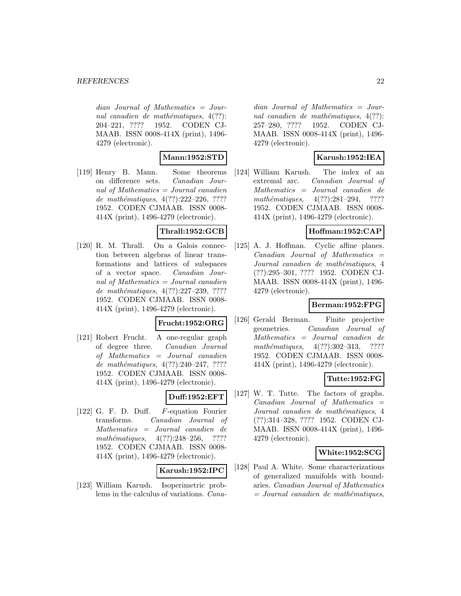dian Journal of Mathematics = Journal canadien de mathématiques,  $4(??)$ : 204–221, ???? 1952. CODEN CJ-MAAB. ISSN 0008-414X (print), 1496- 4279 (electronic).

### **Mann:1952:STD**

[119] Henry B. Mann. Some theorems on difference sets. Canadian Journal of Mathematics = Journal canadien de mathématiques,  $4(??):222-226, ????$ 1952. CODEN CJMAAB. ISSN 0008- 414X (print), 1496-4279 (electronic).

### **Thrall:1952:GCB**

[120] R. M. Thrall. On a Galois connection between algebras of linear transformations and lattices of subspaces of a vector space. Canadian Journal of Mathematics = Journal canadien de mathématiques, 4(??):227–239, ???? 1952. CODEN CJMAAB. ISSN 0008- 414X (print), 1496-4279 (electronic).

### **Frucht:1952:ORG**

[121] Robert Frucht. A one-regular graph of degree three. Canadian Journal of Mathematics = Journal canadien de mathématiques,  $4(??):240-247, ????$ 1952. CODEN CJMAAB. ISSN 0008- 414X (print), 1496-4279 (electronic).

### **Duff:1952:EFT**

[122] G. F. D. Duff. F-equation Fourier transforms. Canadian Journal of Mathematics = Journal canadien de mathématiques,  $4(??):248-256$ , ???? 1952. CODEN CJMAAB. ISSN 0008- 414X (print), 1496-4279 (electronic).

### **Karush:1952:IPC**

[123] William Karush. Isoperimetric problems in the calculus of variations. Cana-

dian Journal of Mathematics = Journal canadien de mathématiques,  $4(??)$ : 257–280, ???? 1952. CODEN CJ-MAAB. ISSN 0008-414X (print), 1496- 4279 (electronic).

### **Karush:1952:IEA**

[124] William Karush. The index of an extremal arc. Canadian Journal of Mathematics = Journal canadien de  $mathématiques, \quad 4(??):281-294, \quad ????$ 1952. CODEN CJMAAB. ISSN 0008- 414X (print), 1496-4279 (electronic).

### **Hoffman:1952:CAP**

[125] A. J. Hoffman. Cyclic affine planes.  $Canadian$  Journal of Mathematics  $=$ Journal canadien de mathématiques, 4 (??):295–301, ???? 1952. CODEN CJ-MAAB. ISSN 0008-414X (print), 1496- 4279 (electronic).

### **Berman:1952:FPG**

[126] Gerald Berman. Finite projective geometries. Canadian Journal of Mathematics = Journal canadien de  $mathématiques, 4(??):302-313, ????$ 1952. CODEN CJMAAB. ISSN 0008- 414X (print), 1496-4279 (electronic).

### **Tutte:1952:FG**

[127] W. T. Tutte. The factors of graphs.  $Canadian$  Journal of Mathematics  $=$ Journal canadien de mathématiques, 4 (??):314–328, ???? 1952. CODEN CJ-MAAB. ISSN 0008-414X (print), 1496- 4279 (electronic).

#### **White:1952:SCG**

[128] Paul A. White. Some characterizations of generalized manifolds with boundaries. Canadian Journal of Mathematics  $=$  Journal canadien de mathématiques,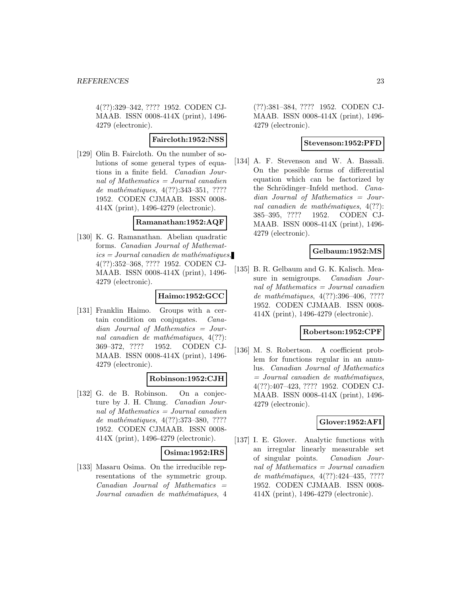4(??):329–342, ???? 1952. CODEN CJ-MAAB. ISSN 0008-414X (print), 1496- 4279 (electronic).

#### **Faircloth:1952:NSS**

[129] Olin B. Faircloth. On the number of solutions of some general types of equations in a finite field. Canadian Journal of Mathematics = Journal canadien de mathématiques, 4(??):343-351, ???? 1952. CODEN CJMAAB. ISSN 0008- 414X (print), 1496-4279 (electronic).

#### **Ramanathan:1952:AQF**

[130] K. G. Ramanathan. Abelian quadratic forms. Canadian Journal of Mathemat $ics = Journal\,canadien\,de\,math>$ 4(??):352–368, ???? 1952. CODEN CJ-MAAB. ISSN 0008-414X (print), 1496- 4279 (electronic).

### **Haimo:1952:GCC**

[131] Franklin Haimo. Groups with a certain condition on conjugates. Canadian Journal of Mathematics = Journal canadien de mathématiques,  $4(??)$ : 369–372, ???? 1952. CODEN CJ-MAAB. ISSN 0008-414X (print), 1496- 4279 (electronic).

#### **Robinson:1952:CJH**

[132] G. de B. Robinson. On a conjecture by J. H. Chung. Canadian Journal of Mathematics  $=$  Journal canadien de mathématiques, 4(??):373-380, ???? 1952. CODEN CJMAAB. ISSN 0008- 414X (print), 1496-4279 (electronic).

#### **Osima:1952:IRS**

[133] Masaru Osima. On the irreducible representations of the symmetric group.  $Canadian$  Journal of Mathematics  $=$ Journal canadien de mathématiques, 4 (??):381–384, ???? 1952. CODEN CJ-MAAB. ISSN 0008-414X (print), 1496- 4279 (electronic).

### **Stevenson:1952:PFD**

[134] A. F. Stevenson and W. A. Bassali. On the possible forms of differential equation which can be factorized by the Schrödinger–Infeld method. Canadian Journal of Mathematics = Journal canadien de mathématiques,  $4(??)$ : 385–395, ???? 1952. CODEN CJ-MAAB. ISSN 0008-414X (print), 1496- 4279 (electronic).

### **Gelbaum:1952:MS**

[135] B. R. Gelbaum and G. K. Kalisch. Measure in semigroups. *Canadian Jour*nal of Mathematics = Journal canadien de mathématiques, 4(??):396-406, ???? 1952. CODEN CJMAAB. ISSN 0008- 414X (print), 1496-4279 (electronic).

#### **Robertson:1952:CPF**

[136] M. S. Robertson. A coefficient problem for functions regular in an annulus. Canadian Journal of Mathematics  $=$  Journal canadien de mathématiques, 4(??):407–423, ???? 1952. CODEN CJ-MAAB. ISSN 0008-414X (print), 1496- 4279 (electronic).

### **Glover:1952:AFI**

[137] I. E. Glover. Analytic functions with an irregular linearly measurable set of singular points. Canadian Journal of Mathematics  $=$  Journal canadien de mathématiques, 4(??):424-435, ???? 1952. CODEN CJMAAB. ISSN 0008- 414X (print), 1496-4279 (electronic).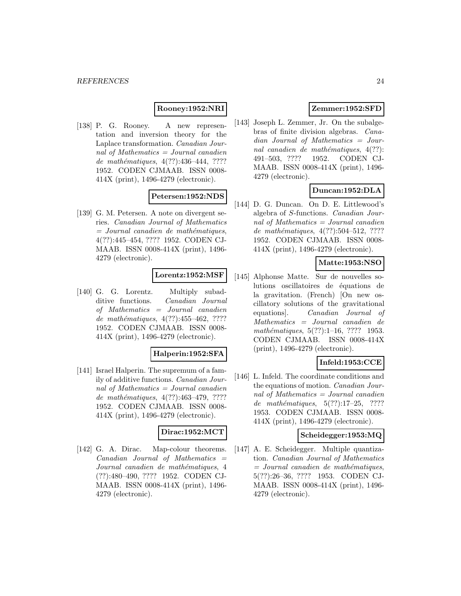### **Rooney:1952:NRI**

[138] P. G. Rooney. A new representation and inversion theory for the Laplace transformation. Canadian Journal of Mathematics = Journal canadien de mathématiques, 4(??):436-444, ???? 1952. CODEN CJMAAB. ISSN 0008- 414X (print), 1496-4279 (electronic).

### **Petersen:1952:NDS**

[139] G. M. Petersen. A note on divergent series. Canadian Journal of Mathematics  $=$  Journal canadien de mathématiques, 4(??):445–454, ???? 1952. CODEN CJ-MAAB. ISSN 0008-414X (print), 1496- 4279 (electronic).

### **Lorentz:1952:MSF**

[140] G. G. Lorentz. Multiply subadditive functions. Canadian Journal of Mathematics = Journal canadien de mathématiques,  $4(??):455-462, ????$ 1952. CODEN CJMAAB. ISSN 0008- 414X (print), 1496-4279 (electronic).

#### **Halperin:1952:SFA**

[141] Israel Halperin. The supremum of a family of additive functions. Canadian Journal of Mathematics = Journal canadien de mathématiques, 4(??):463-479, ???? 1952. CODEN CJMAAB. ISSN 0008- 414X (print), 1496-4279 (electronic).

### **Dirac:1952:MCT**

[142] G. A. Dirac. Map-colour theorems.  $Canadian$  Journal of Mathematics  $=$ Journal canadien de mathématiques, 4 (??):480–490, ???? 1952. CODEN CJ-MAAB. ISSN 0008-414X (print), 1496- 4279 (electronic).

# **Zemmer:1952:SFD**

[143] Joseph L. Zemmer, Jr. On the subalgebras of finite division algebras. Canadian Journal of Mathematics = Journal canadien de mathématiques,  $4(??)$ : 491–503, ???? 1952. CODEN CJ-MAAB. ISSN 0008-414X (print), 1496- 4279 (electronic).

# **Duncan:1952:DLA**

[144] D. G. Duncan. On D. E. Littlewood's algebra of S-functions. Canadian Journal of Mathematics = Journal canadien de mathématiques,  $4(??):504-512, ????$ 1952. CODEN CJMAAB. ISSN 0008- 414X (print), 1496-4279 (electronic).

### **Matte:1953:NSO**

[145] Alphonse Matte. Sur de nouvelles solutions oscillatoires de équations de la gravitation. (French) [On new oscillatory solutions of the gravitational equations]. Canadian Journal of Mathematics = Journal canadien de mathématiques,  $5(??):1-16$ , ???? 1953. CODEN CJMAAB. ISSN 0008-414X (print), 1496-4279 (electronic).

### **Infeld:1953:CCE**

[146] L. Infeld. The coordinate conditions and the equations of motion. Canadian Journal of Mathematics  $=$  Journal canadien de mathématiques,  $5(??):17-25$ , ???? 1953. CODEN CJMAAB. ISSN 0008- 414X (print), 1496-4279 (electronic).

### **Scheidegger:1953:MQ**

[147] A. E. Scheidegger. Multiple quantization. Canadian Journal of Mathematics  $=$  Journal canadien de mathématiques, 5(??):26–36, ???? 1953. CODEN CJ-MAAB. ISSN 0008-414X (print), 1496- 4279 (electronic).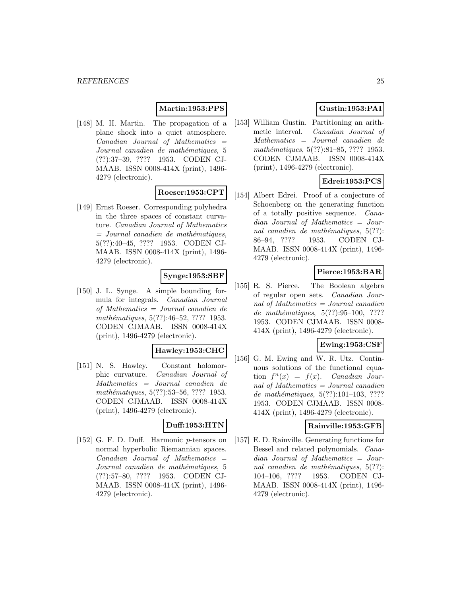### **Martin:1953:PPS**

[148] M. H. Martin. The propagation of a plane shock into a quiet atmosphere.  $Canadian$  Journal of Mathematics  $=$ Journal canadien de mathématiques, 5 (??):37–39, ???? 1953. CODEN CJ-MAAB. ISSN 0008-414X (print), 1496- 4279 (electronic).

# **Roeser:1953:CPT**

[149] Ernst Roeser. Corresponding polyhedra in the three spaces of constant curvature. Canadian Journal of Mathematics  $=$  Journal canadien de mathématiques, 5(??):40–45, ???? 1953. CODEN CJ-MAAB. ISSN 0008-414X (print), 1496- 4279 (electronic).

### **Synge:1953:SBF**

[150] J. L. Synge. A simple bounding formula for integrals. Canadian Journal of Mathematics = Journal canadien de mathématiques, 5(??):46–52, ???? 1953. CODEN CJMAAB. ISSN 0008-414X (print), 1496-4279 (electronic).

### **Hawley:1953:CHC**

[151] N. S. Hawley. Constant holomorphic curvature. Canadian Journal of Mathematics = Journal canadien de mathématiques, 5(??):53–56, ???? 1953. CODEN CJMAAB. ISSN 0008-414X (print), 1496-4279 (electronic).

#### **Duff:1953:HTN**

[152] G. F. D. Duff. Harmonic p-tensors on normal hyperbolic Riemannian spaces.  $Canadian$  Journal of Mathematics  $=$ Journal canadien de mathématiques, 5 (??):57–80, ???? 1953. CODEN CJ-MAAB. ISSN 0008-414X (print), 1496- 4279 (electronic).

# **Gustin:1953:PAI**

[153] William Gustin. Partitioning an arithmetic interval. Canadian Journal of Mathematics = Journal canadien de mathématiques, 5(??):81–85, ???? 1953. CODEN CJMAAB. ISSN 0008-414X (print), 1496-4279 (electronic).

# **Edrei:1953:PCS**

[154] Albert Edrei. Proof of a conjecture of Schoenberg on the generating function of a totally positive sequence. Canadian Journal of Mathematics = Journal canadien de mathématiques,  $5(??)$ : 86–94, ???? 1953. CODEN CJ-MAAB. ISSN 0008-414X (print), 1496- 4279 (electronic).

# **Pierce:1953:BAR**

[155] R. S. Pierce. The Boolean algebra of regular open sets. Canadian Journal of Mathematics = Journal canadien de mathématiques,  $5(??):95-100$ , ???? 1953. CODEN CJMAAB. ISSN 0008- 414X (print), 1496-4279 (electronic).

### **Ewing:1953:CSF**

[156] G. M. Ewing and W. R. Utz. Continuous solutions of the functional equation  $f^{n}(x) = f(x)$ . Canadian Journal of Mathematics  $=$  Journal canadien de mathématiques,  $5(??):101-103$ , ???? 1953. CODEN CJMAAB. ISSN 0008- 414X (print), 1496-4279 (electronic).

#### **Rainville:1953:GFB**

[157] E. D. Rainville. Generating functions for Bessel and related polynomials. Canadian Journal of Mathematics = Journal canadien de mathématiques,  $5(??)$ : 104–106, ???? 1953. CODEN CJ-MAAB. ISSN 0008-414X (print), 1496- 4279 (electronic).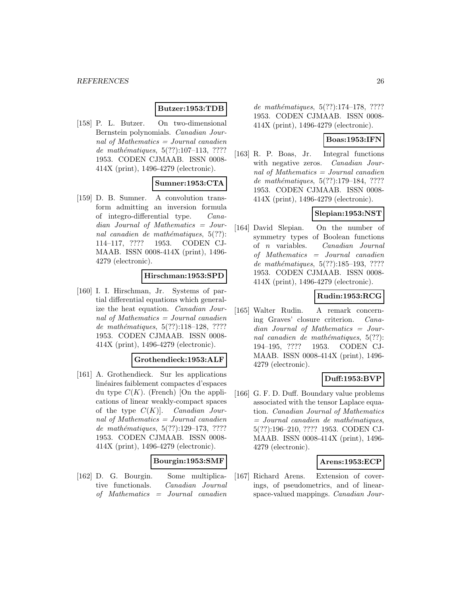### **Butzer:1953:TDB**

[158] P. L. Butzer. On two-dimensional Bernstein polynomials. Canadian Journal of Mathematics = Journal canadien de mathématiques,  $5(??):107-113$ , ???? 1953. CODEN CJMAAB. ISSN 0008- 414X (print), 1496-4279 (electronic).

#### **Sumner:1953:CTA**

[159] D. B. Sumner. A convolution transform admitting an inversion formula of integro-differential type. Canadian Journal of Mathematics = Journal canadien de mathématiques,  $5(??)$ : 114–117, ???? 1953. CODEN CJ-MAAB. ISSN 0008-414X (print), 1496- 4279 (electronic).

#### **Hirschman:1953:SPD**

[160] I. I. Hirschman, Jr. Systems of partial differential equations which generalize the heat equation. Canadian Journal of Mathematics = Journal canadien de mathématiques,  $5(??):118-128$ , ???? 1953. CODEN CJMAAB. ISSN 0008- 414X (print), 1496-4279 (electronic).

### **Grothendieck:1953:ALF**

[161] A. Grothendieck. Sur les applications linéaires faiblement compactes d'espaces du type  $C(K)$ . (French) [On the applications of linear weakly-compact spaces of the type  $C(K)$ . *Canadian Jour*nal of Mathematics = Journal canadien de mathématiques,  $5(??):129-173, ????$ 1953. CODEN CJMAAB. ISSN 0008- 414X (print), 1496-4279 (electronic).

#### **Bourgin:1953:SMF**

[162] D. G. Bourgin. Some multiplicative functionals. Canadian Journal of Mathematics = Journal canadien

de mathématiques,  $5(??):174-178$ , ???? 1953. CODEN CJMAAB. ISSN 0008- 414X (print), 1496-4279 (electronic).

#### **Boas:1953:IFN**

[163] R. P. Boas, Jr. Integral functions with negative zeros. Canadian Journal of Mathematics = Journal canadien de mathématiques,  $5(??):179-184$ , ???? 1953. CODEN CJMAAB. ISSN 0008- 414X (print), 1496-4279 (electronic).

# **Slepian:1953:NST**

[164] David Slepian. On the number of symmetry types of Boolean functions of n variables. Canadian Journal of Mathematics = Journal canadien de mathématiques, 5(??):185-193, ???? 1953. CODEN CJMAAB. ISSN 0008- 414X (print), 1496-4279 (electronic).

# **Rudin:1953:RCG**

[165] Walter Rudin. A remark concerning Graves' closure criterion. Canadian Journal of Mathematics = Journal canadien de mathématiques,  $5(??)$ : 194–195, ???? 1953. CODEN CJ-MAAB. ISSN 0008-414X (print), 1496- 4279 (electronic).

### **Duff:1953:BVP**

[166] G. F. D. Duff. Boundary value problems associated with the tensor Laplace equation. Canadian Journal of Mathematics  $=$  Journal canadien de mathématiques, 5(??):196–210, ???? 1953. CODEN CJ-MAAB. ISSN 0008-414X (print), 1496- 4279 (electronic).

### **Arens:1953:ECP**

[167] Richard Arens. Extension of coverings, of pseudometrics, and of linearspace-valued mappings. Canadian Jour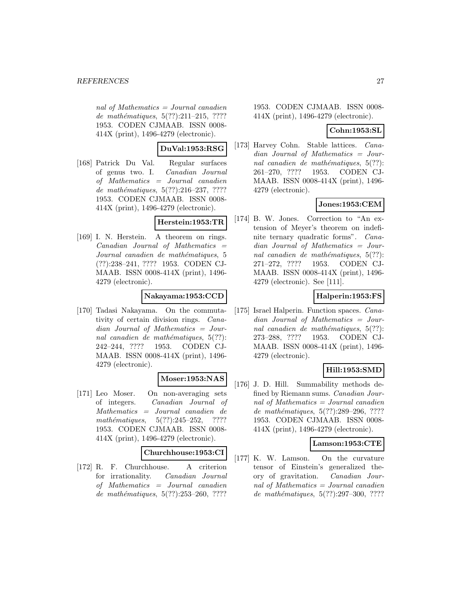nal of Mathematics  $=$  Journal canadien de mathématiques,  $5(??):211-215$ , ???? 1953. CODEN CJMAAB. ISSN 0008- 414X (print), 1496-4279 (electronic).

### **DuVal:1953:RSG**

[168] Patrick Du Val. Regular surfaces of genus two. I. Canadian Journal of Mathematics = Journal canadien de mathématiques,  $5(??):216-237, ????$ 1953. CODEN CJMAAB. ISSN 0008- 414X (print), 1496-4279 (electronic).

### **Herstein:1953:TR**

[169] I. N. Herstein. A theorem on rings. Canadian Journal of Mathematics = Journal canadien de mathématiques, 5 (??):238–241, ???? 1953. CODEN CJ-MAAB. ISSN 0008-414X (print), 1496- 4279 (electronic).

### **Nakayama:1953:CCD**

[170] Tadasi Nakayama. On the commutativity of certain division rings. Canadian Journal of Mathematics = Journal canadien de mathématiques,  $5(??)$ : 242–244, ???? 1953. CODEN CJ-MAAB. ISSN 0008-414X (print), 1496- 4279 (electronic).

# **Moser:1953:NAS**

[171] Leo Moser. On non-averaging sets of integers. Canadian Journal of Mathematics = Journal canadien de mathématiques,  $5(??):245-252$ , ???? 1953. CODEN CJMAAB. ISSN 0008- 414X (print), 1496-4279 (electronic).

#### **Churchhouse:1953:CI**

[172] R. F. Churchhouse. A criterion for irrationality. Canadian Journal of Mathematics = Journal canadien de mathématiques,  $5(??):253-260$ , ????

1953. CODEN CJMAAB. ISSN 0008- 414X (print), 1496-4279 (electronic).

#### **Cohn:1953:SL**

[173] Harvey Cohn. Stable lattices. Canadian Journal of Mathematics = Journal canadien de mathématiques,  $5(??)$ : 261–270, ???? 1953. CODEN CJ-MAAB. ISSN 0008-414X (print), 1496- 4279 (electronic).

### **Jones:1953:CEM**

[174] B. W. Jones. Correction to "An extension of Meyer's theorem on indefinite ternary quadratic forms". Canadian Journal of Mathematics = Journal canadien de mathématiques,  $5(??)$ : 271–272, ???? 1953. CODEN CJ-MAAB. ISSN 0008-414X (print), 1496- 4279 (electronic). See [111].

### **Halperin:1953:FS**

[175] Israel Halperin. Function spaces. Canadian Journal of Mathematics = Journal canadien de mathématiques,  $5(??)$ : 273–288, ???? 1953. CODEN CJ-MAAB. ISSN 0008-414X (print), 1496- 4279 (electronic).

# **Hill:1953:SMD**

[176] J. D. Hill. Summability methods defined by Riemann sums. Canadian Journal of Mathematics = Journal canadien de mathématiques, 5(??):289–296, ???? 1953. CODEN CJMAAB. ISSN 0008- 414X (print), 1496-4279 (electronic).

### **Lamson:1953:CTE**

[177] K. W. Lamson. On the curvature tensor of Einstein's generalized theory of gravitation. Canadian Journal of Mathematics = Journal canadien de mathématiques,  $5(??):297-300$ , ????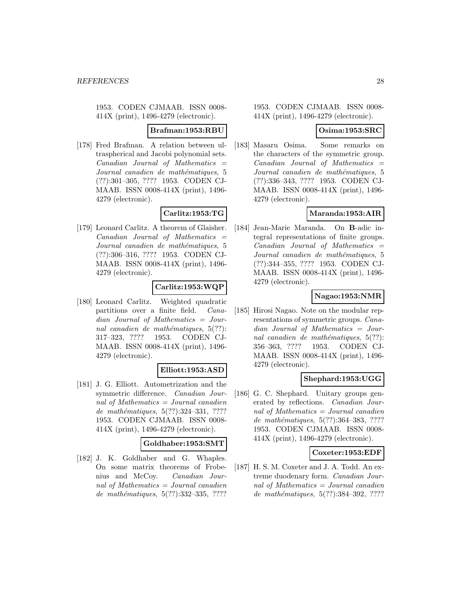#### **Brafman:1953:RBU**

[178] Fred Brafman. A relation between ultraspherical and Jacobi polynomial sets.  $Canadian$  Journal of Mathematics  $=$ Journal canadien de mathématiques, 5 (??):301–305, ???? 1953. CODEN CJ-MAAB. ISSN 0008-414X (print), 1496- 4279 (electronic).

# **Carlitz:1953:TG**

[179] Leonard Carlitz. A theorem of Glaisher.  $Canadian$  Journal of Mathematics  $=$ Journal canadien de mathématiques, 5 (??):306–316, ???? 1953. CODEN CJ-MAAB. ISSN 0008-414X (print), 1496- 4279 (electronic).

### **Carlitz:1953:WQP**

[180] Leonard Carlitz. Weighted quadratic partitions over a finite field. Canadian Journal of Mathematics = Journal canadien de mathématiques,  $5(??)$ : 317–323, ???? 1953. CODEN CJ-MAAB. ISSN 0008-414X (print), 1496- 4279 (electronic).

#### **Elliott:1953:ASD**

[181] J. G. Elliott. Autometrization and the symmetric difference. Canadian Journal of Mathematics = Journal canadien de mathématiques,  $5(??):324-331, ????$ 1953. CODEN CJMAAB. ISSN 0008- 414X (print), 1496-4279 (electronic).

#### **Goldhaber:1953:SMT**

[182] J. K. Goldhaber and G. Whaples. On some matrix theorems of Frobenius and McCoy. Canadian Journal of Mathematics = Journal canadien de mathématiques,  $5(??):332-335, ????$ 

1953. CODEN CJMAAB. ISSN 0008- 414X (print), 1496-4279 (electronic).

#### **Osima:1953:SRC**

[183] Masaru Osima. Some remarks on the characters of the symmetric group.  $Canadian$  Journal of Mathematics  $=$ Journal canadien de mathématiques, 5 (??):336–343, ???? 1953. CODEN CJ-MAAB. ISSN 0008-414X (print), 1496- 4279 (electronic).

### **Maranda:1953:AIR**

[184] Jean-Marie Maranda. On **B**-adic integral representations of finite groups.  $Canadian$  Journal of Mathematics  $=$ Journal canadien de mathématiques, 5 (??):344–355, ???? 1953. CODEN CJ-MAAB. ISSN 0008-414X (print), 1496- 4279 (electronic).

# **Nagao:1953:NMR**

[185] Hirosi Nagao. Note on the modular representations of symmetric groups. Canadian Journal of Mathematics = Journal canadien de mathématiques,  $5(??)$ : 356–363, ???? 1953. CODEN CJ-MAAB. ISSN 0008-414X (print), 1496- 4279 (electronic).

### **Shephard:1953:UGG**

[186] G. C. Shephard. Unitary groups generated by reflections. Canadian Journal of Mathematics = Journal canadien de mathématiques, 5(??):364-383, ???? 1953. CODEN CJMAAB. ISSN 0008- 414X (print), 1496-4279 (electronic).

#### **Coxeter:1953:EDF**

[187] H. S. M. Coxeter and J. A. Todd. An extreme duodenary form. Canadian Journal of Mathematics = Journal canadien de mathématiques, 5(??):384-392, ????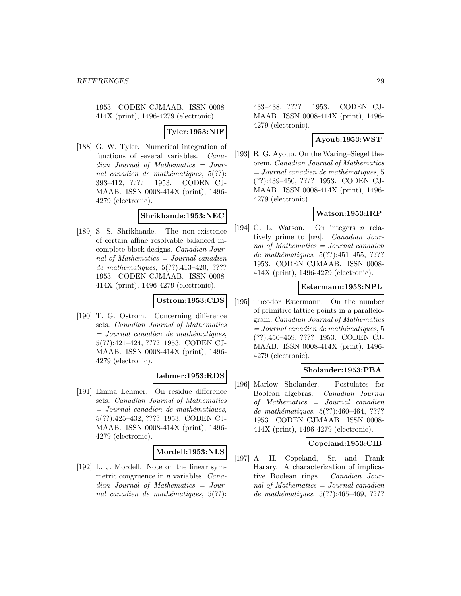**Tyler:1953:NIF**

[188] G. W. Tyler. Numerical integration of functions of several variables. Canadian Journal of Mathematics = Journal canadien de mathématiques,  $5(??)$ : 393–412, ???? 1953. CODEN CJ-MAAB. ISSN 0008-414X (print), 1496- 4279 (electronic).

### **Shrikhande:1953:NEC**

[189] S. S. Shrikhande. The non-existence of certain affine resolvable balanced incomplete block designs. Canadian Journal of Mathematics = Journal canadien de mathématiques,  $5(??):413-420$ , ???? 1953. CODEN CJMAAB. ISSN 0008- 414X (print), 1496-4279 (electronic).

### **Ostrom:1953:CDS**

[190] T. G. Ostrom. Concerning difference sets. Canadian Journal of Mathematics  $=$  Journal canadien de mathématiques, 5(??):421–424, ???? 1953. CODEN CJ-MAAB. ISSN 0008-414X (print), 1496- 4279 (electronic).

#### **Lehmer:1953:RDS**

[191] Emma Lehmer. On residue difference sets. Canadian Journal of Mathematics  $=$  Journal canadien de mathématiques, 5(??):425–432, ???? 1953. CODEN CJ-MAAB. ISSN 0008-414X (print), 1496- 4279 (electronic).

### **Mordell:1953:NLS**

[192] L. J. Mordell. Note on the linear symmetric congruence in n variables. Canadian Journal of Mathematics = Journal canadien de mathématiques,  $5(??)$ :

433–438, ???? 1953. CODEN CJ-MAAB. ISSN 0008-414X (print), 1496- 4279 (electronic).

### **Ayoub:1953:WST**

[193] R. G. Ayoub. On the Waring–Siegel theorem. Canadian Journal of Mathematics  $= Journal\,canadien\,de\,math>$ (??):439–450, ???? 1953. CODEN CJ-MAAB. ISSN 0008-414X (print), 1496- 4279 (electronic).

# **Watson:1953:IRP**

[194] G. L. Watson. On integers n relatively prime to  $[\alpha n]$ . *Canadian Jour*nal of Mathematics = Journal canadien de mathématiques,  $5(??):451-455, ????$ 1953. CODEN CJMAAB. ISSN 0008- 414X (print), 1496-4279 (electronic).

### **Estermann:1953:NPL**

[195] Theodor Estermann. On the number of primitive lattice points in a parallelogram. Canadian Journal of Mathematics  $= Journal\,canadien\,de\,math>$ (??):456–459, ???? 1953. CODEN CJ-MAAB. ISSN 0008-414X (print), 1496- 4279 (electronic).

### **Sholander:1953:PBA**

[196] Marlow Sholander. Postulates for Boolean algebras. Canadian Journal of Mathematics = Journal canadien de mathématiques,  $5(??):460-464, ????$ 1953. CODEN CJMAAB. ISSN 0008- 414X (print), 1496-4279 (electronic).

### **Copeland:1953:CIB**

[197] A. H. Copeland, Sr. and Frank Harary. A characterization of implicative Boolean rings. Canadian Journal of Mathematics = Journal canadien de mathématiques,  $5(??):465-469, ????$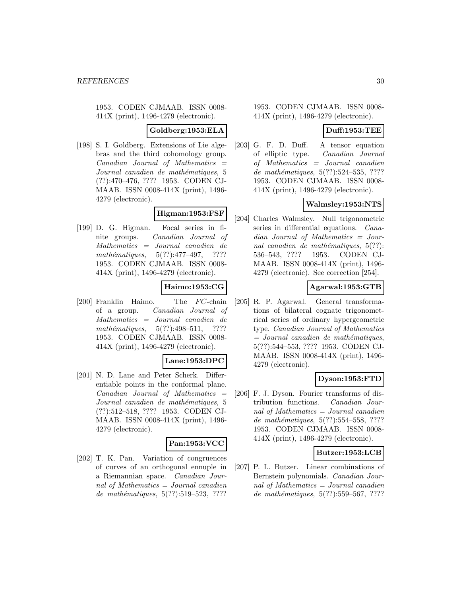### **Goldberg:1953:ELA**

[198] S. I. Goldberg. Extensions of Lie algebras and the third cohomology group.  $Canadian$  Journal of Mathematics  $=$ Journal canadien de mathématiques, 5 (??):470–476, ???? 1953. CODEN CJ-MAAB. ISSN 0008-414X (print), 1496- 4279 (electronic).

# **Higman:1953:FSF**

[199] D. G. Higman. Focal series in finite groups. Canadian Journal of Mathematics = Journal canadien de mathématiques,  $5(??):477-497$ , ???? 1953. CODEN CJMAAB. ISSN 0008- 414X (print), 1496-4279 (electronic).

# **Haimo:1953:CG**

[200] Franklin Haimo. The  $FC$ -chain of a group. Canadian Journal of Mathematics = Journal canadien de mathématiques,  $5(??):498-511$ , ???? 1953. CODEN CJMAAB. ISSN 0008- 414X (print), 1496-4279 (electronic).

#### **Lane:1953:DPC**

[201] N. D. Lane and Peter Scherk. Differentiable points in the conformal plane. Canadian Journal of Mathematics = Journal canadien de mathématiques, 5 (??):512–518, ???? 1953. CODEN CJ-MAAB. ISSN 0008-414X (print), 1496- 4279 (electronic).

#### **Pan:1953:VCC**

[202] T. K. Pan. Variation of congruences of curves of an orthogonal ennuple in a Riemannian space. Canadian Journal of Mathematics = Journal canadien de mathématiques,  $5(??):519-523, ????$ 

#### 1953. CODEN CJMAAB. ISSN 0008- 414X (print), 1496-4279 (electronic).

### **Duff:1953:TEE**

[203] G. F. D. Duff. A tensor equation of elliptic type. Canadian Journal of Mathematics = Journal canadien de mathématiques,  $5(??):524-535, ????$ 1953. CODEN CJMAAB. ISSN 0008- 414X (print), 1496-4279 (electronic).

### **Walmsley:1953:NTS**

[204] Charles Walmsley. Null trigonometric series in differential equations. Canadian Journal of Mathematics = Journal canadien de mathématiques,  $5(??)$ : 536–543, ???? 1953. CODEN CJ-MAAB. ISSN 0008-414X (print), 1496- 4279 (electronic). See correction [254].

### **Agarwal:1953:GTB**

[205] R. P. Agarwal. General transformations of bilateral cognate trigonometrical series of ordinary hypergeometric type. Canadian Journal of Mathematics  $=$  Journal canadien de mathématiques, 5(??):544–553, ???? 1953. CODEN CJ-MAAB. ISSN 0008-414X (print), 1496- 4279 (electronic).

### **Dyson:1953:FTD**

[206] F. J. Dyson. Fourier transforms of distribution functions. Canadian Journal of Mathematics = Journal canadien de mathématiques,  $5(??):554-558$ , ???? 1953. CODEN CJMAAB. ISSN 0008- 414X (print), 1496-4279 (electronic).

#### **Butzer:1953:LCB**

[207] P. L. Butzer. Linear combinations of Bernstein polynomials. Canadian Journal of Mathematics = Journal canadien de mathématiques,  $5(??)$ :559–567, ????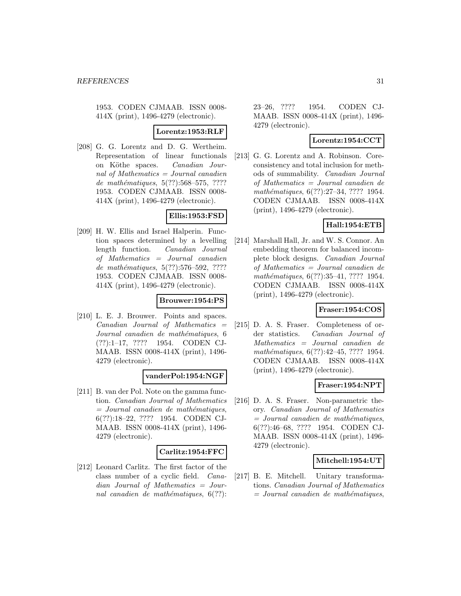#### **Lorentz:1953:RLF**

[208] G. G. Lorentz and D. G. Wertheim. Representation of linear functionals on Köthe spaces. Canadian Journal of Mathematics  $=$  Journal canadien de mathématiques,  $5(??):568-575, ????$ 1953. CODEN CJMAAB. ISSN 0008- 414X (print), 1496-4279 (electronic).

# **Ellis:1953:FSD**

[209] H. W. Ellis and Israel Halperin. Function spaces determined by a levelling length function. Canadian Journal of Mathematics = Journal canadien de mathématiques,  $5(??)$ :576–592, ???? 1953. CODEN CJMAAB. ISSN 0008- 414X (print), 1496-4279 (electronic).

#### **Brouwer:1954:PS**

[210] L. E. J. Brouwer. Points and spaces.  $Canadian$  Journal of Mathematics  $=$ Journal canadien de mathématiques, 6 (??):1–17, ???? 1954. CODEN CJ-MAAB. ISSN 0008-414X (print), 1496- 4279 (electronic).

#### **vanderPol:1954:NGF**

[211] B. van der Pol. Note on the gamma function. Canadian Journal of Mathematics  $=$  Journal canadien de mathématiques, 6(??):18–22, ???? 1954. CODEN CJ-MAAB. ISSN 0008-414X (print), 1496- 4279 (electronic).

#### **Carlitz:1954:FFC**

[212] Leonard Carlitz. The first factor of the class number of a cyclic field. Canadian Journal of Mathematics = Journal canadien de mathématiques,  $6(??)$ :

23–26, ???? 1954. CODEN CJ-MAAB. ISSN 0008-414X (print), 1496- 4279 (electronic).

### **Lorentz:1954:CCT**

[213] G. G. Lorentz and A. Robinson. Coreconsistency and total inclusion for methods of summability. Canadian Journal of Mathematics = Journal canadien de mathématiques, 6(??):27–34, ???? 1954. CODEN CJMAAB. ISSN 0008-414X (print), 1496-4279 (electronic).

### **Hall:1954:ETB**

[214] Marshall Hall, Jr. and W. S. Connor. An embedding theorem for balanced incomplete block designs. Canadian Journal of Mathematics = Journal canadien de mathématiques, 6(??):35–41, ???? 1954. CODEN CJMAAB. ISSN 0008-414X (print), 1496-4279 (electronic).

### **Fraser:1954:COS**

[215] D. A. S. Fraser. Completeness of order statistics. Canadian Journal of Mathematics = Journal canadien de mathématiques, 6(??):42–45, ???? 1954. CODEN CJMAAB. ISSN 0008-414X (print), 1496-4279 (electronic).

### **Fraser:1954:NPT**

[216] D. A. S. Fraser. Non-parametric theory. Canadian Journal of Mathematics  $=$  Journal canadien de mathématiques, 6(??):46–68, ???? 1954. CODEN CJ-MAAB. ISSN 0008-414X (print), 1496- 4279 (electronic).

#### **Mitchell:1954:UT**

[217] B. E. Mitchell. Unitary transformations. Canadian Journal of Mathematics  $=$  Journal canadien de mathématiques,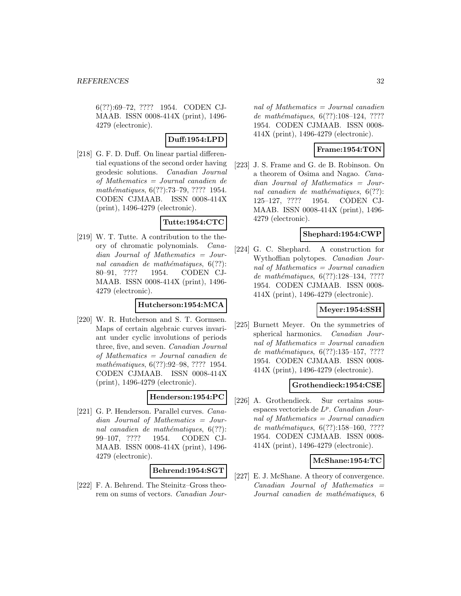6(??):69–72, ???? 1954. CODEN CJ-MAAB. ISSN 0008-414X (print), 1496- 4279 (electronic).

# **Duff:1954:LPD**

[218] G. F. D. Duff. On linear partial differential equations of the second order having geodesic solutions. Canadian Journal of Mathematics = Journal canadien de mathématiques, 6(??):73–79, ???? 1954. CODEN CJMAAB. ISSN 0008-414X (print), 1496-4279 (electronic).

### **Tutte:1954:CTC**

[219] W. T. Tutte. A contribution to the theory of chromatic polynomials. Canadian Journal of Mathematics = Journal canadien de mathématiques,  $6(??)$ : 80–91, ???? 1954. CODEN CJ-MAAB. ISSN 0008-414X (print), 1496- 4279 (electronic).

#### **Hutcherson:1954:MCA**

[220] W. R. Hutcherson and S. T. Gormsen. Maps of certain algebraic curves invariant under cyclic involutions of periods three, five, and seven. Canadian Journal of Mathematics = Journal canadien de mathématiques, 6(??):92–98, ???? 1954. CODEN CJMAAB. ISSN 0008-414X (print), 1496-4279 (electronic).

### **Henderson:1954:PC**

[221] G. P. Henderson. Parallel curves. Canadian Journal of Mathematics = Journal canadien de mathématiques,  $6(??)$ : 99–107, ???? 1954. CODEN CJ-MAAB. ISSN 0008-414X (print), 1496- 4279 (electronic).

#### **Behrend:1954:SGT**

[222] F. A. Behrend. The Steinitz–Gross theorem on sums of vectors. Canadian Journal of Mathematics  $=$  Journal canadien de mathématiques,  $6(??):108-124, ????$ 1954. CODEN CJMAAB. ISSN 0008- 414X (print), 1496-4279 (electronic).

# **Frame:1954:TON**

[223] J. S. Frame and G. de B. Robinson. On a theorem of Osima and Nagao. Canadian Journal of Mathematics = Journal canadien de mathématiques,  $6(??)$ : 125–127, ???? 1954. CODEN CJ-MAAB. ISSN 0008-414X (print), 1496- 4279 (electronic).

### **Shephard:1954:CWP**

[224] G. C. Shephard. A construction for Wythoffian polytopes. Canadian Journal of Mathematics = Journal canadien de mathématiques,  $6(??):128-134, ????$ 1954. CODEN CJMAAB. ISSN 0008- 414X (print), 1496-4279 (electronic).

### **Meyer:1954:SSH**

[225] Burnett Meyer. On the symmetries of spherical harmonics. Canadian Journal of Mathematics = Journal canadien de mathématiques,  $6(??):135-157, ????$ 1954. CODEN CJMAAB. ISSN 0008- 414X (print), 1496-4279 (electronic).

### **Grothendieck:1954:CSE**

[226] A. Grothendieck. Sur certains sousespaces vectoriels de  $L^p$ . Canadian Journal of Mathematics = Journal canadien de mathématiques,  $6(??):158-160, ????$ 1954. CODEN CJMAAB. ISSN 0008- 414X (print), 1496-4279 (electronic).

#### **McShane:1954:TC**

[227] E. J. McShane. A theory of convergence.  $Canadian$  Journal of Mathematics  $=$ Journal canadien de mathématiques, 6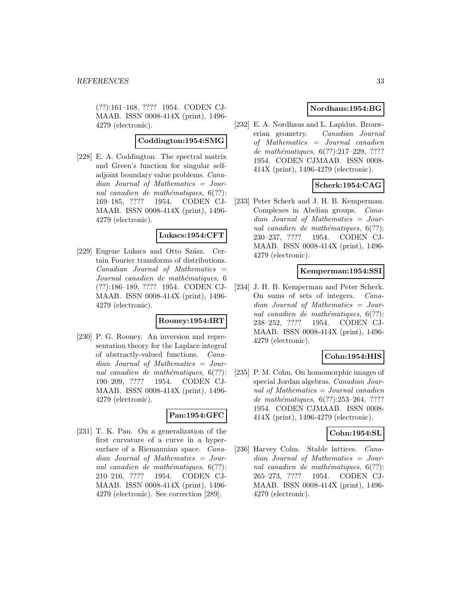(??):161–168, ???? 1954. CODEN CJ-MAAB. ISSN 0008-414X (print), 1496- 4279 (electronic).

#### **Coddington:1954:SMG**

[228] E. A. Coddington. The spectral matrix and Green's function for singular selfadjoint boundary value problems. Canadian Journal of Mathematics = Journal canadien de mathématiques,  $6(??)$ : 169–185, ???? 1954. CODEN CJ-MAAB. ISSN 0008-414X (print), 1496- 4279 (electronic).

#### **Lukacs:1954:CFT**

[229] Eugene Lukacs and Otto Szász. Certain Fourier transforms of distributions.  $Canadian$  Journal of Mathematics  $=$ Journal canadien de mathématiques, 6 (??):186–189, ???? 1954. CODEN CJ-MAAB. ISSN 0008-414X (print), 1496- 4279 (electronic).

#### **Rooney:1954:IRT**

[230] P. G. Rooney. An inversion and representation theory for the Laplace integral of abstractly-valued functions. Canadian Journal of Mathematics = Journal canadien de mathématiques,  $6(??)$ : 190–209, ???? 1954. CODEN CJ-MAAB. ISSN 0008-414X (print), 1496- 4279 (electronic).

### **Pan:1954:GFC**

[231] T. K. Pan. On a generalization of the first curvature of a curve in a hypersurface of a Riemannian space. Canadian Journal of Mathematics = Journal canadien de mathématiques,  $6(??)$ : 210–216, ???? 1954. CODEN CJ-MAAB. ISSN 0008-414X (print), 1496- 4279 (electronic). See correction [289].

# **Nordhaus:1954:BG**

[232] E. A. Nordhaus and L. Lapidus. Brouwerian geometry. Canadian Journal of Mathematics = Journal canadien de mathématiques,  $6(??):217-229, ????$ 1954. CODEN CJMAAB. ISSN 0008- 414X (print), 1496-4279 (electronic).

### **Scherk:1954:CAG**

[233] Peter Scherk and J. H. B. Kemperman. Complexes in Abelian groups. Canadian Journal of Mathematics = Journal canadien de mathématiques,  $6(??)$ : 230–237, ???? 1954. CODEN CJ-MAAB. ISSN 0008-414X (print), 1496- 4279 (electronic).

### **Kemperman:1954:SSI**

[234] J. H. B. Kemperman and Peter Scherk. On sums of sets of integers. Canadian Journal of Mathematics = Journal canadien de mathématiques,  $6(??)$ : 238–252, ???? 1954. CODEN CJ-MAAB. ISSN 0008-414X (print), 1496- 4279 (electronic).

### **Cohn:1954:HIS**

[235] P. M. Cohn. On homomorphic images of special Jordan algebras. Canadian Journal of Mathematics = Journal canadien de mathématiques,  $6(??):253-264, ????$ 1954. CODEN CJMAAB. ISSN 0008- 414X (print), 1496-4279 (electronic).

#### **Cohn:1954:SL**

[236] Harvey Cohn. Stable lattices. Canadian Journal of Mathematics = Journal canadien de mathématiques,  $6(??)$ : 265–273, ???? 1954. CODEN CJ-MAAB. ISSN 0008-414X (print), 1496- 4279 (electronic).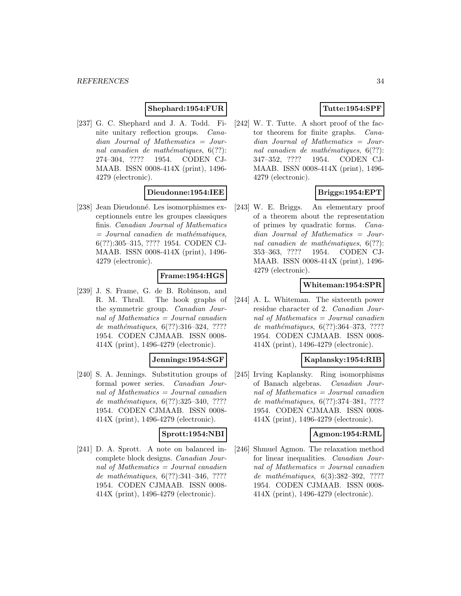# **Shephard:1954:FUR**

[237] G. C. Shephard and J. A. Todd. Finite unitary reflection groups. Canadian Journal of Mathematics = Journal canadien de mathématiques,  $6(??)$ : 274–304, ???? 1954. CODEN CJ-MAAB. ISSN 0008-414X (print), 1496- 4279 (electronic).

### **Dieudonne:1954:IEE**

[238] Jean Dieudonné. Les isomorphismes exceptionnels entre les groupes classiques finis. Canadian Journal of Mathematics  $=$  Journal canadien de mathématiques, 6(??):305–315, ???? 1954. CODEN CJ-MAAB. ISSN 0008-414X (print), 1496- 4279 (electronic).

# **Frame:1954:HGS**

[239] J. S. Frame, G. de B. Robinson, and R. M. Thrall. The hook graphs of the symmetric group. Canadian Journal of Mathematics = Journal canadien de mathématiques,  $6(??):316-324, ????$ 1954. CODEN CJMAAB. ISSN 0008- 414X (print), 1496-4279 (electronic).

### **Jennings:1954:SGF**

[240] S. A. Jennings. Substitution groups of formal power series. Canadian Journal of Mathematics = Journal canadien de mathématiques,  $6(??):325-340, ????$ 1954. CODEN CJMAAB. ISSN 0008- 414X (print), 1496-4279 (electronic).

# **Sprott:1954:NBI**

[241] D. A. Sprott. A note on balanced incomplete block designs. Canadian Journal of Mathematics = Journal canadien de mathématiques,  $6(??):341-346, ????$ 1954. CODEN CJMAAB. ISSN 0008- 414X (print), 1496-4279 (electronic).

# **Tutte:1954:SPF**

[242] W. T. Tutte. A short proof of the factor theorem for finite graphs. Canadian Journal of Mathematics = Journal canadien de mathématiques,  $6(??)$ : 347–352, ???? 1954. CODEN CJ-MAAB. ISSN 0008-414X (print), 1496- 4279 (electronic).

# **Briggs:1954:EPT**

[243] W. E. Briggs. An elementary proof of a theorem about the representation of primes by quadratic forms. Canadian Journal of Mathematics = Journal canadien de mathématiques,  $6(??)$ : 353–363, ???? 1954. CODEN CJ-MAAB. ISSN 0008-414X (print), 1496- 4279 (electronic).

### **Whiteman:1954:SPR**

[244] A. L. Whiteman. The sixteenth power residue character of 2. Canadian Journal of Mathematics  $=$  Journal canadien de mathématiques, 6(??):364-373, ???? 1954. CODEN CJMAAB. ISSN 0008- 414X (print), 1496-4279 (electronic).

#### **Kaplansky:1954:RIB**

[245] Irving Kaplansky. Ring isomorphisms of Banach algebras. Canadian Journal of Mathematics = Journal canadien de mathématiques,  $6(??):374-381, ????$ 1954. CODEN CJMAAB. ISSN 0008- 414X (print), 1496-4279 (electronic).

#### **Agmon:1954:RML**

[246] Shmuel Agmon. The relaxation method for linear inequalities. Canadian Journal of Mathematics = Journal canadien de mathématiques, 6(3):382-392, ???? 1954. CODEN CJMAAB. ISSN 0008- 414X (print), 1496-4279 (electronic).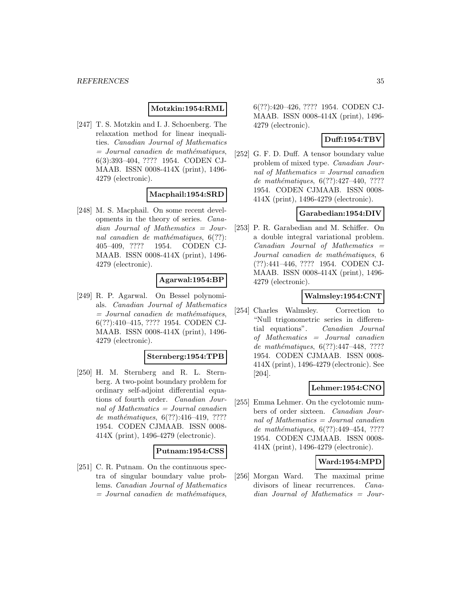### **Motzkin:1954:RML**

[247] T. S. Motzkin and I. J. Schoenberg. The relaxation method for linear inequalities. Canadian Journal of Mathematics  $=$  Journal canadien de mathématiques, 6(3):393–404, ???? 1954. CODEN CJ-MAAB. ISSN 0008-414X (print), 1496- 4279 (electronic).

### **Macphail:1954:SRD**

[248] M. S. Macphail. On some recent developments in the theory of series. Canadian Journal of Mathematics = Journal canadien de mathématiques,  $6(??)$ : 405–409, ???? 1954. CODEN CJ-MAAB. ISSN 0008-414X (print), 1496- 4279 (electronic).

### **Agarwal:1954:BP**

[249] R. P. Agarwal. On Bessel polynomials. Canadian Journal of Mathematics  $=$  Journal canadien de mathématiques, 6(??):410–415, ???? 1954. CODEN CJ-MAAB. ISSN 0008-414X (print), 1496- 4279 (electronic).

#### **Sternberg:1954:TPB**

[250] H. M. Sternberg and R. L. Sternberg. A two-point boundary problem for ordinary self-adjoint differential equations of fourth order. Canadian Journal of Mathematics = Journal canadien de mathématiques,  $6(??):416-419, ????$ 1954. CODEN CJMAAB. ISSN 0008- 414X (print), 1496-4279 (electronic).

#### **Putnam:1954:CSS**

[251] C. R. Putnam. On the continuous spectra of singular boundary value problems. Canadian Journal of Mathematics  $=$  Journal canadien de mathématiques,

6(??):420–426, ???? 1954. CODEN CJ-MAAB. ISSN 0008-414X (print), 1496- 4279 (electronic).

### **Duff:1954:TBV**

[252] G. F. D. Duff. A tensor boundary value problem of mixed type. Canadian Journal of Mathematics = Journal canadien de mathématiques,  $6(??):427-440$ , ???? 1954. CODEN CJMAAB. ISSN 0008- 414X (print), 1496-4279 (electronic).

### **Garabedian:1954:DIV**

[253] P. R. Garabedian and M. Schiffer. On a double integral variational problem.  $Canadian$  Journal of Mathematics  $=$ Journal canadien de mathématiques, 6 (??):441–446, ???? 1954. CODEN CJ-MAAB. ISSN 0008-414X (print), 1496- 4279 (electronic).

### **Walmsley:1954:CNT**

[254] Charles Walmsley. Correction to "Null trigonometric series in differential equations". Canadian Journal of Mathematics = Journal canadien de mathématiques, 6(??):447-448, ???? 1954. CODEN CJMAAB. ISSN 0008- 414X (print), 1496-4279 (electronic). See [204].

#### **Lehmer:1954:CNO**

[255] Emma Lehmer. On the cyclotomic numbers of order sixteen. Canadian Journal of Mathematics = Journal canadien de mathématiques, 6(??):449-454, ???? 1954. CODEN CJMAAB. ISSN 0008- 414X (print), 1496-4279 (electronic).

### **Ward:1954:MPD**

[256] Morgan Ward. The maximal prime divisors of linear recurrences. *Cana*dian Journal of Mathematics = Jour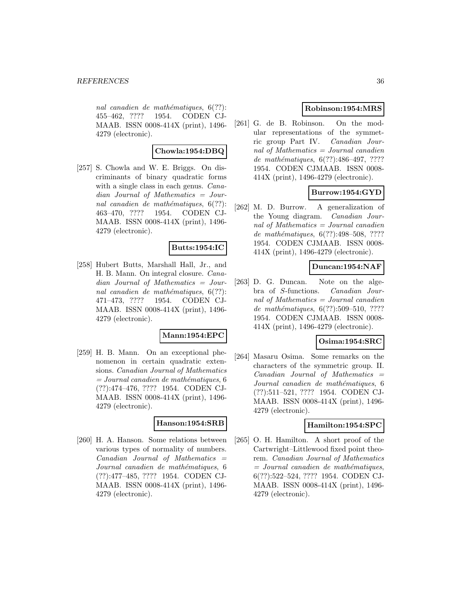nal canadien de mathématiques,  $6(??)$ : 455–462, ???? 1954. CODEN CJ-MAAB. ISSN 0008-414X (print), 1496- 4279 (electronic).

### **Chowla:1954:DBQ**

[257] S. Chowla and W. E. Briggs. On discriminants of binary quadratic forms with a single class in each genus. *Cana*dian Journal of Mathematics = Journal canadien de mathématiques,  $6(??)$ : 463–470, ???? 1954. CODEN CJ-MAAB. ISSN 0008-414X (print), 1496- 4279 (electronic).

# **Butts:1954:IC**

[258] Hubert Butts, Marshall Hall, Jr., and H. B. Mann. On integral closure. Canadian Journal of Mathematics = Journal canadien de mathématiques,  $6(??)$ : 471–473, ???? 1954. CODEN CJ-MAAB. ISSN 0008-414X (print), 1496- 4279 (electronic).

### **Mann:1954:EPC**

[259] H. B. Mann. On an exceptional phenomenon in certain quadratic extensions. Canadian Journal of Mathematics  $= Journal\,c$  canadien de mathématiques, 6 (??):474–476, ???? 1954. CODEN CJ-MAAB. ISSN 0008-414X (print), 1496- 4279 (electronic).

#### **Hanson:1954:SRB**

[260] H. A. Hanson. Some relations between various types of normality of numbers.  $Canadian$  Journal of Mathematics  $=$ Journal canadien de mathématiques, 6 (??):477–485, ???? 1954. CODEN CJ-MAAB. ISSN 0008-414X (print), 1496- 4279 (electronic).

### **Robinson:1954:MRS**

[261] G. de B. Robinson. On the modular representations of the symmetric group Part IV. Canadian Journal of Mathematics = Journal canadien de mathématiques, 6(??):486-497, ???? 1954. CODEN CJMAAB. ISSN 0008- 414X (print), 1496-4279 (electronic).

# **Burrow:1954:GYD**

[262] M. D. Burrow. A generalization of the Young diagram. Canadian Journal of Mathematics  $=$  Journal canadien de mathématiques,  $6(??):498-508$ , ???? 1954. CODEN CJMAAB. ISSN 0008- 414X (print), 1496-4279 (electronic).

### **Duncan:1954:NAF**

[263] D. G. Duncan. Note on the algebra of S-functions. Canadian Journal of Mathematics = Journal canadien de mathématiques,  $6(??):509-510, ????$ 1954. CODEN CJMAAB. ISSN 0008- 414X (print), 1496-4279 (electronic).

### **Osima:1954:SRC**

[264] Masaru Osima. Some remarks on the characters of the symmetric group. II.  $Canadian$  Journal of Mathematics  $=$ Journal canadien de mathématiques, 6 (??):511–521, ???? 1954. CODEN CJ-MAAB. ISSN 0008-414X (print), 1496- 4279 (electronic).

#### **Hamilton:1954:SPC**

[265] O. H. Hamilton. A short proof of the Cartwright–Littlewood fixed point theorem. Canadian Journal of Mathematics  $=$  Journal canadien de mathématiques, 6(??):522–524, ???? 1954. CODEN CJ-MAAB. ISSN 0008-414X (print), 1496- 4279 (electronic).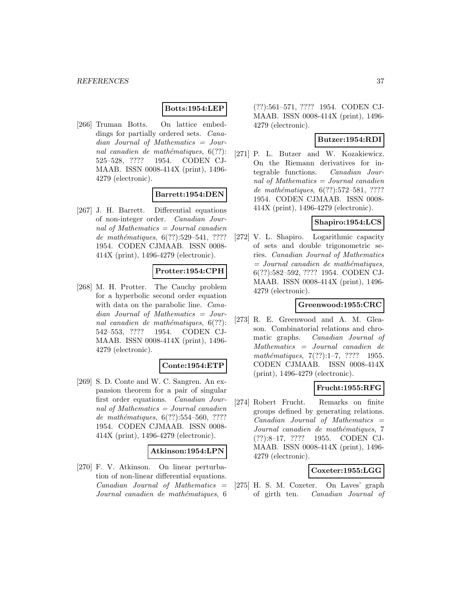### **Botts:1954:LEP**

[266] Truman Botts. On lattice embeddings for partially ordered sets. Canadian Journal of Mathematics = Journal canadien de mathématiques,  $6(??)$ : 525–528, ???? 1954. CODEN CJ-MAAB. ISSN 0008-414X (print), 1496- 4279 (electronic).

### **Barrett:1954:DEN**

[267] J. H. Barrett. Differential equations of non-integer order. Canadian Journal of Mathematics = Journal canadien de mathématiques,  $6(??):529-541, ????$ 1954. CODEN CJMAAB. ISSN 0008- 414X (print), 1496-4279 (electronic).

### **Protter:1954:CPH**

[268] M. H. Protter. The Cauchy problem for a hyperbolic second order equation with data on the parabolic line. *Cana*dian Journal of Mathematics = Journal canadien de mathématiques,  $6(??)$ : 542–553, ???? 1954. CODEN CJ-MAAB. ISSN 0008-414X (print), 1496- 4279 (electronic).

#### **Conte:1954:ETP**

[269] S. D. Conte and W. C. Sangren. An expansion theorem for a pair of singular first order equations. Canadian Journal of Mathematics  $=$  Journal canadien de mathématiques,  $6(??):554–560, ????$ 1954. CODEN CJMAAB. ISSN 0008- 414X (print), 1496-4279 (electronic).

#### **Atkinson:1954:LPN**

[270] F. V. Atkinson. On linear perturbation of non-linear differential equations.  $Canadian$  Journal of Mathematics  $=$ Journal canadien de mathématiques, 6

(??):561–571, ???? 1954. CODEN CJ-MAAB. ISSN 0008-414X (print), 1496- 4279 (electronic).

#### **Butzer:1954:RDI**

[271] P. L. Butzer and W. Kozakiewicz. On the Riemann derivatives for integrable functions. Canadian Journal of Mathematics = Journal canadien de mathématiques,  $6(??):572-581, ????$ 1954. CODEN CJMAAB. ISSN 0008- 414X (print), 1496-4279 (electronic).

### **Shapiro:1954:LCS**

[272] V. L. Shapiro. Logarithmic capacity of sets and double trigonometric series. Canadian Journal of Mathematics  $=$  Journal canadien de mathématiques, 6(??):582–592, ???? 1954. CODEN CJ-MAAB. ISSN 0008-414X (print), 1496- 4279 (electronic).

#### **Greenwood:1955:CRC**

[273] R. E. Greenwood and A. M. Gleason. Combinatorial relations and chromatic graphs. Canadian Journal of Mathematics = Journal canadien de mathématiques, 7(??):1–7, ???? 1955. CODEN CJMAAB. ISSN 0008-414X (print), 1496-4279 (electronic).

#### **Frucht:1955:RFG**

[274] Robert Frucht. Remarks on finite groups defined by generating relations.  $Canadian$  Journal of Mathematics  $=$ Journal canadien de mathématiques, 7 (??):8–17, ???? 1955. CODEN CJ-MAAB. ISSN 0008-414X (print), 1496- 4279 (electronic).

#### **Coxeter:1955:LGG**

[275] H. S. M. Coxeter. On Laves' graph of girth ten. Canadian Journal of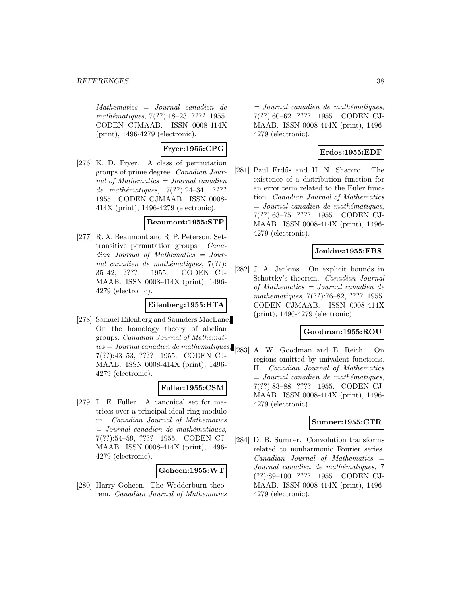Mathematics = Journal canadien de mathématiques, 7(??):18–23, ???? 1955. CODEN CJMAAB. ISSN 0008-414X (print), 1496-4279 (electronic).

# **Fryer:1955:CPG**

[276] K. D. Fryer. A class of permutation groups of prime degree. Canadian Journal of Mathematics  $=$  Journal canadien de mathématiques,  $7(??):24-34$ , ???? 1955. CODEN CJMAAB. ISSN 0008- 414X (print), 1496-4279 (electronic).

#### **Beaumont:1955:STP**

[277] R. A. Beaumont and R. P. Peterson. Settransitive permutation groups. Canadian Journal of Mathematics = Journal canadien de mathématiques,  $7(??)$ : 35–42, ???? 1955. CODEN CJ-MAAB. ISSN 0008-414X (print), 1496- 4279 (electronic).

#### **Eilenberg:1955:HTA**

[278] Samuel Eilenberg and Saunders MacLane. On the homology theory of abelian groups. Canadian Journal of Mathemat $ics = Journal canadien de mathématiques, \n\begin{bmatrix}\n283 \\
18\n\end{bmatrix}$  A. W. Goodman and E. Reich. On 7(??):43–53, ???? 1955. CODEN CJ-MAAB. ISSN 0008-414X (print), 1496- 4279 (electronic).

### **Fuller:1955:CSM**

[279] L. E. Fuller. A canonical set for matrices over a principal ideal ring modulo m. Canadian Journal of Mathematics  $=$  Journal canadien de mathématiques, 7(??):54–59, ???? 1955. CODEN CJ-MAAB. ISSN 0008-414X (print), 1496- 4279 (electronic).

#### **Goheen:1955:WT**

[280] Harry Goheen. The Wedderburn theorem. Canadian Journal of Mathematics  $=$  Journal canadien de mathématiques, 7(??):60–62, ???? 1955. CODEN CJ-MAAB. ISSN 0008-414X (print), 1496- 4279 (electronic).

### **Erdos:1955:EDF**

[281] Paul Erdős and H. N. Shapiro. The existence of a distribution function for an error term related to the Euler function. Canadian Journal of Mathematics  $=$  Journal canadien de mathématiques, 7(??):63–75, ???? 1955. CODEN CJ-MAAB. ISSN 0008-414X (print), 1496- 4279 (electronic).

### **Jenkins:1955:EBS**

[282] J. A. Jenkins. On explicit bounds in Schottky's theorem. Canadian Journal of Mathematics = Journal canadien de mathématiques, 7(??):76–82, ???? 1955. CODEN CJMAAB. ISSN 0008-414X (print), 1496-4279 (electronic).

#### **Goodman:1955:ROU**

regions omitted by univalent functions. II. Canadian Journal of Mathematics  $=$  Journal canadien de mathématiques, 7(??):83–88, ???? 1955. CODEN CJ-MAAB. ISSN 0008-414X (print), 1496- 4279 (electronic).

#### **Sumner:1955:CTR**

[284] D. B. Sumner. Convolution transforms related to nonharmonic Fourier series.  $Canadian$  Journal of Mathematics  $=$ Journal canadien de mathématiques, 7 (??):89–100, ???? 1955. CODEN CJ-MAAB. ISSN 0008-414X (print), 1496- 4279 (electronic).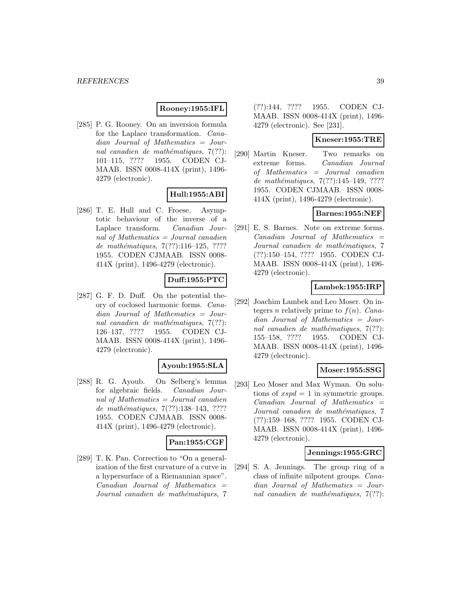### **Rooney:1955:IFL**

[285] P. G. Rooney. On an inversion formula for the Laplace transformation. Canadian Journal of Mathematics = Journal canadien de mathématiques,  $7(??)$ : 101–115, ???? 1955. CODEN CJ-MAAB. ISSN 0008-414X (print), 1496- 4279 (electronic).

### **Hull:1955:ABI**

[286] T. E. Hull and C. Froese. Asymptotic behaviour of the inverse of a Laplace transform. Canadian Journal of Mathematics = Journal canadien de mathématiques,  $7(??):116-125, ????$ 1955. CODEN CJMAAB. ISSN 0008- 414X (print), 1496-4279 (electronic).

### **Duff:1955:PTC**

[287] G. F. D. Duff. On the potential theory of coclosed harmonic forms. Canadian Journal of Mathematics = Journal canadien de mathématiques,  $7(??)$ : 126–137, ???? 1955. CODEN CJ-MAAB. ISSN 0008-414X (print), 1496- 4279 (electronic).

#### **Ayoub:1955:SLA**

[288] R. G. Ayoub. On Selberg's lemma for algebraic fields. Canadian Journal of Mathematics = Journal canadien de mathématiques, 7(??):138-143, ???? 1955. CODEN CJMAAB. ISSN 0008- 414X (print), 1496-4279 (electronic).

### **Pan:1955:CGF**

[289] T. K. Pan. Correction to "On a generalization of the first curvature of a curve in a hypersurface of a Riemannian space".  $Canadian$  Journal of Mathematics  $=$ Journal canadien de mathématiques, 7

(??):144, ???? 1955. CODEN CJ-MAAB. ISSN 0008-414X (print), 1496- 4279 (electronic). See [231].

### **Kneser:1955:TRE**

[290] Martin Kneser. Two remarks on extreme forms. Canadian Journal of Mathematics = Journal canadien de mathématiques, 7(??):145–149, ???? 1955. CODEN CJMAAB. ISSN 0008- 414X (print), 1496-4279 (electronic).

### **Barnes:1955:NEF**

[291] E. S. Barnes. Note on extreme forms.  $Canadian$  Journal of Mathematics  $=$ Journal canadien de mathématiques, 7 (??):150–154, ???? 1955. CODEN CJ-MAAB. ISSN 0008-414X (print), 1496- 4279 (electronic).

# **Lambek:1955:IRP**

[292] Joachim Lambek and Leo Moser. On integers n relatively prime to  $f(n)$ . Canadian Journal of Mathematics = Journal canadien de mathématiques,  $7(??)$ : 155–158, ???? 1955. CODEN CJ-MAAB. ISSN 0008-414X (print), 1496- 4279 (electronic).

### **Moser:1955:SSG**

[293] Leo Moser and Max Wyman. On solutions of  $xspd = 1$  in symmetric groups.  $Canadian$  Journal of Mathematics  $=$ Journal canadien de mathématiques, 7 (??):159–168, ???? 1955. CODEN CJ-MAAB. ISSN 0008-414X (print), 1496- 4279 (electronic).

#### **Jennings:1955:GRC**

[294] S. A. Jennings. The group ring of a class of infinite nilpotent groups. Canadian Journal of Mathematics = Journal canadien de mathématiques,  $7(??)$ :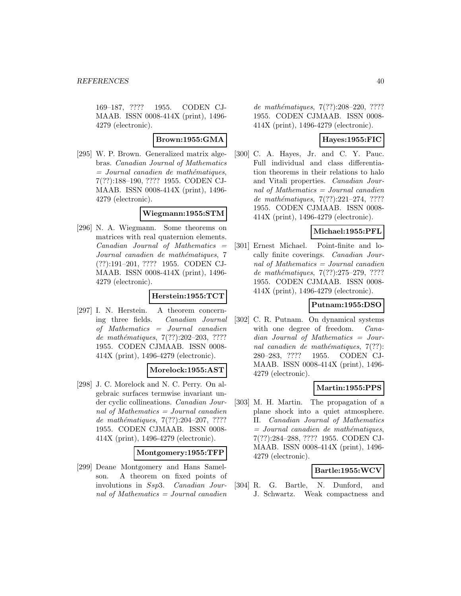169–187, ???? 1955. CODEN CJ-MAAB. ISSN 0008-414X (print), 1496- 4279 (electronic).

**Brown:1955:GMA**

[295] W. P. Brown. Generalized matrix algebras. Canadian Journal of Mathematics  $=$  Journal canadien de mathématiques, 7(??):188–190, ???? 1955. CODEN CJ-MAAB. ISSN 0008-414X (print), 1496- 4279 (electronic).

# **Wiegmann:1955:STM**

[296] N. A. Wiegmann. Some theorems on matrices with real quaternion elements.  $Canadian$  Journal of Mathematics  $=$ Journal canadien de mathématiques, 7 (??):191–201, ???? 1955. CODEN CJ-MAAB. ISSN 0008-414X (print), 1496- 4279 (electronic).

### **Herstein:1955:TCT**

[297] I. N. Herstein. A theorem concerning three fields. Canadian Journal of Mathematics = Journal canadien de mathématiques,  $7(??):202-203$ , ???? 1955. CODEN CJMAAB. ISSN 0008- 414X (print), 1496-4279 (electronic).

#### **Morelock:1955:AST**

[298] J. C. Morelock and N. C. Perry. On algebraic surfaces termwise invariant under cyclic collineations. Canadian Journal of Mathematics = Journal canadien de mathématiques,  $7(??):204-207, ????$ 1955. CODEN CJMAAB. ISSN 0008- 414X (print), 1496-4279 (electronic).

#### **Montgomery:1955:TFP**

[299] Deane Montgomery and Hans Samelson. A theorem on fixed points of involutions in Ssp3. Canadian Journal of Mathematics  $=$  Journal canadien

de mathématiques,  $7(??):208-220$ , ???? 1955. CODEN CJMAAB. ISSN 0008- 414X (print), 1496-4279 (electronic).

### **Hayes:1955:FIC**

[300] C. A. Hayes, Jr. and C. Y. Pauc. Full individual and class differentiation theorems in their relations to halo and Vitali properties. Canadian Journal of Mathematics = Journal canadien de mathématiques, 7(??):221-274, ???? 1955. CODEN CJMAAB. ISSN 0008- 414X (print), 1496-4279 (electronic).

### **Michael:1955:PFL**

[301] Ernest Michael. Point-finite and locally finite coverings. Canadian Journal of Mathematics = Journal canadien de mathématiques, 7(??):275-279, ???? 1955. CODEN CJMAAB. ISSN 0008- 414X (print), 1496-4279 (electronic).

### **Putnam:1955:DSO**

[302] C. R. Putnam. On dynamical systems with one degree of freedom. *Cana*dian Journal of Mathematics = Journal canadien de mathématiques,  $7(??)$ : 280–283, ???? 1955. CODEN CJ-MAAB. ISSN 0008-414X (print), 1496- 4279 (electronic).

#### **Martin:1955:PPS**

[303] M. H. Martin. The propagation of a plane shock into a quiet atmosphere. II. Canadian Journal of Mathematics  $=$  Journal canadien de mathématiques, 7(??):284–288, ???? 1955. CODEN CJ-MAAB. ISSN 0008-414X (print), 1496- 4279 (electronic).

### **Bartle:1955:WCV**

[304] R. G. Bartle, N. Dunford, and J. Schwartz. Weak compactness and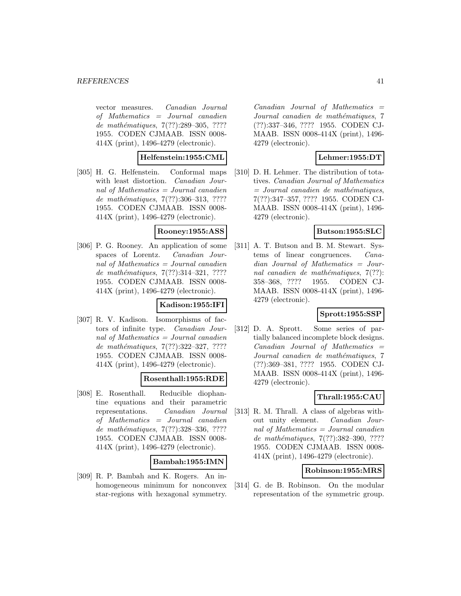vector measures. Canadian Journal of Mathematics = Journal canadien de mathématiques, 7(??):289–305, ???? 1955. CODEN CJMAAB. ISSN 0008- 414X (print), 1496-4279 (electronic).

### **Helfenstein:1955:CML**

[305] H. G. Helfenstein. Conformal maps with least distortion. Canadian Journal of Mathematics = Journal canadien de mathématiques, 7(??):306-313, ???? 1955. CODEN CJMAAB. ISSN 0008- 414X (print), 1496-4279 (electronic).

### **Rooney:1955:ASS**

[306] P. G. Rooney. An application of some spaces of Lorentz. Canadian Journal of Mathematics = Journal canadien de mathématiques, 7(??):314-321, ???? 1955. CODEN CJMAAB. ISSN 0008- 414X (print), 1496-4279 (electronic).

### **Kadison:1955:IFI**

[307] R. V. Kadison. Isomorphisms of factors of infinite type. Canadian Journal of Mathematics = Journal canadien de mathématiques, 7(??):322-327, ???? 1955. CODEN CJMAAB. ISSN 0008- 414X (print), 1496-4279 (electronic).

### **Rosenthall:1955:RDE**

[308] E. Rosenthall. Reducible diophantine equations and their parametric representations. Canadian Journal of Mathematics = Journal canadien de mathématiques, 7(??):328-336, ???? 1955. CODEN CJMAAB. ISSN 0008- 414X (print), 1496-4279 (electronic).

#### **Bambah:1955:IMN**

[309] R. P. Bambah and K. Rogers. An inhomogeneous minimum for nonconvex star-regions with hexagonal symmetry.

 $Canadian$  Journal of Mathematics  $=$ Journal canadien de mathématiques, 7 (??):337–346, ???? 1955. CODEN CJ-MAAB. ISSN 0008-414X (print), 1496- 4279 (electronic).

### **Lehmer:1955:DT**

[310] D. H. Lehmer. The distribution of totatives. Canadian Journal of Mathematics  $=$  Journal canadien de mathématiques, 7(??):347–357, ???? 1955. CODEN CJ-MAAB. ISSN 0008-414X (print), 1496- 4279 (electronic).

### **Butson:1955:SLC**

[311] A. T. Butson and B. M. Stewart. Systems of linear congruences. Canadian Journal of Mathematics = Journal canadien de mathématiques,  $7(??)$ : 358–368, ???? 1955. CODEN CJ-MAAB. ISSN 0008-414X (print), 1496- 4279 (electronic).

# **Sprott:1955:SSP**

[312] D. A. Sprott. Some series of partially balanced incomplete block designs.  $Canadian$  Journal of Mathematics  $=$ Journal canadien de mathématiques, 7 (??):369–381, ???? 1955. CODEN CJ-MAAB. ISSN 0008-414X (print), 1496- 4279 (electronic).

### **Thrall:1955:CAU**

[313] R. M. Thrall. A class of algebras without unity element. Canadian Journal of Mathematics = Journal canadien de mathématiques, 7(??):382-390, ???? 1955. CODEN CJMAAB. ISSN 0008- 414X (print), 1496-4279 (electronic).

#### **Robinson:1955:MRS**

[314] G. de B. Robinson. On the modular representation of the symmetric group.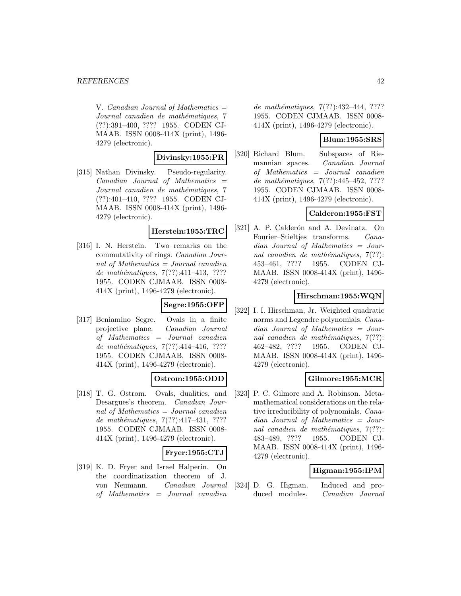V. Canadian Journal of Mathematics  $=$ Journal canadien de mathématiques, 7 (??):391–400, ???? 1955. CODEN CJ-MAAB. ISSN 0008-414X (print), 1496- 4279 (electronic).

### **Divinsky:1955:PR**

[315] Nathan Divinsky. Pseudo-regularity.  $Canadian$  Journal of Mathematics  $=$ Journal canadien de mathématiques, 7 (??):401–410, ???? 1955. CODEN CJ-MAAB. ISSN 0008-414X (print), 1496- 4279 (electronic).

#### **Herstein:1955:TRC**

[316] I. N. Herstein. Two remarks on the commutativity of rings. Canadian Journal of Mathematics = Journal canadien de mathématiques, 7(??):411-413, ???? 1955. CODEN CJMAAB. ISSN 0008- 414X (print), 1496-4279 (electronic).

### **Segre:1955:OFP**

[317] Beniamino Segre. Ovals in a finite projective plane. Canadian Journal of Mathematics = Journal canadien de mathématiques, 7(??):414-416, ???? 1955. CODEN CJMAAB. ISSN 0008- 414X (print), 1496-4279 (electronic).

# **Ostrom:1955:ODD**

[318] T. G. Ostrom. Ovals, dualities, and Desargues's theorem. Canadian Journal of Mathematics  $=$  Journal canadien de mathématiques,  $7(??):417-431, ????$ 1955. CODEN CJMAAB. ISSN 0008- 414X (print), 1496-4279 (electronic).

#### **Fryer:1955:CTJ**

[319] K. D. Fryer and Israel Halperin. On the coordinatization theorem of J. von Neumann. Canadian Journal of Mathematics = Journal canadien

de mathématiques, 7(??):432-444, ???? 1955. CODEN CJMAAB. ISSN 0008- 414X (print), 1496-4279 (electronic).

### **Blum:1955:SRS**

[320] Richard Blum. Subspaces of Riemannian spaces. Canadian Journal of Mathematics = Journal canadien de mathématiques, 7(??):445-452, ???? 1955. CODEN CJMAAB. ISSN 0008- 414X (print), 1496-4279 (electronic).

### **Calderon:1955:FST**

[321] A. P. Calderón and A. Devinatz. On Fourier–Stieltjes transforms. Canadian Journal of Mathematics = Journal canadien de mathématiques,  $7(??)$ : 453–461, ???? 1955. CODEN CJ-MAAB. ISSN 0008-414X (print), 1496- 4279 (electronic).

# **Hirschman:1955:WQN**

[322] I. I. Hirschman, Jr. Weighted quadratic norms and Legendre polynomials. Canadian Journal of Mathematics = Journal canadien de mathématiques,  $7(??)$ : 462–482, ???? 1955. CODEN CJ-MAAB. ISSN 0008-414X (print), 1496- 4279 (electronic).

### **Gilmore:1955:MCR**

[323] P. C. Gilmore and A. Robinson. Metamathematical considerations on the relative irreducibility of polynomials. Canadian Journal of Mathematics = Journal canadien de mathématiques,  $7(??)$ : 483–489, ???? 1955. CODEN CJ-MAAB. ISSN 0008-414X (print), 1496- 4279 (electronic).

#### **Higman:1955:IPM**

[324] D. G. Higman. Induced and produced modules. Canadian Journal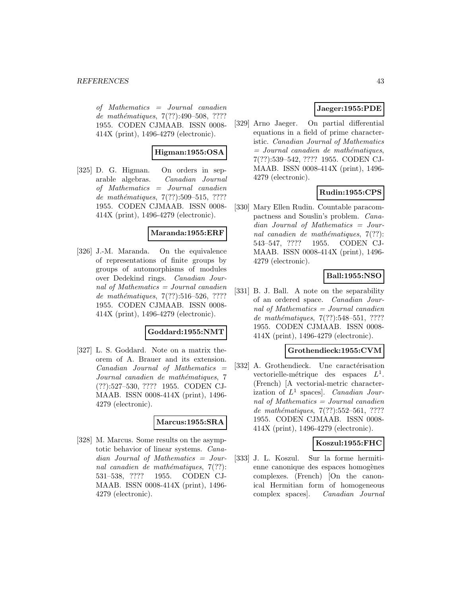of Mathematics = Journal canadien de mathématiques, 7(??):490–508, ???? 1955. CODEN CJMAAB. ISSN 0008- 414X (print), 1496-4279 (electronic).

### **Higman:1955:OSA**

[325] D. G. Higman. On orders in separable algebras. Canadian Journal of Mathematics = Journal canadien de mathématiques, 7(??):509–515, ???? 1955. CODEN CJMAAB. ISSN 0008- 414X (print), 1496-4279 (electronic).

### **Maranda:1955:ERF**

[326] J.-M. Maranda. On the equivalence of representations of finite groups by groups of automorphisms of modules over Dedekind rings. Canadian Journal of Mathematics = Journal canadien de mathématiques,  $7(??)$ :516–526, ???? 1955. CODEN CJMAAB. ISSN 0008- 414X (print), 1496-4279 (electronic).

#### **Goddard:1955:NMT**

[327] L. S. Goddard. Note on a matrix theorem of A. Brauer and its extension. Canadian Journal of Mathematics = Journal canadien de mathématiques, 7 (??):527–530, ???? 1955. CODEN CJ-MAAB. ISSN 0008-414X (print), 1496- 4279 (electronic).

### **Marcus:1955:SRA**

[328] M. Marcus. Some results on the asymptotic behavior of linear systems. Canadian Journal of Mathematics = Journal canadien de mathématiques,  $7(??)$ : 531–538, ???? 1955. CODEN CJ-MAAB. ISSN 0008-414X (print), 1496- 4279 (electronic).

# **Jaeger:1955:PDE**

[329] Arno Jaeger. On partial differential equations in a field of prime characteristic. Canadian Journal of Mathematics  $=$  Journal canadien de mathématiques, 7(??):539–542, ???? 1955. CODEN CJ-MAAB. ISSN 0008-414X (print), 1496- 4279 (electronic).

### **Rudin:1955:CPS**

[330] Mary Ellen Rudin. Countable paracompactness and Souslin's problem. Canadian Journal of Mathematics = Journal canadien de mathématiques,  $7(??)$ : 543–547, ???? 1955. CODEN CJ-MAAB. ISSN 0008-414X (print), 1496- 4279 (electronic).

# **Ball:1955:NSO**

[331] B. J. Ball. A note on the separability of an ordered space. Canadian Journal of Mathematics = Journal canadien de mathématiques, 7(??):548–551, ???? 1955. CODEN CJMAAB. ISSN 0008- 414X (print), 1496-4279 (electronic).

### **Grothendieck:1955:CVM**

[332] A. Grothendieck. Une caractérisation vectorielle-métrique des espaces  $L^1$ . (French) [A vectorial-metric characterization of  $L^1$  spaces]. Canadian Journal of Mathematics = Journal canadien de mathématiques,  $7(??)$ :552–561, ???? 1955. CODEN CJMAAB. ISSN 0008- 414X (print), 1496-4279 (electronic).

### **Koszul:1955:FHC**

[333] J. L. Koszul. Sur la forme hermitienne canonique des espaces homogènes complexes. (French) [On the canonical Hermitian form of homogeneous complex spaces]. Canadian Journal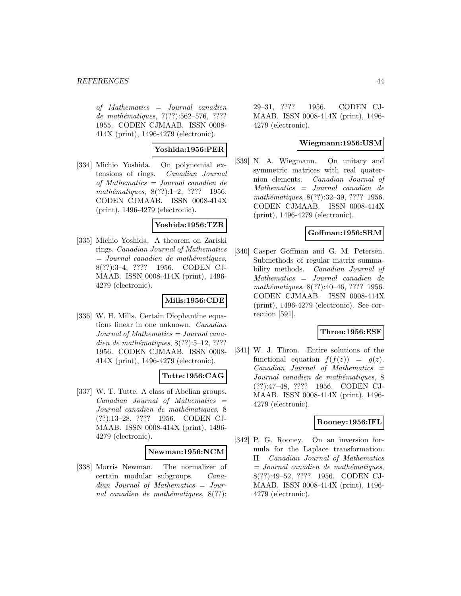of Mathematics = Journal canadien de mathématiques, 7(??):562–576, ???? 1955. CODEN CJMAAB. ISSN 0008- 414X (print), 1496-4279 (electronic).

### **Yoshida:1956:PER**

[334] Michio Yoshida. On polynomial extensions of rings. Canadian Journal of Mathematics = Journal canadien de mathématiques,  $8(??):1-2$ , ???? 1956. CODEN CJMAAB. ISSN 0008-414X (print), 1496-4279 (electronic).

#### **Yoshida:1956:TZR**

[335] Michio Yoshida. A theorem on Zariski rings. Canadian Journal of Mathematics  $=$  Journal canadien de mathématiques, 8(??):3–4, ???? 1956. CODEN CJ-MAAB. ISSN 0008-414X (print), 1496- 4279 (electronic).

#### **Mills:1956:CDE**

[336] W. H. Mills. Certain Diophantine equations linear in one unknown. Canadian Journal of Mathematics = Journal canadien de mathématiques,  $8(??):5-12, ????$ 1956. CODEN CJMAAB. ISSN 0008- 414X (print), 1496-4279 (electronic).

### **Tutte:1956:CAG**

[337] W. T. Tutte. A class of Abelian groups.  $Canadian$  Journal of Mathematics  $=$ Journal canadien de mathématiques, 8 (??):13–28, ???? 1956. CODEN CJ-MAAB. ISSN 0008-414X (print), 1496- 4279 (electronic).

#### **Newman:1956:NCM**

[338] Morris Newman. The normalizer of certain modular subgroups. Canadian Journal of Mathematics = Journal canadien de mathématiques,  $8(??)$ :

29–31, ???? 1956. CODEN CJ-MAAB. ISSN 0008-414X (print), 1496- 4279 (electronic).

### **Wiegmann:1956:USM**

[339] N. A. Wiegmann. On unitary and symmetric matrices with real quaternion elements. Canadian Journal of Mathematics = Journal canadien de mathématiques, 8(??):32–39, ???? 1956. CODEN CJMAAB. ISSN 0008-414X (print), 1496-4279 (electronic).

### **Goffman:1956:SRM**

[340] Casper Goffman and G. M. Petersen. Submethods of regular matrix summability methods. Canadian Journal of Mathematics = Journal canadien de mathématiques, 8(??):40–46, ???? 1956. CODEN CJMAAB. ISSN 0008-414X (print), 1496-4279 (electronic). See correction [591].

### **Thron:1956:ESF**

[341] W. J. Thron. Entire solutions of the functional equation  $f(f(z)) = g(z)$ . Canadian Journal of Mathematics = Journal canadien de mathématiques, 8 (??):47–48, ???? 1956. CODEN CJ-MAAB. ISSN 0008-414X (print), 1496- 4279 (electronic).

### **Rooney:1956:IFL**

[342] P. G. Rooney. On an inversion formula for the Laplace transformation. II. Canadian Journal of Mathematics  $=$  Journal canadien de mathématiques, 8(??):49–52, ???? 1956. CODEN CJ-MAAB. ISSN 0008-414X (print), 1496- 4279 (electronic).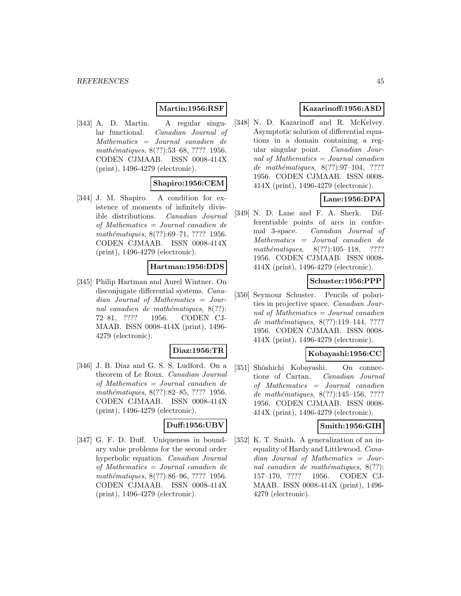### **Martin:1956:RSF**

[343] A. D. Martin. A regular singular functional. Canadian Journal of Mathematics = Journal canadien de mathématiques, 8(??):53–68, ???? 1956. CODEN CJMAAB. ISSN 0008-414X (print), 1496-4279 (electronic).

#### **Shapiro:1956:CEM**

[344] J. M. Shapiro. A condition for existence of moments of infinitely divisible distributions. Canadian Journal of Mathematics = Journal canadien de mathématiques, 8(??):69–71, ???? 1956. CODEN CJMAAB. ISSN 0008-414X (print), 1496-4279 (electronic).

#### **Hartman:1956:DDS**

[345] Philip Hartman and Aurel Wintner. On disconjugate differential systems. Canadian Journal of Mathematics = Journal canadien de mathématiques,  $8(??)$ : 72–81, ???? 1956. CODEN CJ-MAAB. ISSN 0008-414X (print), 1496- 4279 (electronic).

#### **Diaz:1956:TR**

[346] J. B. Diaz and G. S. S. Ludford. On a theorem of Le Roux. Canadian Journal of Mathematics = Journal canadien de mathématiques, 8(??):82–85, ???? 1956. CODEN CJMAAB. ISSN 0008-414X (print), 1496-4279 (electronic).

#### **Duff:1956:UBV**

[347] G. F. D. Duff. Uniqueness in boundary value problems for the second order hyperbolic equation. Canadian Journal of Mathematics = Journal canadien de mathématiques, 8(??):86–96, ???? 1956. CODEN CJMAAB. ISSN 0008-414X (print), 1496-4279 (electronic).

# **Kazarinoff:1956:ASD**

[348] N. D. Kazarinoff and R. McKelvey. Asymptotic solution of differential equations in a domain containing a regular singular point. Canadian Journal of Mathematics = Journal canadien de mathématiques,  $8(??):97-104$ , ???? 1956. CODEN CJMAAB. ISSN 0008- 414X (print), 1496-4279 (electronic).

# **Lane:1956:DPA**

[349] N. D. Lane and F. A. Sherk. Differentiable points of arcs in conformal 3-space. Canadian Journal of Mathematics = Journal canadien de mathématiques,  $8(??):105-118$ , ???? 1956. CODEN CJMAAB. ISSN 0008- 414X (print), 1496-4279 (electronic).

# **Schuster:1956:PPP**

[350] Seymour Schuster. Pencils of polarities in projective space. Canadian Journal of Mathematics = Journal canadien de mathématiques, 8(??):119-144, ???? 1956. CODEN CJMAAB. ISSN 0008- 414X (print), 1496-4279 (electronic).

#### **Kobayashi:1956:CC**

[351] Shôshichi Kobayashi. On connections of Cartan. Canadian Journal of Mathematics = Journal canadien de mathématiques,  $8(??):145-156, ????$ 1956. CODEN CJMAAB. ISSN 0008- 414X (print), 1496-4279 (electronic).

### **Smith:1956:GIH**

[352] K. T. Smith. A generalization of an inequality of Hardy and Littlewood. Canadian Journal of Mathematics = Journal canadien de mathématiques,  $8(??)$ : 157–170, ???? 1956. CODEN CJ-MAAB. ISSN 0008-414X (print), 1496- 4279 (electronic).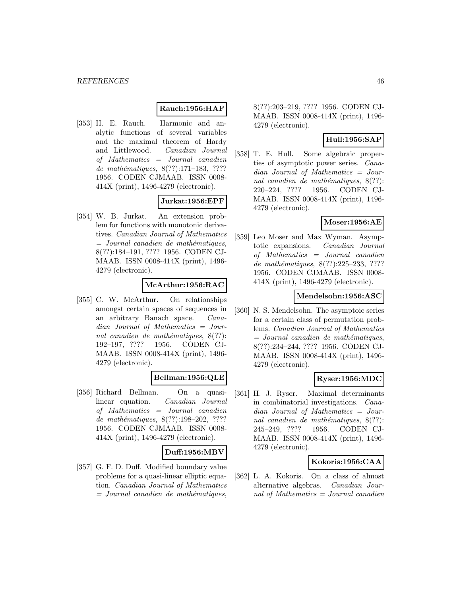### **Rauch:1956:HAF**

[353] H. E. Rauch. Harmonic and analytic functions of several variables and the maximal theorem of Hardy and Littlewood. Canadian Journal of Mathematics = Journal canadien de mathématiques,  $8(??):171-183$ , ???? 1956. CODEN CJMAAB. ISSN 0008- 414X (print), 1496-4279 (electronic).

# **Jurkat:1956:EPF**

[354] W. B. Jurkat. An extension problem for functions with monotonic derivatives. Canadian Journal of Mathematics  $=$  Journal canadien de mathématiques, 8(??):184–191, ???? 1956. CODEN CJ-MAAB. ISSN 0008-414X (print), 1496- 4279 (electronic).

# **McArthur:1956:RAC**

[355] C. W. McArthur. On relationships amongst certain spaces of sequences in an arbitrary Banach space. Canadian Journal of Mathematics = Journal canadien de mathématiques,  $8(??)$ : 192–197, ???? 1956. CODEN CJ-MAAB. ISSN 0008-414X (print), 1496- 4279 (electronic).

### **Bellman:1956:QLE**

[356] Richard Bellman. On a quasilinear equation. Canadian Journal of Mathematics = Journal canadien de mathématiques,  $8(??):198-202, ????$ 1956. CODEN CJMAAB. ISSN 0008- 414X (print), 1496-4279 (electronic).

#### **Duff:1956:MBV**

[357] G. F. D. Duff. Modified boundary value problems for a quasi-linear elliptic equation. Canadian Journal of Mathematics  $=$  Journal canadien de mathématiques,

8(??):203–219, ???? 1956. CODEN CJ-MAAB. ISSN 0008-414X (print), 1496- 4279 (electronic).

### **Hull:1956:SAP**

[358] T. E. Hull. Some algebraic properties of asymptotic power series. Canadian Journal of Mathematics = Journal canadien de mathématiques,  $8(??)$ : 220–224, ???? 1956. CODEN CJ-MAAB. ISSN 0008-414X (print), 1496- 4279 (electronic).

### **Moser:1956:AE**

[359] Leo Moser and Max Wyman. Asymptotic expansions. Canadian Journal of Mathematics = Journal canadien de mathématiques, 8(??):225-233, ???? 1956. CODEN CJMAAB. ISSN 0008- 414X (print), 1496-4279 (electronic).

### **Mendelsohn:1956:ASC**

[360] N. S. Mendelsohn. The asymptoic series for a certain class of permutation problems. Canadian Journal of Mathematics  $=$  Journal canadien de mathématiques, 8(??):234–244, ???? 1956. CODEN CJ-MAAB. ISSN 0008-414X (print), 1496- 4279 (electronic).

### **Ryser:1956:MDC**

[361] H. J. Ryser. Maximal determinants in combinatorial investigations. Canadian Journal of Mathematics = Journal canadien de mathématiques,  $8(??)$ : 245–249, ???? 1956. CODEN CJ-MAAB. ISSN 0008-414X (print), 1496- 4279 (electronic).

#### **Kokoris:1956:CAA**

[362] L. A. Kokoris. On a class of almost alternative algebras. Canadian Journal of Mathematics = Journal canadien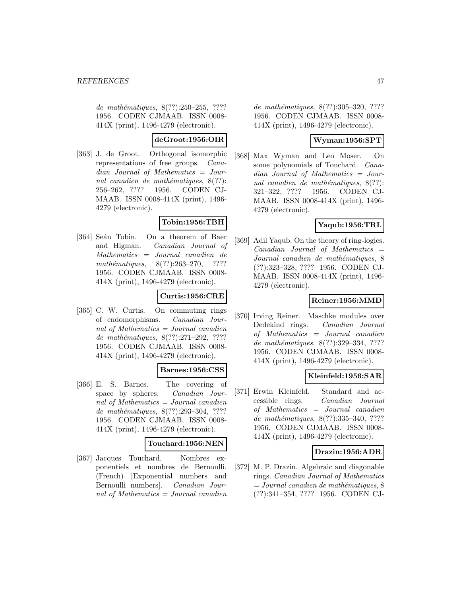de mathématiques, 8(??):250–255, ???? 1956. CODEN CJMAAB. ISSN 0008- 414X (print), 1496-4279 (electronic).

### **deGroot:1956:OIR**

[363] J. de Groot. Orthogonal isomorphic representations of free groups. Canadian Journal of Mathematics = Journal canadien de mathématiques,  $8(??)$ : 256–262, ???? 1956. CODEN CJ-MAAB. ISSN 0008-414X (print), 1496- 4279 (electronic).

# **Tobin:1956:TBH**

[364] Seán Tobin. On a theorem of Baer and Higman. Canadian Journal of Mathematics = Journal canadien de mathématiques,  $8(??):263-270$ , ???? 1956. CODEN CJMAAB. ISSN 0008- 414X (print), 1496-4279 (electronic).

# **Curtis:1956:CRE**

[365] C. W. Curtis. On commuting rings of endomorphisms. Canadian Journal of Mathematics = Journal canadien de mathématiques,  $8(??):271-292$ , ???? 1956. CODEN CJMAAB. ISSN 0008- 414X (print), 1496-4279 (electronic).

#### **Barnes:1956:CSS**

[366] E. S. Barnes. The covering of space by spheres. Canadian Journal of Mathematics = Journal canadien de mathématiques,  $8(??):293-304$ , ???? 1956. CODEN CJMAAB. ISSN 0008- 414X (print), 1496-4279 (electronic).

#### **Touchard:1956:NEN**

[367] Jacques Touchard. Nombres exponentiels et nombres de Bernoulli. (French) [Exponential numbers and Bernoulli numbers]. Canadian Journal of Mathematics = Journal canadien

de mathématiques, 8(??):305-320, ???? 1956. CODEN CJMAAB. ISSN 0008- 414X (print), 1496-4279 (electronic).

# **Wyman:1956:SPT**

[368] Max Wyman and Leo Moser. On some polynomials of Touchard. Canadian Journal of Mathematics = Journal canadien de mathématiques,  $8(??)$ : 321–322, ???? 1956. CODEN CJ-MAAB. ISSN 0008-414X (print), 1496- 4279 (electronic).

# **Yaqub:1956:TRL**

[369] Adil Yaqub. On the theory of ring-logics.  $Canadian$  Journal of Mathematics  $=$ Journal canadien de mathématiques, 8 (??):323–328, ???? 1956. CODEN CJ-MAAB. ISSN 0008-414X (print), 1496- 4279 (electronic).

### **Reiner:1956:MMD**

[370] Irving Reiner. Maschke modules over Dedekind rings. Canadian Journal of Mathematics = Journal canadien de mathématiques, 8(??):329-334, ???? 1956. CODEN CJMAAB. ISSN 0008- 414X (print), 1496-4279 (electronic).

### **Kleinfeld:1956:SAR**

[371] Erwin Kleinfeld. Standard and accessible rings. Canadian Journal of Mathematics = Journal canadien de mathématiques, 8(??):335-340, ???? 1956. CODEN CJMAAB. ISSN 0008- 414X (print), 1496-4279 (electronic).

### **Drazin:1956:ADR**

[372] M. P. Drazin. Algebraic and diagonable rings. Canadian Journal of Mathematics  $= Journal\,c$  canadien de mathématiques, 8 (??):341–354, ???? 1956. CODEN CJ-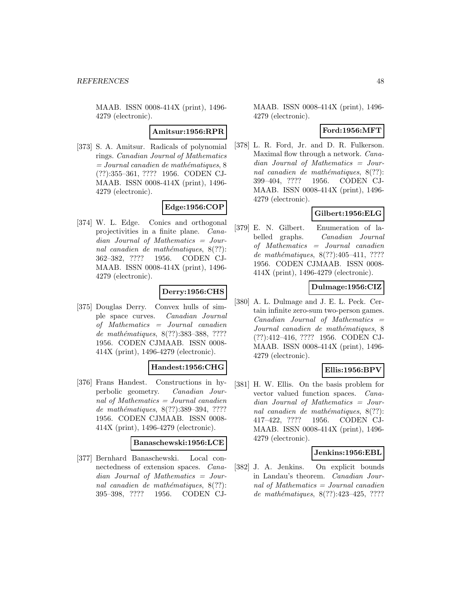#### **Amitsur:1956:RPR**

[373] S. A. Amitsur. Radicals of polynomial rings. Canadian Journal of Mathematics  $= Journal\,c$  canadien de mathématiques, 8 (??):355–361, ???? 1956. CODEN CJ-MAAB. ISSN 0008-414X (print), 1496- 4279 (electronic).

# **Edge:1956:COP**

[374] W. L. Edge. Conics and orthogonal projectivities in a finite plane. Canadian Journal of Mathematics = Journal canadien de mathématiques,  $8(??)$ : 362–382, ???? 1956. CODEN CJ-MAAB. ISSN 0008-414X (print), 1496- 4279 (electronic).

# **Derry:1956:CHS**

[375] Douglas Derry. Convex hulls of simple space curves. Canadian Journal of Mathematics = Journal canadien de mathématiques, 8(??):383-388, ???? 1956. CODEN CJMAAB. ISSN 0008- 414X (print), 1496-4279 (electronic).

### **Handest:1956:CHG**

[376] Frans Handest. Constructions in hyperbolic geometry. Canadian Journal of Mathematics = Journal canadien de mathématiques, 8(??):389-394, ???? 1956. CODEN CJMAAB. ISSN 0008- 414X (print), 1496-4279 (electronic).

#### **Banaschewski:1956:LCE**

[377] Bernhard Banaschewski. Local connectedness of extension spaces. Canadian Journal of Mathematics = Journal canadien de mathématiques,  $8(??)$ : 395–398, ???? 1956. CODEN CJ-

MAAB. ISSN 0008-414X (print), 1496- 4279 (electronic).

### **Ford:1956:MFT**

[378] L. R. Ford, Jr. and D. R. Fulkerson. Maximal flow through a network. Canadian Journal of Mathematics = Journal canadien de mathématiques,  $8(??)$ : 399–404, ???? 1956. CODEN CJ-MAAB. ISSN 0008-414X (print), 1496- 4279 (electronic).

# **Gilbert:1956:ELG**

[379] E. N. Gilbert. Enumeration of labelled graphs. Canadian Journal of Mathematics = Journal canadien de mathématiques, 8(??):405-411, ???? 1956. CODEN CJMAAB. ISSN 0008- 414X (print), 1496-4279 (electronic).

### **Dulmage:1956:CIZ**

[380] A. L. Dulmage and J. E. L. Peck. Certain infinite zero-sum two-person games.  $Canadian$  Journal of Mathematics  $=$ Journal canadien de mathématiques, 8 (??):412–416, ???? 1956. CODEN CJ-MAAB. ISSN 0008-414X (print), 1496- 4279 (electronic).

# **Ellis:1956:BPV**

[381] H. W. Ellis. On the basis problem for vector valued function spaces. Canadian Journal of Mathematics = Journal canadien de mathématiques,  $8(??)$ : 417–422, ???? 1956. CODEN CJ-MAAB. ISSN 0008-414X (print), 1496- 4279 (electronic).

#### **Jenkins:1956:EBL**

[382] J. A. Jenkins. On explicit bounds in Landau's theorem. Canadian Journal of Mathematics = Journal canadien de mathématiques,  $8(??):423-425$ , ????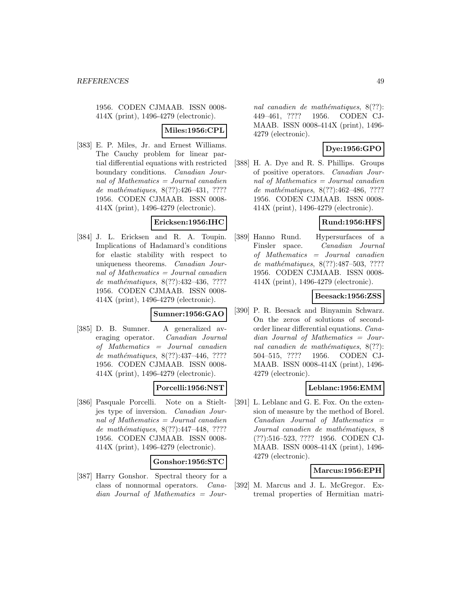### **Miles:1956:CPL**

[383] E. P. Miles, Jr. and Ernest Williams. The Cauchy problem for linear partial differential equations with restricted boundary conditions. Canadian Journal of Mathematics = Journal canadien de mathématiques, 8(??):426-431, ???? 1956. CODEN CJMAAB. ISSN 0008- 414X (print), 1496-4279 (electronic).

#### **Ericksen:1956:IHC**

[384] J. L. Ericksen and R. A. Toupin. Implications of Hadamard's conditions for elastic stability with respect to uniqueness theorems. Canadian Journal of Mathematics = Journal canadien de mathématiques,  $8(??):432-436, ????$ 1956. CODEN CJMAAB. ISSN 0008- 414X (print), 1496-4279 (electronic).

#### **Sumner:1956:GAO**

[385] D. B. Sumner. A generalized averaging operator. Canadian Journal of Mathematics = Journal canadien de mathématiques,  $8(??):437-446$ , ???? 1956. CODEN CJMAAB. ISSN 0008- 414X (print), 1496-4279 (electronic).

### **Porcelli:1956:NST**

[386] Pasquale Porcelli. Note on a Stieltjes type of inversion. Canadian Journal of Mathematics = Journal canadien de mathématiques, 8(??):447-448, ???? 1956. CODEN CJMAAB. ISSN 0008- 414X (print), 1496-4279 (electronic).

### **Gonshor:1956:STC**

[387] Harry Gonshor. Spectral theory for a class of nonnormal operators. Canadian Journal of Mathematics = Jour-

nal canadien de mathématiques,  $8(??)$ : 449–461, ???? 1956. CODEN CJ-MAAB. ISSN 0008-414X (print), 1496- 4279 (electronic).

# **Dye:1956:GPO**

[388] H. A. Dye and R. S. Phillips. Groups of positive operators. Canadian Journal of Mathematics = Journal canadien de mathématiques, 8(??):462-486, ???? 1956. CODEN CJMAAB. ISSN 0008- 414X (print), 1496-4279 (electronic).

# **Rund:1956:HFS**

[389] Hanno Rund. Hypersurfaces of a Finsler space. Canadian Journal of Mathematics = Journal canadien de mathématiques, 8(??):487–503, ???? 1956. CODEN CJMAAB. ISSN 0008- 414X (print), 1496-4279 (electronic).

### **Beesack:1956:ZSS**

[390] P. R. Beesack and Binyamin Schwarz. On the zeros of solutions of secondorder linear differential equations. Canadian Journal of Mathematics = Journal canadien de mathématiques,  $8(??)$ : 504–515, ???? 1956. CODEN CJ-MAAB. ISSN 0008-414X (print), 1496- 4279 (electronic).

#### **Leblanc:1956:EMM**

[391] L. Leblanc and G. E. Fox. On the extension of measure by the method of Borel.  $Canadian$  Journal of Mathematics  $=$ Journal canadien de mathématiques, 8 (??):516–523, ???? 1956. CODEN CJ-MAAB. ISSN 0008-414X (print), 1496- 4279 (electronic).

### **Marcus:1956:EPH**

[392] M. Marcus and J. L. McGregor. Extremal properties of Hermitian matri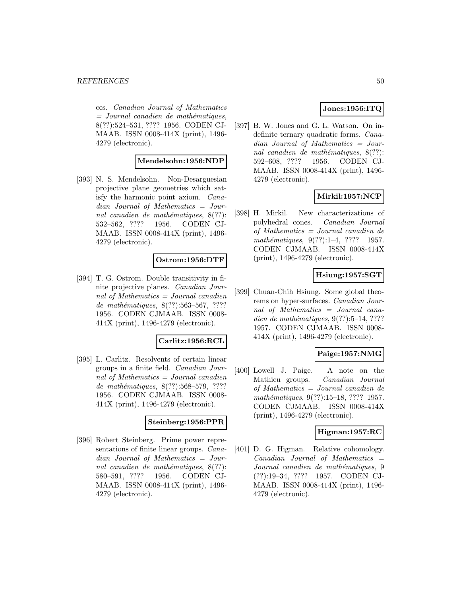ces. Canadian Journal of Mathematics  $=$  Journal canadien de mathématiques, 8(??):524–531, ???? 1956. CODEN CJ-MAAB. ISSN 0008-414X (print), 1496- 4279 (electronic).

### **Mendelsohn:1956:NDP**

[393] N. S. Mendelsohn. Non-Desarguesian projective plane geometries which satisfy the harmonic point axiom. Canadian Journal of Mathematics = Journal canadien de mathématiques,  $8(??)$ : 532–562, ???? 1956. CODEN CJ-MAAB. ISSN 0008-414X (print), 1496- 4279 (electronic).

### **Ostrom:1956:DTF**

[394] T. G. Ostrom. Double transitivity in finite projective planes. Canadian Journal of Mathematics = Journal canadien de mathématiques, 8(??):563-567, ???? 1956. CODEN CJMAAB. ISSN 0008- 414X (print), 1496-4279 (electronic).

#### **Carlitz:1956:RCL**

[395] L. Carlitz. Resolvents of certain linear groups in a finite field. Canadian Journal of Mathematics = Journal canadien de mathématiques, 8(??):568–579, ???? 1956. CODEN CJMAAB. ISSN 0008- 414X (print), 1496-4279 (electronic).

#### **Steinberg:1956:PPR**

[396] Robert Steinberg. Prime power representations of finite linear groups. Canadian Journal of Mathematics = Journal canadien de mathématiques,  $8(??)$ : 580–591, ???? 1956. CODEN CJ-MAAB. ISSN 0008-414X (print), 1496- 4279 (electronic).

### **Jones:1956:ITQ**

[397] B. W. Jones and G. L. Watson. On indefinite ternary quadratic forms. Canadian Journal of Mathematics = Journal canadien de mathématiques,  $8(??)$ : 592–608, ???? 1956. CODEN CJ-MAAB. ISSN 0008-414X (print), 1496- 4279 (electronic).

### **Mirkil:1957:NCP**

[398] H. Mirkil. New characterizations of polyhedral cones. Canadian Journal of Mathematics = Journal canadien de mathématiques,  $9(??):1-4$ , ???? 1957. CODEN CJMAAB. ISSN 0008-414X (print), 1496-4279 (electronic).

### **Hsiung:1957:SGT**

[399] Chuan-Chih Hsiung. Some global theorems on hyper-surfaces. Canadian Journal of Mathematics = Journal canadien de mathématiques,  $9(??):5-14, ????$ 1957. CODEN CJMAAB. ISSN 0008- 414X (print), 1496-4279 (electronic).

### **Paige:1957:NMG**

[400] Lowell J. Paige. A note on the Mathieu groups. Canadian Journal of Mathematics = Journal canadien de mathématiques, 9(??):15–18, ???? 1957. CODEN CJMAAB. ISSN 0008-414X (print), 1496-4279 (electronic).

### **Higman:1957:RC**

[401] D. G. Higman. Relative cohomology.  $Canadian$  Journal of Mathematics  $=$ Journal canadien de mathématiques, 9 (??):19–34, ???? 1957. CODEN CJ-MAAB. ISSN 0008-414X (print), 1496- 4279 (electronic).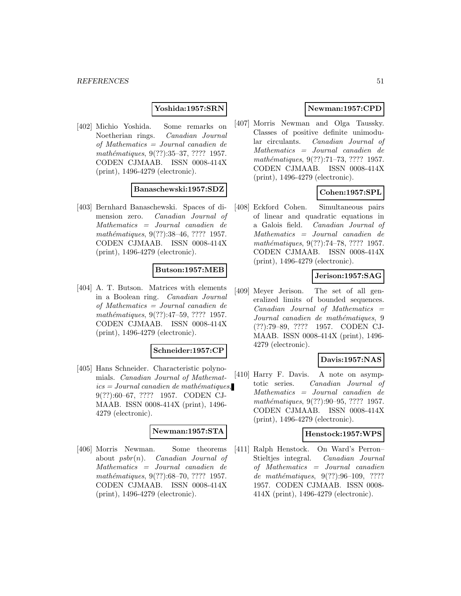#### **Yoshida:1957:SRN**

[402] Michio Yoshida. Some remarks on Noetherian rings. Canadian Journal of Mathematics = Journal canadien de mathématiques, 9(??):35–37, ???? 1957. CODEN CJMAAB. ISSN 0008-414X (print), 1496-4279 (electronic).

#### **Banaschewski:1957:SDZ**

[403] Bernhard Banaschewski. Spaces of dimension zero. Canadian Journal of Mathematics = Journal canadien de mathématiques, 9(??):38–46, ???? 1957. CODEN CJMAAB. ISSN 0008-414X (print), 1496-4279 (electronic).

#### **Butson:1957:MEB**

[404] A. T. Butson. Matrices with elements in a Boolean ring. Canadian Journal of Mathematics = Journal canadien de mathématiques, 9(??):47–59, ???? 1957. CODEN CJMAAB. ISSN 0008-414X (print), 1496-4279 (electronic).

#### **Schneider:1957:CP**

[405] Hans Schneider. Characteristic polynomials. Canadian Journal of Mathemat $ics = Journal\,c$  and  $i$ emathématiques, 9(??):60–67, ???? 1957. CODEN CJ-MAAB. ISSN 0008-414X (print), 1496- 4279 (electronic).

#### **Newman:1957:STA**

[406] Morris Newman. Some theorems about  $psbr(n)$ . Canadian Journal of Mathematics = Journal canadien de mathématiques, 9(??):68–70, ???? 1957. CODEN CJMAAB. ISSN 0008-414X (print), 1496-4279 (electronic).

### **Newman:1957:CPD**

[407] Morris Newman and Olga Taussky. Classes of positive definite unimodular circulants. Canadian Journal of Mathematics = Journal canadien de mathématiques, 9(??):71–73, ???? 1957. CODEN CJMAAB. ISSN 0008-414X (print), 1496-4279 (electronic).

### **Cohen:1957:SPL**

[408] Eckford Cohen. Simultaneous pairs of linear and quadratic equations in a Galois field. Canadian Journal of Mathematics = Journal canadien de mathématiques, 9(??):74–78, ???? 1957. CODEN CJMAAB. ISSN 0008-414X (print), 1496-4279 (electronic).

### **Jerison:1957:SAG**

[409] Meyer Jerison. The set of all generalized limits of bounded sequences.  $Canadian$  Journal of Mathematics  $=$ Journal canadien de mathématiques, 9 (??):79–89, ???? 1957. CODEN CJ-MAAB. ISSN 0008-414X (print), 1496- 4279 (electronic).

### **Davis:1957:NAS**

[410] Harry F. Davis. A note on asymptotic series. Canadian Journal of Mathematics = Journal canadien de mathématiques, 9(??):90–95, ???? 1957. CODEN CJMAAB. ISSN 0008-414X (print), 1496-4279 (electronic).

#### **Henstock:1957:WPS**

[411] Ralph Henstock. On Ward's Perron– Stieltjes integral. Canadian Journal of Mathematics = Journal canadien de mathématiques,  $9(??):96-109, ????$ 1957. CODEN CJMAAB. ISSN 0008- 414X (print), 1496-4279 (electronic).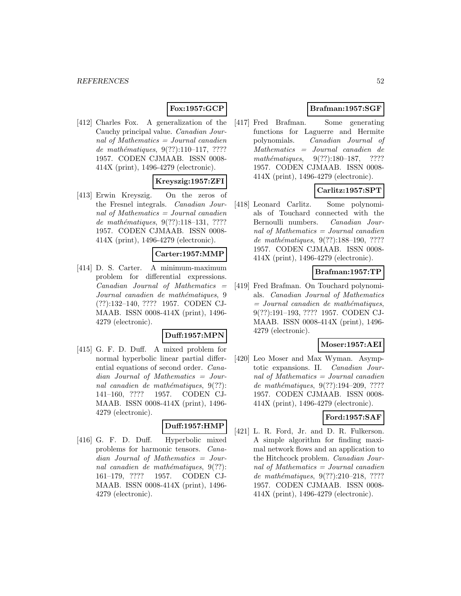# **Fox:1957:GCP**

[412] Charles Fox. A generalization of the Cauchy principal value. Canadian Journal of Mathematics  $=$  Journal canadien de mathématiques,  $9(??):110-117, ????$ 1957. CODEN CJMAAB. ISSN 0008- 414X (print), 1496-4279 (electronic).

### **Kreyszig:1957:ZFI**

[413] Erwin Kreyszig. On the zeros of the Fresnel integrals. Canadian Journal of Mathematics = Journal canadien de mathématiques,  $9(??):118-131, ????$ 1957. CODEN CJMAAB. ISSN 0008- 414X (print), 1496-4279 (electronic).

#### **Carter:1957:MMP**

[414] D. S. Carter. A minimum-maximum problem for differential expressions.  $Canadian$  Journal of Mathematics  $=$ Journal canadien de mathématiques, 9 (??):132–140, ???? 1957. CODEN CJ-MAAB. ISSN 0008-414X (print), 1496- 4279 (electronic).

#### **Duff:1957:MPN**

[415] G. F. D. Duff. A mixed problem for normal hyperbolic linear partial differential equations of second order. Canadian Journal of Mathematics = Journal canadien de mathématiques,  $9(??)$ : 141–160, ???? 1957. CODEN CJ-MAAB. ISSN 0008-414X (print), 1496- 4279 (electronic).

### **Duff:1957:HMP**

[416] G. F. D. Duff. Hyperbolic mixed problems for harmonic tensors. Canadian Journal of Mathematics = Journal canadien de mathématiques,  $9(??)$ : 161–179, ???? 1957. CODEN CJ-MAAB. ISSN 0008-414X (print), 1496- 4279 (electronic).

# **Brafman:1957:SGF**

[417] Fred Brafman. Some generating functions for Laguerre and Hermite polynomials. Canadian Journal of Mathematics = Journal canadien de mathématiques,  $9(??):180-187$ , ???? 1957. CODEN CJMAAB. ISSN 0008- 414X (print), 1496-4279 (electronic).

# **Carlitz:1957:SPT**

[418] Leonard Carlitz. Some polynomials of Touchard connected with the Bernoulli numbers. Canadian Journal of Mathematics = Journal canadien de mathématiques, 9(??):188-190, ???? 1957. CODEN CJMAAB. ISSN 0008- 414X (print), 1496-4279 (electronic).

# **Brafman:1957:TP**

[419] Fred Brafman. On Touchard polynomials. Canadian Journal of Mathematics  $=$  Journal canadien de mathématiques, 9(??):191–193, ???? 1957. CODEN CJ-MAAB. ISSN 0008-414X (print), 1496- 4279 (electronic).

#### **Moser:1957:AEI**

[420] Leo Moser and Max Wyman. Asymptotic expansions. II. Canadian Journal of Mathematics = Journal canadien de mathématiques,  $9(??):194-209, ????$ 1957. CODEN CJMAAB. ISSN 0008- 414X (print), 1496-4279 (electronic).

# **Ford:1957:SAF**

[421] L. R. Ford, Jr. and D. R. Fulkerson. A simple algorithm for finding maximal network flows and an application to the Hitchcock problem. Canadian Journal of Mathematics = Journal canadien de mathématiques, 9(??):210-218, ???? 1957. CODEN CJMAAB. ISSN 0008- 414X (print), 1496-4279 (electronic).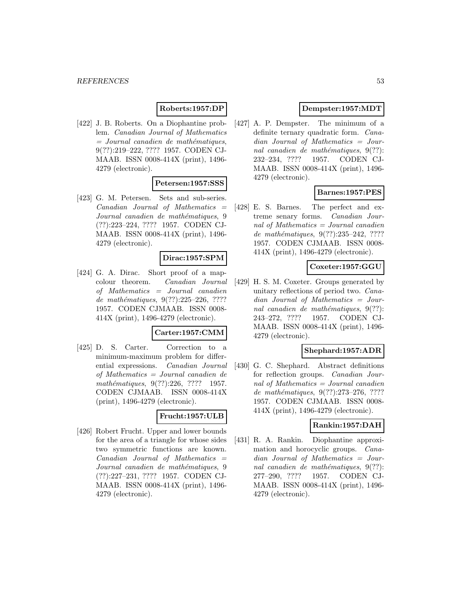### **Roberts:1957:DP**

[422] J. B. Roberts. On a Diophantine problem. Canadian Journal of Mathematics  $=$  Journal canadien de mathématiques, 9(??):219–222, ???? 1957. CODEN CJ-MAAB. ISSN 0008-414X (print), 1496- 4279 (electronic).

### **Petersen:1957:SSS**

[423] G. M. Petersen. Sets and sub-series.  $Canadian$  Journal of Mathematics  $=$ Journal canadien de mathématiques, 9 (??):223–224, ???? 1957. CODEN CJ-MAAB. ISSN 0008-414X (print), 1496- 4279 (electronic).

#### **Dirac:1957:SPM**

[424] G. A. Dirac. Short proof of a mapcolour theorem. Canadian Journal of Mathematics = Journal canadien de mathématiques, 9(??):225-226, ???? 1957. CODEN CJMAAB. ISSN 0008- 414X (print), 1496-4279 (electronic).

#### **Carter:1957:CMM**

[425] D. S. Carter. Correction to a minimum-maximum problem for differential expressions. Canadian Journal of Mathematics = Journal canadien de  $mathématiques, 9(??):226, ???? 1957.$ CODEN CJMAAB. ISSN 0008-414X (print), 1496-4279 (electronic).

### **Frucht:1957:ULB**

[426] Robert Frucht. Upper and lower bounds for the area of a triangle for whose sides two symmetric functions are known.  $Canadian$  Journal of Mathematics  $=$ Journal canadien de mathématiques, 9 (??):227–231, ???? 1957. CODEN CJ-MAAB. ISSN 0008-414X (print), 1496- 4279 (electronic).

### **Dempster:1957:MDT**

[427] A. P. Dempster. The minimum of a definite ternary quadratic form. Canadian Journal of Mathematics = Journal canadien de mathématiques,  $9(??)$ : 232–234, ???? 1957. CODEN CJ-MAAB. ISSN 0008-414X (print), 1496- 4279 (electronic).

### **Barnes:1957:PES**

[428] E. S. Barnes. The perfect and extreme senary forms. Canadian Journal of Mathematics  $=$  Journal canadien de mathématiques, 9(??):235-242, ???? 1957. CODEN CJMAAB. ISSN 0008- 414X (print), 1496-4279 (electronic).

#### **Coxeter:1957:GGU**

[429] H. S. M. Coxeter. Groups generated by unitary reflections of period two. Canadian Journal of Mathematics = Journal canadien de mathématiques,  $9(??)$ : 243–272, ???? 1957. CODEN CJ-MAAB. ISSN 0008-414X (print), 1496- 4279 (electronic).

#### **Shephard:1957:ADR**

[430] G. C. Shephard. Abstract definitions for reflection groups. Canadian Journal of Mathematics = Journal canadien de mathématiques, 9(??):273-276, ???? 1957. CODEN CJMAAB. ISSN 0008- 414X (print), 1496-4279 (electronic).

#### **Rankin:1957:DAH**

[431] R. A. Rankin. Diophantine approximation and horocyclic groups. Canadian Journal of Mathematics = Journal canadien de mathématiques,  $9(??)$ : 277–290, ???? 1957. CODEN CJ-MAAB. ISSN 0008-414X (print), 1496- 4279 (electronic).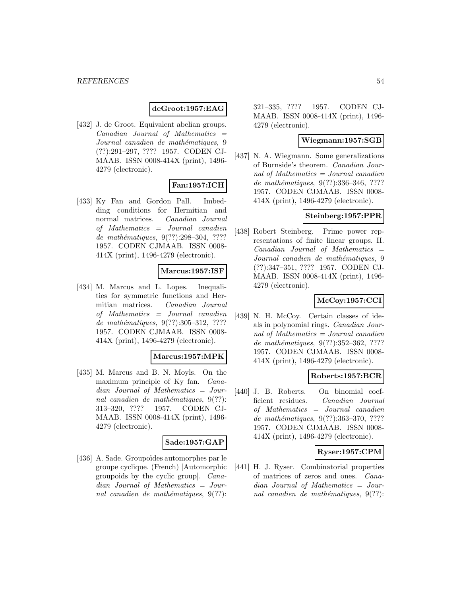### **deGroot:1957:EAG**

[432] J. de Groot. Equivalent abelian groups.  $Canadian$  Journal of Mathematics  $=$ Journal canadien de mathématiques, 9 (??):291–297, ???? 1957. CODEN CJ-MAAB. ISSN 0008-414X (print), 1496- 4279 (electronic).

# **Fan:1957:ICH**

[433] Ky Fan and Gordon Pall. Imbedding conditions for Hermitian and normal matrices. Canadian Journal of Mathematics = Journal canadien de mathématiques, 9(??):298-304, ???? 1957. CODEN CJMAAB. ISSN 0008- 414X (print), 1496-4279 (electronic).

# **Marcus:1957:ISF**

[434] M. Marcus and L. Lopes. Inequalities for symmetric functions and Hermitian matrices. Canadian Journal of Mathematics = Journal canadien de mathématiques, 9(??):305-312, ???? 1957. CODEN CJMAAB. ISSN 0008- 414X (print), 1496-4279 (electronic).

#### **Marcus:1957:MPK**

[435] M. Marcus and B. N. Moyls. On the maximum principle of Ky fan. Canadian Journal of Mathematics = Journal canadien de mathématiques,  $9(??)$ : 313–320, ???? 1957. CODEN CJ-MAAB. ISSN 0008-414X (print), 1496- 4279 (electronic).

#### **Sade:1957:GAP**

[436] A. Sade. Groupoïdes automorphes par le groupe cyclique. (French) [Automorphic groupoids by the cyclic group]. Canadian Journal of Mathematics = Journal canadien de mathématiques,  $9(??)$ :

321–335, ???? 1957. CODEN CJ-MAAB. ISSN 0008-414X (print), 1496- 4279 (electronic).

### **Wiegmann:1957:SGB**

[437] N. A. Wiegmann. Some generalizations of Burnside's theorem. Canadian Journal of Mathematics = Journal canadien de mathématiques, 9(??):336-346, ???? 1957. CODEN CJMAAB. ISSN 0008- 414X (print), 1496-4279 (electronic).

### **Steinberg:1957:PPR**

[438] Robert Steinberg. Prime power representations of finite linear groups. II.  $Canadian$  Journal of Mathematics  $=$ Journal canadien de mathématiques, 9 (??):347–351, ???? 1957. CODEN CJ-MAAB. ISSN 0008-414X (print), 1496- 4279 (electronic).

### **McCoy:1957:CCI**

[439] N. H. McCoy. Certain classes of ideals in polynomial rings. Canadian Journal of Mathematics = Journal canadien de mathématiques, 9(??):352-362, ???? 1957. CODEN CJMAAB. ISSN 0008- 414X (print), 1496-4279 (electronic).

### **Roberts:1957:BCR**

[440] J. B. Roberts. On binomial coefficient residues. Canadian Journal of Mathematics = Journal canadien de mathématiques, 9(??):363-370, ???? 1957. CODEN CJMAAB. ISSN 0008- 414X (print), 1496-4279 (electronic).

### **Ryser:1957:CPM**

[441] H. J. Ryser. Combinatorial properties of matrices of zeros and ones. Canadian Journal of Mathematics = Journal canadien de mathématiques,  $9(??)$ :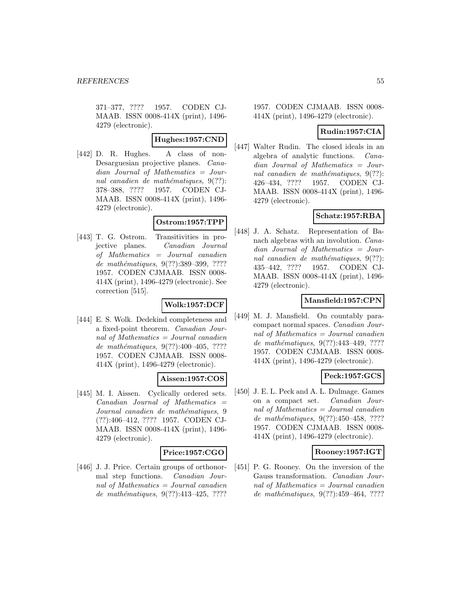371–377, ???? 1957. CODEN CJ-MAAB. ISSN 0008-414X (print), 1496- 4279 (electronic).

# **Hughes:1957:CND**

[442] D. R. Hughes. A class of non-Desarguesian projective planes. Canadian Journal of Mathematics = Journal canadien de mathématiques,  $9(??)$ : 378–388, ???? 1957. CODEN CJ-MAAB. ISSN 0008-414X (print), 1496- 4279 (electronic).

### **Ostrom:1957:TPP**

[443] T. G. Ostrom. Transitivities in projective planes. Canadian Journal of Mathematics = Journal canadien de mathématiques, 9(??):389–399, ???? 1957. CODEN CJMAAB. ISSN 0008- 414X (print), 1496-4279 (electronic). See correction [515].

### **Wolk:1957:DCF**

[444] E. S. Wolk. Dedekind completeness and a fixed-point theorem. Canadian Journal of Mathematics = Journal canadien de mathématiques,  $9(??):400-405, ????$ 1957. CODEN CJMAAB. ISSN 0008- 414X (print), 1496-4279 (electronic).

### **Aissen:1957:COS**

[445] M. I. Aissen. Cyclically ordered sets.  $Canadian$  Journal of Mathematics  $=$ Journal canadien de mathématiques, 9 (??):406–412, ???? 1957. CODEN CJ-MAAB. ISSN 0008-414X (print), 1496- 4279 (electronic).

#### **Price:1957:CGO**

[446] J. J. Price. Certain groups of orthonormal step functions. Canadian Journal of Mathematics = Journal canadien de mathématiques,  $9(??):413-425$ , ????

1957. CODEN CJMAAB. ISSN 0008- 414X (print), 1496-4279 (electronic).

# **Rudin:1957:CIA**

[447] Walter Rudin. The closed ideals in an algebra of analytic functions. Canadian Journal of Mathematics = Journal canadien de mathématiques,  $9(??)$ : 426–434, ???? 1957. CODEN CJ-MAAB. ISSN 0008-414X (print), 1496- 4279 (electronic).

# **Schatz:1957:RBA**

[448] J. A. Schatz. Representation of Banach algebras with an involution. Canadian Journal of Mathematics = Journal canadien de mathématiques,  $9(??)$ : 435–442, ???? 1957. CODEN CJ-MAAB. ISSN 0008-414X (print), 1496- 4279 (electronic).

### **Mansfield:1957:CPN**

[449] M. J. Mansfield. On countably paracompact normal spaces. Canadian Journal of Mathematics = Journal canadien de mathématiques, 9(??):443-449, ???? 1957. CODEN CJMAAB. ISSN 0008- 414X (print), 1496-4279 (electronic).

# **Peck:1957:GCS**

[450] J. E. L. Peck and A. L. Dulmage. Games on a compact set. Canadian Journal of Mathematics = Journal canadien de mathématiques, 9(??):450-458, ???? 1957. CODEN CJMAAB. ISSN 0008- 414X (print), 1496-4279 (electronic).

### **Rooney:1957:IGT**

[451] P. G. Rooney. On the inversion of the Gauss transformation. Canadian Journal of Mathematics = Journal canadien de mathématiques, 9(??):459-464, ????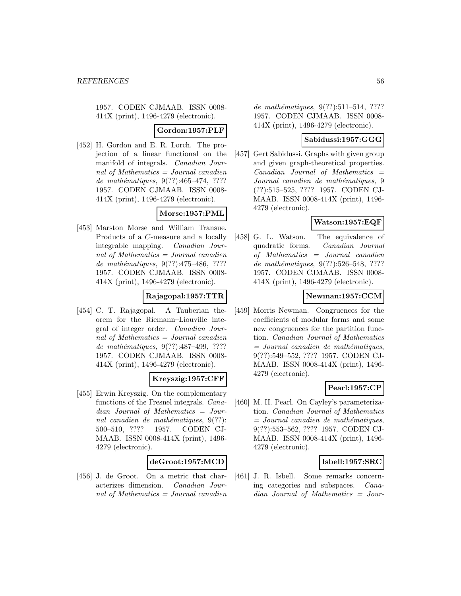**Gordon:1957:PLF**

[452] H. Gordon and E. R. Lorch. The projection of a linear functional on the manifold of integrals. Canadian Journal of Mathematics = Journal canadien de mathématiques,  $9(??):465-474, ????$ 1957. CODEN CJMAAB. ISSN 0008- 414X (print), 1496-4279 (electronic).

# **Morse:1957:PML**

[453] Marston Morse and William Transue. Products of a C-measure and a locally integrable mapping. Canadian Journal of Mathematics = Journal canadien de mathématiques,  $9(??):475-486, ????$ 1957. CODEN CJMAAB. ISSN 0008- 414X (print), 1496-4279 (electronic).

# **Rajagopal:1957:TTR**

[454] C. T. Rajagopal. A Tauberian theorem for the Riemann–Liouville integral of integer order. Canadian Journal of Mathematics = Journal canadien de mathématiques, 9(??):487-499, ???? 1957. CODEN CJMAAB. ISSN 0008- 414X (print), 1496-4279 (electronic).

### **Kreyszig:1957:CFF**

[455] Erwin Kreyszig. On the complementary functions of the Fresnel integrals. Canadian Journal of Mathematics = Journal canadien de mathématiques,  $9(??)$ : 500–510, ???? 1957. CODEN CJ-MAAB. ISSN 0008-414X (print), 1496- 4279 (electronic).

### **deGroot:1957:MCD**

[456] J. de Groot. On a metric that characterizes dimension. Canadian Journal of Mathematics  $=$  Journal canadien de mathématiques,  $9(??):511-514$ , ???? 1957. CODEN CJMAAB. ISSN 0008- 414X (print), 1496-4279 (electronic).

#### **Sabidussi:1957:GGG**

[457] Gert Sabidussi. Graphs with given group and given graph-theoretical properties.  $Canadian$  Journal of Mathematics  $=$ Journal canadien de mathématiques, 9 (??):515–525, ???? 1957. CODEN CJ-MAAB. ISSN 0008-414X (print), 1496- 4279 (electronic).

### **Watson:1957:EQF**

[458] G. L. Watson. The equivalence of quadratic forms. Canadian Journal of Mathematics = Journal canadien de mathématiques, 9(??):526–548, ???? 1957. CODEN CJMAAB. ISSN 0008- 414X (print), 1496-4279 (electronic).

### **Newman:1957:CCM**

[459] Morris Newman. Congruences for the coefficients of modular forms and some new congruences for the partition function. Canadian Journal of Mathematics  $=$  Journal canadien de mathématiques, 9(??):549–552, ???? 1957. CODEN CJ-MAAB. ISSN 0008-414X (print), 1496- 4279 (electronic).

### **Pearl:1957:CP**

[460] M. H. Pearl. On Cayley's parameterization. Canadian Journal of Mathematics  $=$  Journal canadien de mathématiques, 9(??):553–562, ???? 1957. CODEN CJ-MAAB. ISSN 0008-414X (print), 1496- 4279 (electronic).

### **Isbell:1957:SRC**

[461] J. R. Isbell. Some remarks concerning categories and subspaces. Canadian Journal of Mathematics = Jour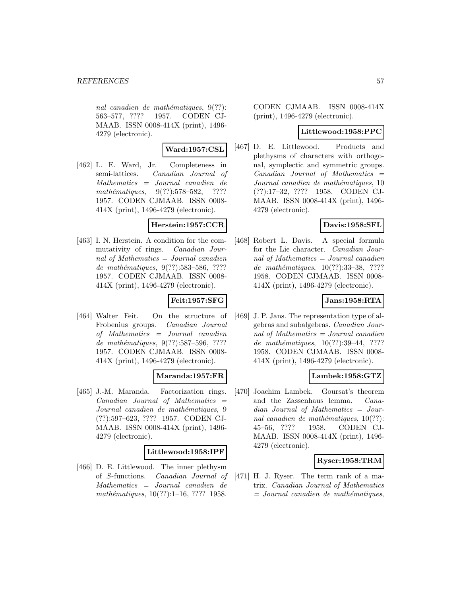nal canadien de mathématiques,  $9(??)$ : 563–577, ???? 1957. CODEN CJ-MAAB. ISSN 0008-414X (print), 1496- 4279 (electronic).

#### **Ward:1957:CSL**

[462] L. E. Ward, Jr. Completeness in semi-lattices. Canadian Journal of Mathematics = Journal canadien de mathématiques,  $9(??):578-582$ , ???? 1957. CODEN CJMAAB. ISSN 0008- 414X (print), 1496-4279 (electronic).

#### **Herstein:1957:CCR**

[463] I. N. Herstein. A condition for the commutativity of rings. Canadian Journal of Mathematics = Journal canadien de mathématiques,  $9(??)$ :583-586, ???? 1957. CODEN CJMAAB. ISSN 0008- 414X (print), 1496-4279 (electronic).

### **Feit:1957:SFG**

[464] Walter Feit. On the structure of Frobenius groups. Canadian Journal of Mathematics = Journal canadien de mathématiques, 9(??):587–596, ???? 1957. CODEN CJMAAB. ISSN 0008- 414X (print), 1496-4279 (electronic).

### **Maranda:1957:FR**

[465] J.-M. Maranda. Factorization rings. Canadian Journal of Mathematics = Journal canadien de mathématiques, 9 (??):597–623, ???? 1957. CODEN CJ-MAAB. ISSN 0008-414X (print), 1496- 4279 (electronic).

#### **Littlewood:1958:IPF**

[466] D. E. Littlewood. The inner plethysm of S-functions. Canadian Journal of Mathematics = Journal canadien de mathématiques,  $10(??):1-16, ????$  1958.

CODEN CJMAAB. ISSN 0008-414X (print), 1496-4279 (electronic).

### **Littlewood:1958:PPC**

[467] D. E. Littlewood. Products and plethysms of characters with orthogonal, symplectic and symmetric groups.  $Canadian$  Journal of Mathematics  $=$ Journal canadien de mathématiques, 10 (??):17–32, ???? 1958. CODEN CJ-MAAB. ISSN 0008-414X (print), 1496- 4279 (electronic).

### **Davis:1958:SFL**

[468] Robert L. Davis. A special formula for the Lie character. Canadian Journal of Mathematics = Journal canadien de mathématiques,  $10(??):33-38$ , ???? 1958. CODEN CJMAAB. ISSN 0008- 414X (print), 1496-4279 (electronic).

### **Jans:1958:RTA**

[469] J. P. Jans. The representation type of algebras and subalgebras. Canadian Journal of Mathematics = Journal canadien de mathématiques,  $10(??):39-44, ????$ 1958. CODEN CJMAAB. ISSN 0008- 414X (print), 1496-4279 (electronic).

### **Lambek:1958:GTZ**

[470] Joachim Lambek. Goursat's theorem and the Zassenhaus lemma. Canadian Journal of Mathematics = Journal canadien de mathématiques,  $10(??)$ : 45–56, ???? 1958. CODEN CJ-MAAB. ISSN 0008-414X (print), 1496- 4279 (electronic).

### **Ryser:1958:TRM**

[471] H. J. Ryser. The term rank of a matrix. Canadian Journal of Mathematics  $=$  Journal canadien de mathématiques,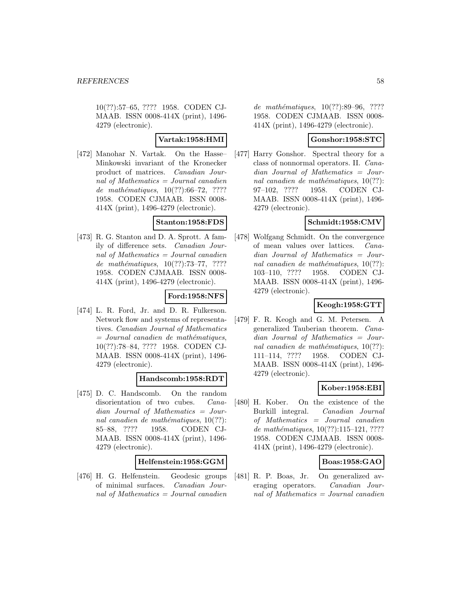10(??):57–65, ???? 1958. CODEN CJ-MAAB. ISSN 0008-414X (print), 1496- 4279 (electronic).

# **Vartak:1958:HMI**

[472] Manohar N. Vartak. On the Hasse– Minkowski invariant of the Kronecker product of matrices. Canadian Journal of Mathematics  $=$  Journal canadien de mathématiques,  $10(??):66-72, ????$ 1958. CODEN CJMAAB. ISSN 0008- 414X (print), 1496-4279 (electronic).

### **Stanton:1958:FDS**

[473] R. G. Stanton and D. A. Sprott. A family of difference sets. Canadian Journal of Mathematics = Journal canadien de mathématiques,  $10(??):73-77, ????$ 1958. CODEN CJMAAB. ISSN 0008- 414X (print), 1496-4279 (electronic).

### **Ford:1958:NFS**

[474] L. R. Ford, Jr. and D. R. Fulkerson. Network flow and systems of representatives. Canadian Journal of Mathematics  $=$  Journal canadien de mathématiques, 10(??):78–84, ???? 1958. CODEN CJ-MAAB. ISSN 0008-414X (print), 1496- 4279 (electronic).

### **Handscomb:1958:RDT**

[475] D. C. Handscomb. On the random disorientation of two cubes. *Cana*dian Journal of Mathematics = Journal canadien de mathématiques,  $10(??)$ : 85–88, ???? 1958. CODEN CJ-MAAB. ISSN 0008-414X (print), 1496- 4279 (electronic).

### **Helfenstein:1958:GGM**

[476] H. G. Helfenstein. Geodesic groups of minimal surfaces. Canadian Journal of Mathematics = Journal canadien

de mathématiques, 10(??):89-96, ???? 1958. CODEN CJMAAB. ISSN 0008- 414X (print), 1496-4279 (electronic).

### **Gonshor:1958:STC**

[477] Harry Gonshor. Spectral theory for a class of nonnormal operators. II. Canadian Journal of Mathematics = Journal canadien de mathématiques,  $10(??)$ : 97–102, ???? 1958. CODEN CJ-MAAB. ISSN 0008-414X (print), 1496- 4279 (electronic).

### **Schmidt:1958:CMV**

[478] Wolfgang Schmidt. On the convergence of mean values over lattices. Canadian Journal of Mathematics = Journal canadien de mathématiques,  $10(??)$ : 103–110, ???? 1958. CODEN CJ-MAAB. ISSN 0008-414X (print), 1496- 4279 (electronic).

### **Keogh:1958:GTT**

[479] F. R. Keogh and G. M. Petersen. A generalized Tauberian theorem. Canadian Journal of Mathematics = Journal canadien de mathématiques,  $10(??)$ : 111–114, ???? 1958. CODEN CJ-MAAB. ISSN 0008-414X (print), 1496- 4279 (electronic).

### **Kober:1958:EBI**

[480] H. Kober. On the existence of the Burkill integral. Canadian Journal of Mathematics = Journal canadien  $de \ mathématiques, 10(??):115–121, ????$ 1958. CODEN CJMAAB. ISSN 0008- 414X (print), 1496-4279 (electronic).

### **Boas:1958:GAO**

[481] R. P. Boas, Jr. On generalized averaging operators. Canadian Journal of Mathematics = Journal canadien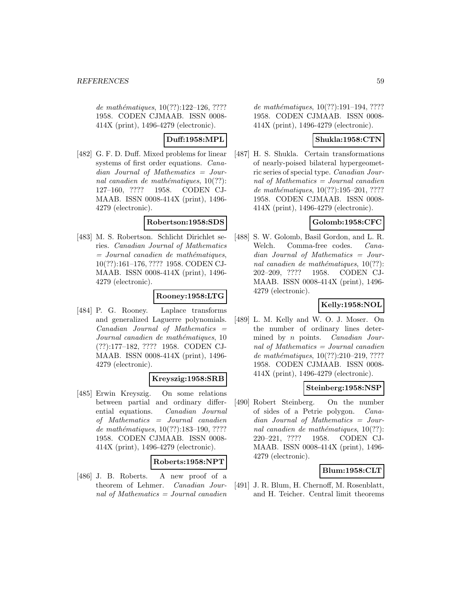de mathématiques,  $10(??):122-126, ????$ 1958. CODEN CJMAAB. ISSN 0008- 414X (print), 1496-4279 (electronic).

# **Duff:1958:MPL**

[482] G. F. D. Duff. Mixed problems for linear systems of first order equations. Canadian Journal of Mathematics = Journal canadien de mathématiques,  $10(??)$ : 127–160, ???? 1958. CODEN CJ-MAAB. ISSN 0008-414X (print), 1496- 4279 (electronic).

### **Robertson:1958:SDS**

[483] M. S. Robertson. Schlicht Dirichlet series. Canadian Journal of Mathematics  $=$  Journal canadien de mathématiques, 10(??):161–176, ???? 1958. CODEN CJ-MAAB. ISSN 0008-414X (print), 1496- 4279 (electronic).

### **Rooney:1958:LTG**

[484] P. G. Rooney. Laplace transforms and generalized Laguerre polynomials.  $Canadian$  Journal of Mathematics  $=$ Journal canadien de mathématiques, 10 (??):177–182, ???? 1958. CODEN CJ-MAAB. ISSN 0008-414X (print), 1496- 4279 (electronic).

### **Kreyszig:1958:SRB**

[485] Erwin Kreyszig. On some relations between partial and ordinary differential equations. Canadian Journal of Mathematics = Journal canadien de mathématiques,  $10(??):183-190, ????$ 1958. CODEN CJMAAB. ISSN 0008- 414X (print), 1496-4279 (electronic).

### **Roberts:1958:NPT**

[486] J. B. Roberts. A new proof of a theorem of Lehmer. Canadian Journal of Mathematics = Journal canadien de mathématiques,  $10(??):191-194, ????$ 1958. CODEN CJMAAB. ISSN 0008- 414X (print), 1496-4279 (electronic).

# **Shukla:1958:CTN**

[487] H. S. Shukla. Certain transformations of nearly-poised bilateral hypergeometric series of special type. Canadian Journal of Mathematics = Journal canadien de mathématiques, 10(??):195-201, ???? 1958. CODEN CJMAAB. ISSN 0008- 414X (print), 1496-4279 (electronic).

# **Golomb:1958:CFC**

[488] S. W. Golomb, Basil Gordon, and L. R. Welch. Comma-free codes. Canadian Journal of Mathematics = Journal canadien de mathématiques,  $10(??)$ : 202–209, ???? 1958. CODEN CJ-MAAB. ISSN 0008-414X (print), 1496- 4279 (electronic).

# **Kelly:1958:NOL**

[489] L. M. Kelly and W. O. J. Moser. On the number of ordinary lines determined by *n* points. *Canadian Jour*nal of Mathematics = Journal canadien de mathématiques,  $10(??):210-219, ????$ 1958. CODEN CJMAAB. ISSN 0008- 414X (print), 1496-4279 (electronic).

### **Steinberg:1958:NSP**

[490] Robert Steinberg. On the number of sides of a Petrie polygon. Canadian Journal of Mathematics = Journal canadien de mathématiques,  $10(??)$ : 220–221, ???? 1958. CODEN CJ-MAAB. ISSN 0008-414X (print), 1496- 4279 (electronic).

### **Blum:1958:CLT**

[491] J. R. Blum, H. Chernoff, M. Rosenblatt, and H. Teicher. Central limit theorems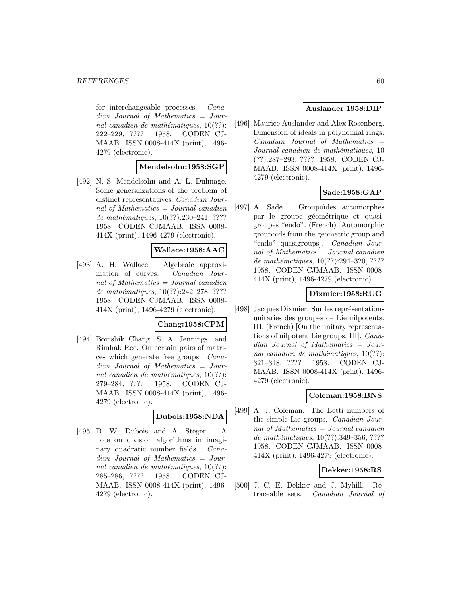for interchangeable processes. Canadian Journal of Mathematics = Journal canadien de mathématiques,  $10(??)$ : 222–229, ???? 1958. CODEN CJ-MAAB. ISSN 0008-414X (print), 1496- 4279 (electronic).

#### **Mendelsohn:1958:SGP**

[492] N. S. Mendelsohn and A. L. Dulmage. Some generalizations of the problem of distinct representatives. Canadian Journal of Mathematics = Journal canadien de mathématiques,  $10(??):230-241, ????$ 1958. CODEN CJMAAB. ISSN 0008- 414X (print), 1496-4279 (electronic).

#### **Wallace:1958:AAC**

[493] A. H. Wallace. Algebraic approximation of curves. Canadian Journal of Mathematics = Journal canadien de mathématiques,  $10(??):242-278, ????$ 1958. CODEN CJMAAB. ISSN 0008- 414X (print), 1496-4279 (electronic).

#### **Chang:1958:CPM**

[494] Bomshik Chang, S. A. Jennings, and Rimhak Ree. On certain pairs of matrices which generate free groups. Canadian Journal of Mathematics = Journal canadien de mathématiques,  $10(??)$ : 279–284, ???? 1958. CODEN CJ-MAAB. ISSN 0008-414X (print), 1496- 4279 (electronic).

#### **Dubois:1958:NDA**

[495] D. W. Dubois and A. Steger. A note on division algorithms in imaginary quadratic number fields. Canadian Journal of Mathematics = Journal canadien de mathématiques,  $10(??)$ : 285–286, ???? 1958. CODEN CJ-MAAB. ISSN 0008-414X (print), 1496- 4279 (electronic).

### **Auslander:1958:DIP**

[496] Maurice Auslander and Alex Rosenberg. Dimension of ideals in polynomial rings.  $Canadian$  Journal of Mathematics  $=$ Journal canadien de mathématiques, 10 (??):287–293, ???? 1958. CODEN CJ-MAAB. ISSN 0008-414X (print), 1496- 4279 (electronic).

### **Sade:1958:GAP**

[497] A. Sade. Groupoïdes automorphes par le groupe géométrique et quasigroupes "endo". (French) [Automorphic groupoids from the geometric group and "endo" quasigroups]. Canadian Journal of Mathematics = Journal canadien de mathématiques, 10(??):294-320, ???? 1958. CODEN CJMAAB. ISSN 0008- 414X (print), 1496-4279 (electronic).

#### **Dixmier:1958:RUG**

[498] Jacques Dixmier. Sur les représentations unitaries des groupes de Lie nilpotents. III. (French) [On the unitary representations of nilpotent Lie groups. III]. Canadian Journal of Mathematics = Journal canadien de mathématiques,  $10(??)$ : 321–348, ???? 1958. CODEN CJ-MAAB. ISSN 0008-414X (print), 1496- 4279 (electronic).

#### **Coleman:1958:BNS**

[499] A. J. Coleman. The Betti numbers of the simple Lie groups. Canadian Journal of Mathematics = Journal canadien de mathématiques,  $10(??):349-356, ????$ 1958. CODEN CJMAAB. ISSN 0008- 414X (print), 1496-4279 (electronic).

#### **Dekker:1958:RS**

[500] J. C. E. Dekker and J. Myhill. Retraceable sets. Canadian Journal of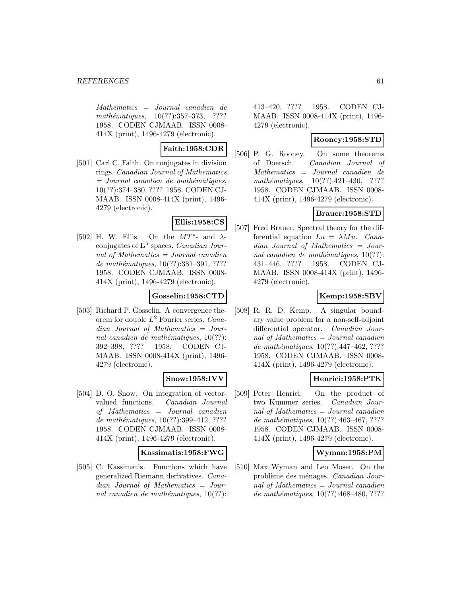Mathematics = Journal canadien de mathématiques,  $10(??):357-373$ , ???? 1958. CODEN CJMAAB. ISSN 0008- 414X (print), 1496-4279 (electronic).

### **Faith:1958:CDR**

[501] Carl C. Faith. On conjugates in division rings. Canadian Journal of Mathematics  $=$  Journal canadien de mathématiques, 10(??):374–380, ???? 1958. CODEN CJ-MAAB. ISSN 0008-414X (print), 1496- 4279 (electronic).

### **Ellis:1958:CS**

[502] H. W. Ellis. On the  $MT^*$ - and  $\lambda$ conjugates of  $L^{\lambda}$  spaces. *Canadian Jour*nal of Mathematics = Journal canadien de mathématiques,  $10(??):381-391, ????$ 1958. CODEN CJMAAB. ISSN 0008- 414X (print), 1496-4279 (electronic).

### **Gosselin:1958:CTD**

[503] Richard P. Gosselin. A convergence theorem for double  $L^2$  Fourier series. Canadian Journal of Mathematics = Journal canadien de mathématiques,  $10(??)$ : 392–398, ???? 1958. CODEN CJ-MAAB. ISSN 0008-414X (print), 1496- 4279 (electronic).

### **Snow:1958:IVV**

[504] D. O. Snow. On integration of vectorvalued functions. Canadian Journal of Mathematics = Journal canadien de mathématiques,  $10(??):399-412, ????$ 1958. CODEN CJMAAB. ISSN 0008- 414X (print), 1496-4279 (electronic).

#### **Kassimatis:1958:FWG**

[505] C. Kassimatis. Functions which have generalized Riemann derivatives. Canadian Journal of Mathematics = Journal canadien de mathématiques,  $10(??)$ :

413–420, ???? 1958. CODEN CJ-MAAB. ISSN 0008-414X (print), 1496- 4279 (electronic).

### **Rooney:1958:STD**

[506] P. G. Rooney. On some theorems of Doetsch. Canadian Journal of Mathematics = Journal canadien de mathématiques,  $10(??):421-430$ , ???? 1958. CODEN CJMAAB. ISSN 0008- 414X (print), 1496-4279 (electronic).

# **Brauer:1958:STD**

[507] Fred Brauer. Spectral theory for the differential equation  $Lu = \lambda Mu$ . Canadian Journal of Mathematics = Journal canadien de mathématiques,  $10(??)$ : 431–446, ???? 1958. CODEN CJ-MAAB. ISSN 0008-414X (print), 1496- 4279 (electronic).

# **Kemp:1958:SBV**

[508] R. R. D. Kemp. A singular boundary value problem for a non-self-adjoint differential operator. Canadian Journal of Mathematics = Journal canadien de mathématiques,  $10(??):447-462, ????$ 1958. CODEN CJMAAB. ISSN 0008- 414X (print), 1496-4279 (electronic).

### **Henrici:1958:PTK**

[509] Peter Henrici. On the product of two Kummer series. Canadian Journal of Mathematics = Journal canadien de mathématiques,  $10(??)$ :463-467, ???? 1958. CODEN CJMAAB. ISSN 0008- 414X (print), 1496-4279 (electronic).

### **Wyman:1958:PM**

[510] Max Wyman and Leo Moser. On the problème des ménages. Canadian Journal of Mathematics = Journal canadien de mathématiques,  $10(??):468-480, ????$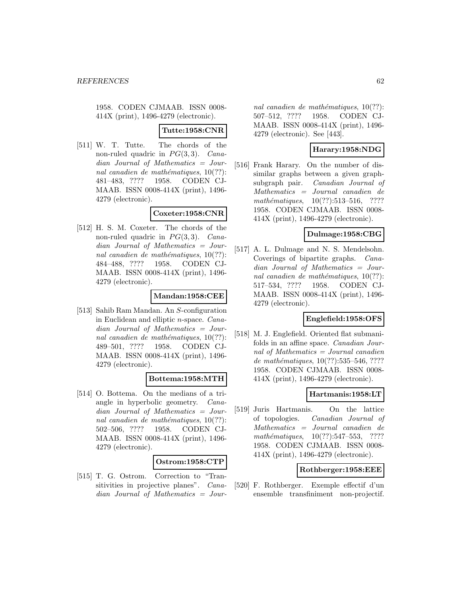### **Tutte:1958:CNR**

[511] W. T. Tutte. The chords of the non-ruled quadric in  $PG(3, 3)$ . Canadian Journal of Mathematics = Journal canadien de mathématiques,  $10(??)$ : 481–483, ???? 1958. CODEN CJ-MAAB. ISSN 0008-414X (print), 1496- 4279 (electronic).

### **Coxeter:1958:CNR**

[512] H. S. M. Coxeter. The chords of the non-ruled quadric in  $PG(3, 3)$ . Canadian Journal of Mathematics = Journal canadien de mathématiques,  $10(??)$ : 484–488, ???? 1958. CODEN CJ-MAAB. ISSN 0008-414X (print), 1496- 4279 (electronic).

#### **Mandan:1958:CEE**

[513] Sahib Ram Mandan. An S-configuration in Euclidean and elliptic n-space. Canadian Journal of Mathematics = Journal canadien de mathématiques,  $10(??)$ : 489–501, ???? 1958. CODEN CJ-MAAB. ISSN 0008-414X (print), 1496- 4279 (electronic).

### **Bottema:1958:MTH**

[514] O. Bottema. On the medians of a triangle in hyperbolic geometry. Canadian Journal of Mathematics = Journal canadien de mathématiques,  $10(??)$ : 502–506, ???? 1958. CODEN CJ-MAAB. ISSN 0008-414X (print), 1496- 4279 (electronic).

#### **Ostrom:1958:CTP**

[515] T. G. Ostrom. Correction to "Transitivities in projective planes". Canadian Journal of Mathematics = Jour-

nal canadien de mathématiques,  $10(??)$ : 507–512, ???? 1958. CODEN CJ-MAAB. ISSN 0008-414X (print), 1496- 4279 (electronic). See [443].

### **Harary:1958:NDG**

[516] Frank Harary. On the number of dissimilar graphs between a given graphsubgraph pair. Canadian Journal of Mathematics = Journal canadien de mathématiques,  $10(??):513-516$ , ???? 1958. CODEN CJMAAB. ISSN 0008- 414X (print), 1496-4279 (electronic).

#### **Dulmage:1958:CBG**

[517] A. L. Dulmage and N. S. Mendelsohn. Coverings of bipartite graphs. Canadian Journal of Mathematics = Journal canadien de mathématiques,  $10(??)$ : 517–534, ???? 1958. CODEN CJ-MAAB. ISSN 0008-414X (print), 1496- 4279 (electronic).

### **Englefield:1958:OFS**

[518] M. J. Englefield. Oriented flat submanifolds in an affine space. Canadian Journal of Mathematics = Journal canadien de mathématiques,  $10(??):535-546, ????$ 1958. CODEN CJMAAB. ISSN 0008- 414X (print), 1496-4279 (electronic).

#### **Hartmanis:1958:LT**

[519] Juris Hartmanis. On the lattice of topologies. Canadian Journal of Mathematics = Journal canadien de mathématiques,  $10(??):547-553$ , ???? 1958. CODEN CJMAAB. ISSN 0008- 414X (print), 1496-4279 (electronic).

#### **Rothberger:1958:EEE**

[520] F. Rothberger. Exemple effectif d'un ensemble transfiniment non-projectif.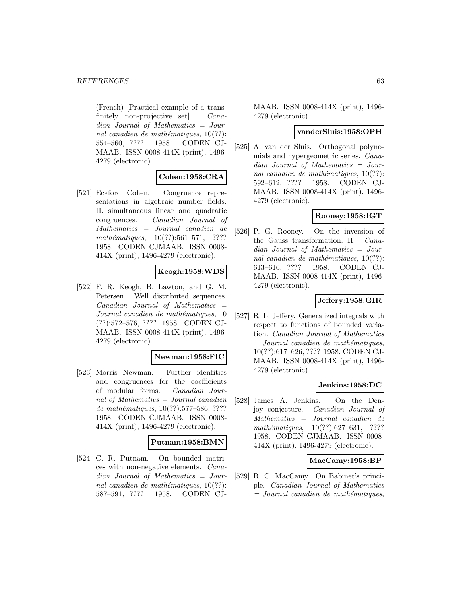(French) [Practical example of a transfinitely non-projective set]. Canadian Journal of Mathematics = Journal canadien de mathématiques,  $10(??)$ : 554–560, ???? 1958. CODEN CJ-MAAB. ISSN 0008-414X (print), 1496- 4279 (electronic).

### **Cohen:1958:CRA**

[521] Eckford Cohen. Congruence representations in algebraic number fields. II. simultaneous linear and quadratic congruences. Canadian Journal of Mathematics = Journal canadien de mathématiques,  $10(??):561-571$ , ???? 1958. CODEN CJMAAB. ISSN 0008- 414X (print), 1496-4279 (electronic).

### **Keogh:1958:WDS**

[522] F. R. Keogh, B. Lawton, and G. M. Petersen. Well distributed sequences.  $Canadian$  Journal of Mathematics  $=$ Journal canadien de mathématiques, 10 (??):572–576, ???? 1958. CODEN CJ-MAAB. ISSN 0008-414X (print), 1496- 4279 (electronic).

#### **Newman:1958:FIC**

[523] Morris Newman. Further identities and congruences for the coefficients of modular forms. Canadian Journal of Mathematics = Journal canadien de mathématiques, 10(??):577–586, ???? 1958. CODEN CJMAAB. ISSN 0008- 414X (print), 1496-4279 (electronic).

#### **Putnam:1958:BMN**

[524] C. R. Putnam. On bounded matrices with non-negative elements. Canadian Journal of Mathematics = Journal canadien de mathématiques,  $10(??)$ : 587–591, ???? 1958. CODEN CJ-

MAAB. ISSN 0008-414X (print), 1496- 4279 (electronic).

#### **vanderSluis:1958:OPH**

[525] A. van der Sluis. Orthogonal polynomials and hypergeometric series. Canadian Journal of Mathematics = Journal canadien de mathématiques,  $10(??)$ : 592–612, ???? 1958. CODEN CJ-MAAB. ISSN 0008-414X (print), 1496- 4279 (electronic).

### **Rooney:1958:IGT**

[526] P. G. Rooney. On the inversion of the Gauss transformation. II. Canadian Journal of Mathematics = Journal canadien de mathématiques,  $10(??)$ : 613–616, ???? 1958. CODEN CJ-MAAB. ISSN 0008-414X (print), 1496- 4279 (electronic).

### **Jeffery:1958:GIR**

[527] R. L. Jeffery. Generalized integrals with respect to functions of bounded variation. Canadian Journal of Mathematics  $=$  Journal canadien de mathématiques, 10(??):617–626, ???? 1958. CODEN CJ-MAAB. ISSN 0008-414X (print), 1496- 4279 (electronic).

#### **Jenkins:1958:DC**

[528] James A. Jenkins. On the Denjoy conjecture. Canadian Journal of Mathematics = Journal canadien de mathématiques,  $10(??):627-631$ , ???? 1958. CODEN CJMAAB. ISSN 0008- 414X (print), 1496-4279 (electronic).

#### **MacCamy:1958:BP**

[529] R. C. MacCamy. On Babinet's principle. Canadian Journal of Mathematics  $=$  Journal canadien de mathématiques,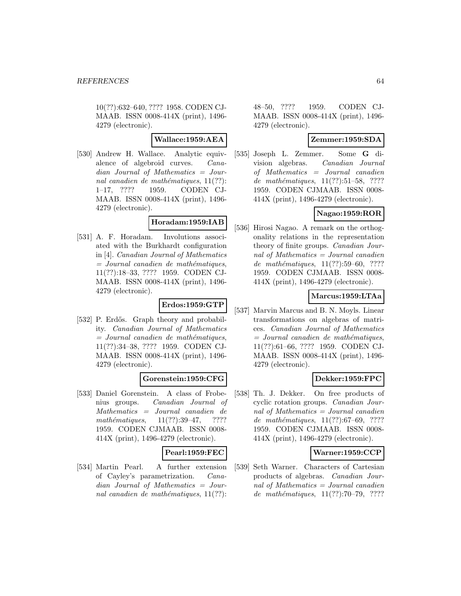10(??):632–640, ???? 1958. CODEN CJ-MAAB. ISSN 0008-414X (print), 1496- 4279 (electronic).

### **Wallace:1959:AEA**

[530] Andrew H. Wallace. Analytic equivalence of algebroid curves. Canadian Journal of Mathematics = Journal canadien de mathématiques,  $11(??)$ : 1–17, ???? 1959. CODEN CJ-MAAB. ISSN 0008-414X (print), 1496- 4279 (electronic).

#### **Horadam:1959:IAB**

[531] A. F. Horadam. Involutions associated with the Burkhardt configuration in [4]. Canadian Journal of Mathematics  $=$  Journal canadien de mathématiques, 11(??):18–33, ???? 1959. CODEN CJ-MAAB. ISSN 0008-414X (print), 1496- 4279 (electronic).

### **Erdos:1959:GTP**

[532] P. Erdős. Graph theory and probability. Canadian Journal of Mathematics  $=$  Journal canadien de mathématiques, 11(??):34–38, ???? 1959. CODEN CJ-MAAB. ISSN 0008-414X (print), 1496- 4279 (electronic).

### **Gorenstein:1959:CFG**

[533] Daniel Gorenstein. A class of Frobenius groups. Canadian Journal of Mathematics = Journal canadien de mathématiques,  $11(??):39-47$ , ???? 1959. CODEN CJMAAB. ISSN 0008- 414X (print), 1496-4279 (electronic).

#### **Pearl:1959:FEC**

[534] Martin Pearl. A further extension of Cayley's parametrization. Canadian Journal of Mathematics = Journal canadien de mathématiques,  $11(??)$ :

48–50, ???? 1959. CODEN CJ-MAAB. ISSN 0008-414X (print), 1496- 4279 (electronic).

### **Zemmer:1959:SDA**

[535] Joseph L. Zemmer. Some **G** division algebras. Canadian Journal of Mathematics = Journal canadien de mathématiques, 11(??):51-58, ???? 1959. CODEN CJMAAB. ISSN 0008- 414X (print), 1496-4279 (electronic).

# **Nagao:1959:ROR**

[536] Hirosi Nagao. A remark on the orthogonality relations in the representation theory of finite groups. Canadian Journal of Mathematics = Journal canadien de mathématiques,  $11(??):59–60, ????$ 1959. CODEN CJMAAB. ISSN 0008- 414X (print), 1496-4279 (electronic).

# **Marcus:1959:LTAa**

[537] Marvin Marcus and B. N. Moyls. Linear transformations on algebras of matrices. Canadian Journal of Mathematics  $=$  Journal canadien de mathématiques, 11(??):61–66, ???? 1959. CODEN CJ-MAAB. ISSN 0008-414X (print), 1496- 4279 (electronic).

# **Dekker:1959:FPC**

[538] Th. J. Dekker. On free products of cyclic rotation groups. Canadian Journal of Mathematics = Journal canadien de mathématiques,  $11(??):67-69, ????$ 1959. CODEN CJMAAB. ISSN 0008- 414X (print), 1496-4279 (electronic).

### **Warner:1959:CCP**

[539] Seth Warner. Characters of Cartesian products of algebras. Canadian Journal of Mathematics = Journal canadien de mathématiques,  $11(??):70-79, ????$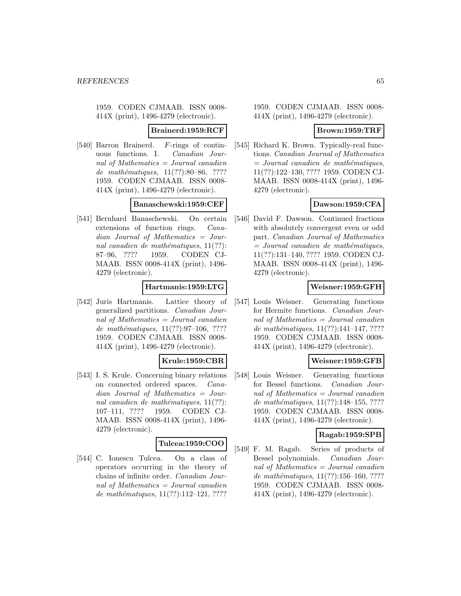#### **Brainerd:1959:RCF**

[540] Barron Brainerd. F-rings of continuous functions. I. Canadian Journal of Mathematics = Journal canadien de mathématiques,  $11(??):80–86, ????$ 1959. CODEN CJMAAB. ISSN 0008- 414X (print), 1496-4279 (electronic).

#### **Banaschewski:1959:CEF**

[541] Bernhard Banaschewski. On certain extensions of function rings. Canadian Journal of Mathematics = Journal canadien de mathématiques,  $11(??)$ : 87–96, ???? 1959. CODEN CJ-MAAB. ISSN 0008-414X (print), 1496- 4279 (electronic).

### **Hartmanis:1959:LTG**

[542] Juris Hartmanis. Lattice theory of generalized partitions. Canadian Journal of Mathematics = Journal canadien de mathématiques,  $11(??):97-106, ????$ 1959. CODEN CJMAAB. ISSN 0008- 414X (print), 1496-4279 (electronic).

### **Krule:1959:CBR**

[543] I. S. Krule. Concerning binary relations on connected ordered spaces. Canadian Journal of Mathematics = Journal canadien de mathématiques,  $11(??)$ : 107–111, ???? 1959. CODEN CJ-MAAB. ISSN 0008-414X (print), 1496- 4279 (electronic).

### **Tulcea:1959:COO**

[544] C. Ionescu Tulcea. On a class of operators occurring in the theory of chains of infinite order. Canadian Journal of Mathematics = Journal canadien de mathématiques,  $11(??):112-121, ????$ 

1959. CODEN CJMAAB. ISSN 0008- 414X (print), 1496-4279 (electronic).

#### **Brown:1959:TRF**

[545] Richard K. Brown. Typically-real functions. Canadian Journal of Mathematics  $=$  Journal canadien de mathématiques, 11(??):122–130, ???? 1959. CODEN CJ-MAAB. ISSN 0008-414X (print), 1496- 4279 (electronic).

### **Dawson:1959:CFA**

[546] David F. Dawson. Continued fractions with absolutely convergent even or odd part. Canadian Journal of Mathematics  $=$  Journal canadien de mathématiques, 11(??):131–140, ???? 1959. CODEN CJ-MAAB. ISSN 0008-414X (print), 1496- 4279 (electronic).

#### **Weisner:1959:GFH**

[547] Louis Weisner. Generating functions for Hermite functions. Canadian Journal of Mathematics = Journal canadien de mathématiques,  $11(??):141-147, ????$ 1959. CODEN CJMAAB. ISSN 0008- 414X (print), 1496-4279 (electronic).

### **Weisner:1959:GFB**

[548] Louis Weisner. Generating functions for Bessel functions. Canadian Journal of Mathematics = Journal canadien de mathématiques,  $11(??):148-155, ????$ 1959. CODEN CJMAAB. ISSN 0008- 414X (print), 1496-4279 (electronic).

#### **Ragab:1959:SPB**

[549] F. M. Ragab. Series of products of Bessel polynomials. Canadian Journal of Mathematics = Journal canadien de mathématiques,  $11(??):156–160, ????$ 1959. CODEN CJMAAB. ISSN 0008- 414X (print), 1496-4279 (electronic).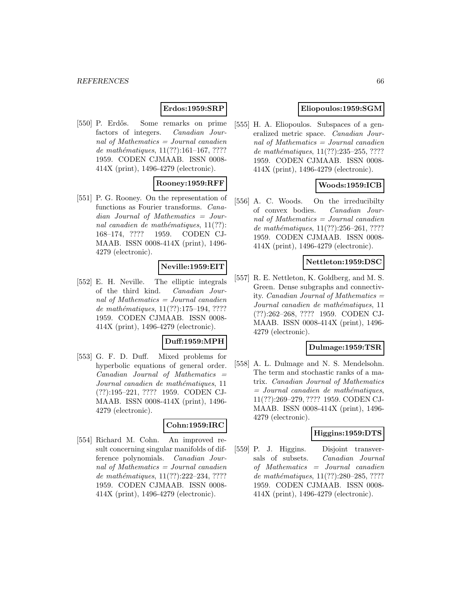### **Erdos:1959:SRP**

[550] P. Erdős. Some remarks on prime factors of integers. Canadian Journal of Mathematics = Journal canadien de mathématiques,  $11(??):161-167, ????$ 1959. CODEN CJMAAB. ISSN 0008- 414X (print), 1496-4279 (electronic).

# **Rooney:1959:RFF**

[551] P. G. Rooney. On the representation of functions as Fourier transforms. Canadian Journal of Mathematics = Journal canadien de mathématiques,  $11(??)$ : 168–174, ???? 1959. CODEN CJ-MAAB. ISSN 0008-414X (print), 1496- 4279 (electronic).

### **Neville:1959:EIT**

[552] E. H. Neville. The elliptic integrals of the third kind. Canadian Journal of Mathematics = Journal canadien de mathématiques,  $11(??):175-194, ????$ 1959. CODEN CJMAAB. ISSN 0008- 414X (print), 1496-4279 (electronic).

#### **Duff:1959:MPH**

[553] G. F. D. Duff. Mixed problems for hyperbolic equations of general order.  $Canadian$  Journal of Mathematics  $=$ Journal canadien de mathématiques, 11 (??):195–221, ???? 1959. CODEN CJ-MAAB. ISSN 0008-414X (print), 1496- 4279 (electronic).

#### **Cohn:1959:IRC**

[554] Richard M. Cohn. An improved result concerning singular manifolds of difference polynomials. Canadian Journal of Mathematics = Journal canadien de mathématiques,  $11(??):222-234, ????$ 1959. CODEN CJMAAB. ISSN 0008- 414X (print), 1496-4279 (electronic).

### **Eliopoulos:1959:SGM**

[555] H. A. Eliopoulos. Subspaces of a generalized metric space. Canadian Journal of Mathematics = Journal canadien de mathématiques,  $11(??):235-255, ????$ 1959. CODEN CJMAAB. ISSN 0008- 414X (print), 1496-4279 (electronic).

### **Woods:1959:ICB**

[556] A. C. Woods. On the irreducibilty of convex bodies. Canadian Journal of Mathematics = Journal canadien de mathématiques,  $11(??):256-261, ????$ 1959. CODEN CJMAAB. ISSN 0008- 414X (print), 1496-4279 (electronic).

#### **Nettleton:1959:DSC**

[557] R. E. Nettleton, K. Goldberg, and M. S. Green. Dense subgraphs and connectivity. *Canadian Journal of Mathematics*  $=$ Journal canadien de mathématiques, 11 (??):262–268, ???? 1959. CODEN CJ-MAAB. ISSN 0008-414X (print), 1496- 4279 (electronic).

### **Dulmage:1959:TSR**

[558] A. L. Dulmage and N. S. Mendelsohn. The term and stochastic ranks of a matrix. Canadian Journal of Mathematics  $=$  Journal canadien de mathématiques, 11(??):269–279, ???? 1959. CODEN CJ-MAAB. ISSN 0008-414X (print), 1496- 4279 (electronic).

### **Higgins:1959:DTS**

[559] P. J. Higgins. Disjoint transversals of subsets. Canadian Journal of Mathematics = Journal canadien de mathématiques, 11(??):280-285, ???? 1959. CODEN CJMAAB. ISSN 0008- 414X (print), 1496-4279 (electronic).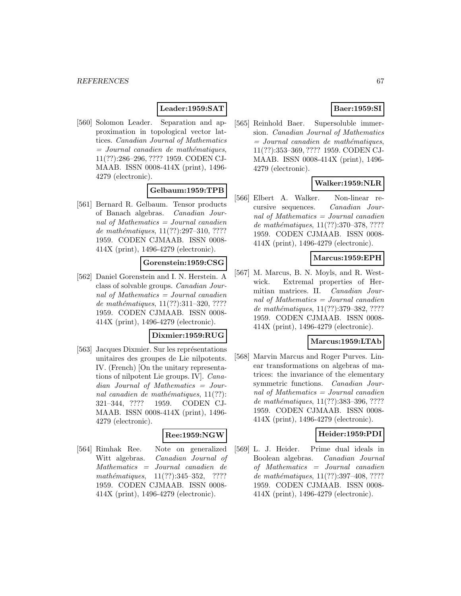### **Leader:1959:SAT**

[560] Solomon Leader. Separation and approximation in topological vector lattices. Canadian Journal of Mathematics  $=$  Journal canadien de mathématiques, 11(??):286–296, ???? 1959. CODEN CJ-MAAB. ISSN 0008-414X (print), 1496- 4279 (electronic).

### **Gelbaum:1959:TPB**

[561] Bernard R. Gelbaum. Tensor products of Banach algebras. Canadian Journal of Mathematics = Journal canadien de mathématiques,  $11(??):297-310, ????$ 1959. CODEN CJMAAB. ISSN 0008- 414X (print), 1496-4279 (electronic).

# **Gorenstein:1959:CSG**

[562] Daniel Gorenstein and I. N. Herstein. A class of solvable groups. Canadian Journal of Mathematics = Journal canadien de mathématiques,  $11(??):311-320, ????$ 1959. CODEN CJMAAB. ISSN 0008- 414X (print), 1496-4279 (electronic).

### **Dixmier:1959:RUG**

[563] Jacques Dixmier. Sur les représentations unitaires des groupes de Lie nilpotents. IV. (French) [On the unitary representations of nilpotent Lie groups. IV]. Canadian Journal of Mathematics = Journal canadien de mathématiques,  $11(??)$ : 321–344, ???? 1959. CODEN CJ-MAAB. ISSN 0008-414X (print), 1496- 4279 (electronic).

# **Ree:1959:NGW**

[564] Rimhak Ree. Note on generalized Witt algebras. Canadian Journal of Mathematics = Journal canadien de mathématiques,  $11(??):345-352$ , ???? 1959. CODEN CJMAAB. ISSN 0008- 414X (print), 1496-4279 (electronic).

# **Baer:1959:SI**

[565] Reinhold Baer. Supersoluble immersion. Canadian Journal of Mathematics  $=$  Journal canadien de mathématiques, 11(??):353–369, ???? 1959. CODEN CJ-MAAB. ISSN 0008-414X (print), 1496- 4279 (electronic).

# **Walker:1959:NLR**

[566] Elbert A. Walker. Non-linear recursive sequences. Canadian Journal of Mathematics = Journal canadien de mathématiques, 11(??):370–378, ???? 1959. CODEN CJMAAB. ISSN 0008- 414X (print), 1496-4279 (electronic).

### **Marcus:1959:EPH**

[567] M. Marcus, B. N. Moyls, and R. Westwick. Extremal properties of Hermitian matrices. II. Canadian Journal of Mathematics = Journal canadien de mathématiques, 11(??):379-382, ???? 1959. CODEN CJMAAB. ISSN 0008- 414X (print), 1496-4279 (electronic).

#### **Marcus:1959:LTAb**

[568] Marvin Marcus and Roger Purves. Linear transformations on algebras of matrices: the invariance of the elementary symmetric functions. Canadian Journal of Mathematics = Journal canadien de mathématiques, 11(??):383-396, ???? 1959. CODEN CJMAAB. ISSN 0008- 414X (print), 1496-4279 (electronic).

#### **Heider:1959:PDI**

[569] L. J. Heider. Prime dual ideals in Boolean algebras. Canadian Journal of Mathematics = Journal canadien de mathématiques, 11(??):397-408, ???? 1959. CODEN CJMAAB. ISSN 0008- 414X (print), 1496-4279 (electronic).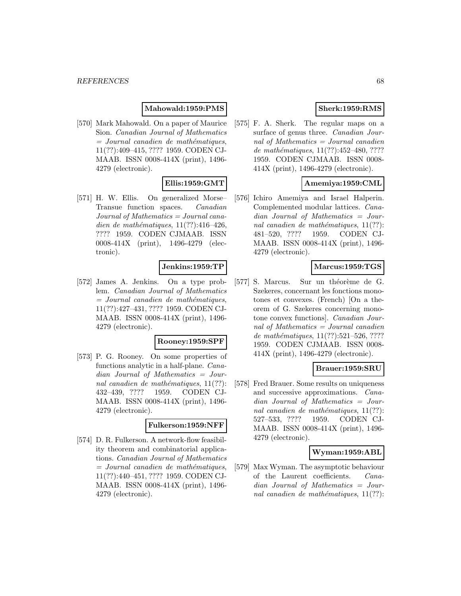#### **Mahowald:1959:PMS**

[570] Mark Mahowald. On a paper of Maurice Sion. Canadian Journal of Mathematics  $=$  Journal canadien de mathématiques, 11(??):409–415, ???? 1959. CODEN CJ-MAAB. ISSN 0008-414X (print), 1496- 4279 (electronic).

### **Ellis:1959:GMT**

[571] H. W. Ellis. On generalized Morse– Transue function spaces. Canadian Journal of Mathematics = Journal canadien de mathématiques,  $11(??):416-426$ , ???? 1959. CODEN CJMAAB. ISSN 0008-414X (print), 1496-4279 (electronic).

#### **Jenkins:1959:TP**

[572] James A. Jenkins. On a type problem. Canadian Journal of Mathematics  $=$  Journal canadien de mathématiques, 11(??):427–431, ???? 1959. CODEN CJ-MAAB. ISSN 0008-414X (print), 1496- 4279 (electronic).

#### **Rooney:1959:SPF**

[573] P. G. Rooney. On some properties of functions analytic in a half-plane. Canadian Journal of Mathematics = Journal canadien de mathématiques,  $11(??)$ : 432–439, ???? 1959. CODEN CJ-MAAB. ISSN 0008-414X (print), 1496- 4279 (electronic).

#### **Fulkerson:1959:NFF**

[574] D. R. Fulkerson. A network-flow feasibility theorem and combinatorial applications. Canadian Journal of Mathematics  $=$  Journal canadien de mathématiques, 11(??):440–451, ???? 1959. CODEN CJ-MAAB. ISSN 0008-414X (print), 1496- 4279 (electronic).

### **Sherk:1959:RMS**

[575] F. A. Sherk. The regular maps on a surface of genus three. Canadian Journal of Mathematics  $=$  Journal canadien de mathématiques,  $11(??):452-480, ????$ 1959. CODEN CJMAAB. ISSN 0008- 414X (print), 1496-4279 (electronic).

### **Amemiya:1959:CML**

[576] Ichiro Amemiya and Israel Halperin. Complemented modular lattices. Canadian Journal of Mathematics = Journal canadien de mathématiques,  $11(??)$ : 481–520, ???? 1959. CODEN CJ-MAAB. ISSN 0008-414X (print), 1496- 4279 (electronic).

### **Marcus:1959:TGS**

[577] S. Marcus. Sur un théorème de G. Szekeres, concernant les fonctions monotones et convexes. (French) [On a theorem of G. Szekeres concerning monotone convex functions]. Canadian Journal of Mathematics = Journal canadien de mathématiques,  $11(??):521-526, ????$ 1959. CODEN CJMAAB. ISSN 0008- 414X (print), 1496-4279 (electronic).

# **Brauer:1959:SRU**

[578] Fred Brauer. Some results on uniqueness and successive approximations. Canadian Journal of Mathematics = Journal canadien de mathématiques,  $11(??)$ : 527–533, ???? 1959. CODEN CJ-MAAB. ISSN 0008-414X (print), 1496- 4279 (electronic).

#### **Wyman:1959:ABL**

[579] Max Wyman. The asymptotic behaviour of the Laurent coefficients. Canadian Journal of Mathematics = Journal canadien de mathématiques,  $11(??)$ :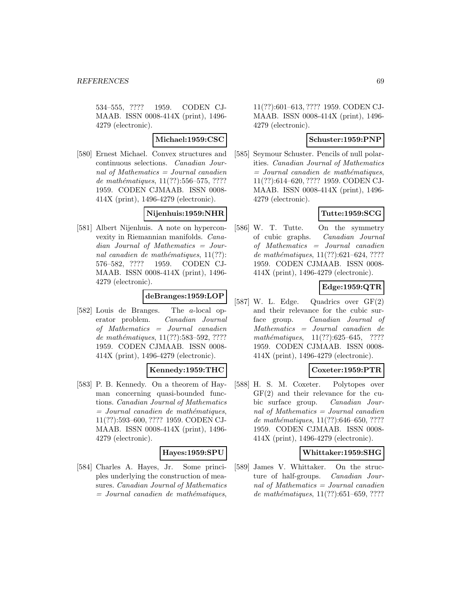534–555, ???? 1959. CODEN CJ-MAAB. ISSN 0008-414X (print), 1496- 4279 (electronic).

#### **Michael:1959:CSC**

[580] Ernest Michael. Convex structures and continuous selections. Canadian Journal of Mathematics = Journal canadien de mathématiques,  $11(??):556–575, ????$ 1959. CODEN CJMAAB. ISSN 0008- 414X (print), 1496-4279 (electronic).

### **Nijenhuis:1959:NHR**

[581] Albert Nijenhuis. A note on hyperconvexity in Riemannian manifolds. Canadian Journal of Mathematics = Journal canadien de mathématiques,  $11(??)$ : 576–582, ???? 1959. CODEN CJ-MAAB. ISSN 0008-414X (print), 1496- 4279 (electronic).

### **deBranges:1959:LOP**

[582] Louis de Branges. The a-local operator problem. Canadian Journal of Mathematics = Journal canadien de mathématiques,  $11(??)$ :583–592, ???? 1959. CODEN CJMAAB. ISSN 0008- 414X (print), 1496-4279 (electronic).

### **Kennedy:1959:THC**

[583] P. B. Kennedy. On a theorem of Hayman concerning quasi-bounded functions. Canadian Journal of Mathematics  $=$  Journal canadien de mathématiques, 11(??):593–600, ???? 1959. CODEN CJ-MAAB. ISSN 0008-414X (print), 1496- 4279 (electronic).

#### **Hayes:1959:SPU**

[584] Charles A. Hayes, Jr. Some principles underlying the construction of measures. Canadian Journal of Mathematics  $=$  Journal canadien de mathématiques,

11(??):601–613, ???? 1959. CODEN CJ-MAAB. ISSN 0008-414X (print), 1496- 4279 (electronic).

### **Schuster:1959:PNP**

[585] Seymour Schuster. Pencils of null polarities. Canadian Journal of Mathematics  $=$  Journal canadien de mathématiques, 11(??):614–620, ???? 1959. CODEN CJ-MAAB. ISSN 0008-414X (print), 1496- 4279 (electronic).

# **Tutte:1959:SCG**

[586] W. T. Tutte. On the symmetry of cubic graphs. Canadian Journal of Mathematics = Journal canadien de mathématiques,  $11(??):621-624, ????$ 1959. CODEN CJMAAB. ISSN 0008- 414X (print), 1496-4279 (electronic).

# **Edge:1959:QTR**

[587] W. L. Edge. Quadrics over GF(2) and their relevance for the cubic surface group. Canadian Journal of Mathematics = Journal canadien de mathématiques,  $11(??):625-645$ , ???? 1959. CODEN CJMAAB. ISSN 0008- 414X (print), 1496-4279 (electronic).

### **Coxeter:1959:PTR**

[588] H. S. M. Coxeter. Polytopes over GF(2) and their relevance for the cubic surface group. Canadian Journal of Mathematics = Journal canadien de mathématiques,  $11(??):646-650, ????$ 1959. CODEN CJMAAB. ISSN 0008- 414X (print), 1496-4279 (electronic).

#### **Whittaker:1959:SHG**

[589] James V. Whittaker. On the structure of half-groups. Canadian Journal of Mathematics = Journal canadien de mathématiques,  $11(??)$ :651–659, ????